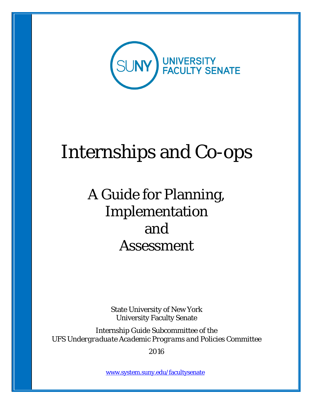

# Internships and Co-ops

# A Guide for Planning, Implementation and Assessment

State University of New York University Faculty Senate

Internship Guide Subcommittee of the *UFS Undergraduate Academic Programs and Policies Committee*

2016

[www.system.suny.edu/facultysenate](http://www.system.suny.edu/facultysenate)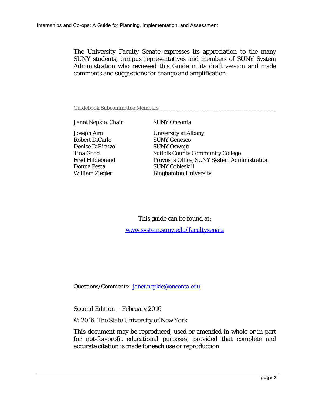The University Faculty Senate expresses its appreciation to the many SUNY students, campus representatives and members of SUNY System Administration who reviewed this Guide in its draft version and made comments and suggestions for change and amplification.

Guidebook Subcommittee Members

Janet Nepkie, Chair SUNY Oneonta

Robert DiCarlo SUNY Geneseo Denise DiRienzo SUNY Oswego Donna Pesta SUNY Cobleskill

Joseph Aini University at Albany Tina Good Suffolk County Community College<br>Fred Hildebrand Provost's Office, SUNY System Adm Provost's Office, SUNY System Administration William Ziegler Binghamton University

> This guide can be found at: [www.system.suny.edu/facultysenate](http://www.system.suny.edu/facultysenate)

*Questions/Comments: [janet.nepkie@oneonta.edu](mailto:janet.nepkie@oneonta.edu)*

Second Edition – February 2016

© 2016 The State University of New York

This document may be reproduced, used or amended in whole or in part for not-for-profit educational purposes, provided that complete and accurate citation is made for each use or reproduction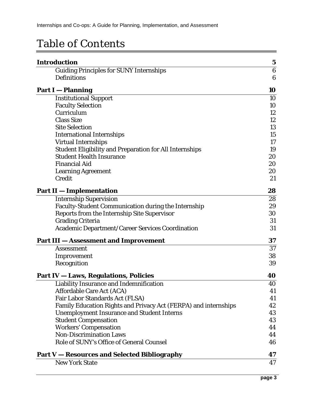## Table of Contents

| <b>Introduction</b>                                             | $\mathbf 5$      |
|-----------------------------------------------------------------|------------------|
| <b>Guiding Principles for SUNY Internships</b>                  | $6\phantom{.}6$  |
| <b>Definitions</b>                                              | $\boldsymbol{6}$ |
| <b>Part I</b> - Planning                                        | 10               |
| <b>Institutional Support</b>                                    | 10               |
| <b>Faculty Selection</b>                                        | 10               |
| Curriculum                                                      | 12               |
| <b>Class Size</b>                                               | 12               |
| <b>Site Selection</b>                                           | 13               |
| <b>International Internships</b>                                | 15               |
| <b>Virtual Internships</b>                                      | 17               |
| <b>Student Eligibility and Preparation for All Internships</b>  | 19               |
| <b>Student Health Insurance</b>                                 | 20               |
| <b>Financial Aid</b>                                            | 20               |
| <b>Learning Agreement</b>                                       | 20               |
| Credit                                                          | 21               |
| <b>Part II - Implementation</b>                                 | 28               |
| <b>Internship Supervision</b>                                   | 28               |
| <b>Faculty-Student Communication during the Internship</b>      | 29               |
| Reports from the Internship Site Supervisor                     | 30               |
| <b>Grading Criteria</b>                                         | 31               |
| <b>Academic Department/Career Services Coordination</b>         | 31               |
| <b>Part III – Assessment and Improvement</b>                    | 37               |
| <b>Assessment</b>                                               | 37               |
| Improvement                                                     | 38               |
| Recognition                                                     | 39               |
| <b>Part IV - Laws, Regulations, Policies</b>                    | 40               |
| <b>Liability Insurance and Indemnification</b>                  | 40               |
| <b>Affordable Care Act (ACA)</b>                                | 41               |
| Fair Labor Standards Act (FLSA)                                 | 41               |
| Family Education Rights and Privacy Act (FERPA) and internships | 42               |
| <b>Unemployment Insurance and Student Interns</b>               | 43               |
| <b>Student Compensation</b>                                     | 43               |
| <b>Workers' Compensation</b>                                    | 44               |
| <b>Non-Discrimination Laws</b>                                  | 44               |
| Role of SUNY's Office of General Counsel                        | 46               |
| <b>Part V – Resources and Selected Bibliography</b>             | 47               |
| <b>New York State</b>                                           | 47               |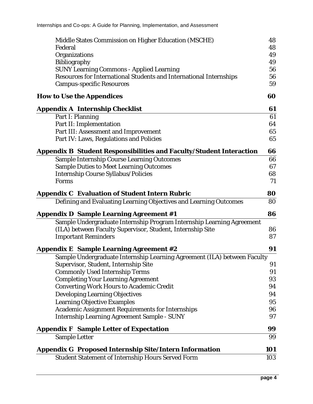| Middle States Commission on Higher Education (MSCHE)                       | 48  |
|----------------------------------------------------------------------------|-----|
| Federal                                                                    | 48  |
| Organizations                                                              | 49  |
| <b>Bibliography</b>                                                        | 49  |
| <b>SUNY Learning Commons - Applied Learning</b>                            | 56  |
| Resources for International Students and International Internships         | 56  |
| <b>Campus-specific Resources</b>                                           | 59  |
| <b>How to Use the Appendices</b>                                           | 60  |
| <b>Appendix A Internship Checklist</b>                                     | 61  |
| Part I: Planning                                                           | 61  |
| Part II: Implementation                                                    | 64  |
| Part III: Assessment and Improvement                                       | 65  |
| Part IV: Laws, Regulations and Policies                                    | 65  |
| <b>Appendix B Student Responsibilities and Faculty/Student Interaction</b> | 66  |
| <b>Sample Internship Course Learning Outcomes</b>                          | 66  |
| <b>Sample Duties to Meet Learning Outcomes</b>                             | 67  |
| <b>Internship Course Syllabus/Policies</b>                                 | 68  |
| Forms                                                                      | 71  |
| <b>Appendix C Evaluation of Student Intern Rubric</b>                      | 80  |
| Defining and Evaluating Learning Objectives and Learning Outcomes          | 80  |
| <b>Appendix D Sample Learning Agreement #1</b>                             | 86  |
| Sample Undergraduate Internship Program Internship Learning Agreement      |     |
| (ILA) between Faculty Supervisor, Student, Internship Site                 | 86  |
| <b>Important Reminders</b>                                                 | 87  |
| <b>Appendix E Sample Learning Agreement #2</b>                             | 91  |
| Sample Undergraduate Internship Learning Agreement (ILA) between Faculty   |     |
| Supervisor, Student, Internship Site                                       | 91  |
| <b>Commonly Used Internship Terms</b>                                      | 91  |
| <b>Completing Your Learning Agreement</b>                                  | 93  |
| <b>Converting Work Hours to Academic Credit</b>                            | 94  |
| <b>Developing Learning Objectives</b>                                      | 94  |
| <b>Learning Objective Examples</b>                                         | 95  |
| <b>Academic Assignment Requirements for Internships</b>                    | 96  |
| <b>Internship Learning Agreement Sample - SUNY</b>                         | 97  |
| <b>Appendix F</b> Sample Letter of Expectation                             | 99  |
| <b>Sample Letter</b>                                                       | 99  |
| <b>Appendix G Proposed Internship Site/Intern Information</b>              | 101 |
| <b>Student Statement of Internship Hours Served Form</b>                   | 103 |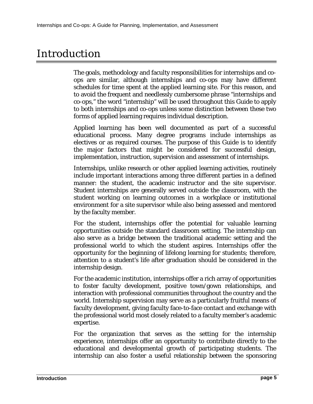## Introduction

The goals, methodology and faculty responsibilities for internships and coops are similar, although internships and co-ops may have different schedules for time spent at the applied learning site. For this reason, and to avoid the frequent and needlessly cumbersome phrase "internships and co-ops," the word "internship" will be used throughout this Guide to apply to both internships and co-ops unless some distinction between these two forms of applied learning requires individual description.

Applied learning has been well documented as part of a successful educational process. Many degree programs include internships as electives or as required courses. The purpose of this Guide is to identify the major factors that might be considered for successful design, implementation, instruction, supervision and assessment of internships.

Internships, unlike research or other applied learning activities, routinely include important interactions among three different parties in a defined manner: the student, the academic instructor and the site supervisor. Student internships are generally served outside the classroom, with the student working on learning outcomes in a workplace or institutional environment for a site supervisor while also being assessed and mentored by the faculty member.

For the student, internships offer the potential for valuable learning opportunities outside the standard classroom setting. The internship can also serve as a bridge between the traditional academic setting and the professional world to which the student aspires. Internships offer the opportunity for the beginning of lifelong learning for students; therefore, attention to a student's life after graduation should be considered in the internship design.

For the academic institution, internships offer a rich array of opportunities to foster faculty development, positive town/gown relationships, and interaction with professional communities throughout the country and the world. Internship supervision may serve as a particularly fruitful means of faculty development, giving faculty face-to-face contact and exchange with the professional world most closely related to a faculty member's academic expertise.

For the organization that serves as the setting for the internship experience, internships offer an opportunity to contribute directly to the educational and developmental growth of participating students. The internship can also foster a useful relationship between the sponsoring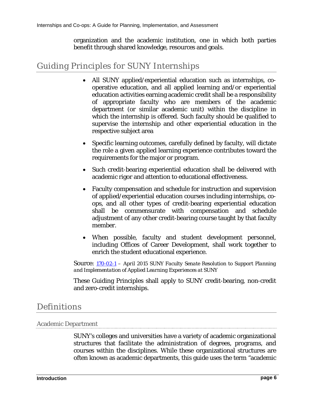organization and the academic institution, one in which both parties benefit through shared knowledge, resources and goals.

## Guiding Principles for SUNY Internships

- All SUNY applied/experiential education such as internships, cooperative education, and all applied learning and/or experiential education activities earning academic credit shall be a responsibility of appropriate faculty who are members of the academic department (or similar academic unit) within the discipline in which the internship is offered. Such faculty should be qualified to supervise the internship and other experiential education in the respective subject area
- Specific learning outcomes, carefully defined by faculty, will dictate the role a given applied learning experience contributes toward the requirements for the major or program.
- Such credit-bearing experiential education shall be delivered with academic rigor and attention to educational effectiveness.
- Faculty compensation and schedule for instruction and supervision of applied/experiential education courses including internships, coops, and all other types of credit-bearing experiential education shall be commensurate with compensation and schedule adjustment of any other credit-bearing course taught by that faculty member.
- When possible, faculty and student development personnel, including Offices of Career Development, shall work together to enrich the student educational experience.

Source: *[170-02-1](http://system.suny.edu/media/suny/content-assets/documents/faculty-senate/resolutions/170-02-1-Resolution-to-Support-Planning-and-Implementation-of-Applied-Learning-Experiences-at-SUNY.pdf) – April 2015 SUNY Faculty Senate Resolution to Support Planning and Implementation of Applied Learning Experiences at SUNY*

These Guiding Principles shall apply to SUNY credit-bearing, non-credit and zero-credit internships.

## **Definitions**

#### Academic Department

SUNY's colleges and universities have a variety of academic organizational structures that facilitate the administration of degrees, programs, and courses within the disciplines. While these organizational structures are often known as academic departments, this guide uses the term "academic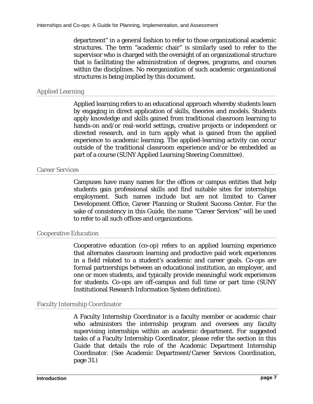department" in a general fashion to refer to those organizational academic structures. The term "academic chair" is similarly used to refer to the supervisor who is charged with the oversight of an organizational structure that is facilitating the administration of degrees, programs, and courses within the disciplines. No reorganization of such academic organizational structures is being implied by this document.

#### Applied Learning

Applied learning refers to an educational approach whereby students learn by engaging in direct application of skills, theories and models. Students apply knowledge and skills gained from traditional classroom learning to hands-on and/or real-world settings, creative projects or independent or directed research, and in turn apply what is gained from the applied experience to academic learning. The applied-learning activity can occur outside of the traditional classroom experience and/or be embedded as part of a course (SUNY Applied Learning Steering Committee).

#### Career Services

Campuses have many names for the offices or campus entities that help students gain professional skills and find suitable sites for internships employment. Such names include but are not limited to Career Development Office, Career Planning or Student Success Center. For the sake of consistency in this Guide, the name "Career Services" will be used to refer to all such offices and organizations.

#### Cooperative Education

Cooperative education (co-op) refers to an applied learning experience that alternates classroom learning and productive paid work experiences in a field related to a student's academic and career goals. Co-ops are formal partnerships between an educational institution, an employer, and one or more students, and typically provide meaningful work experiences for students. Co-ops are off-campus and full time or part time (SUNY Institutional Research Information System definition).

#### Faculty Internship Coordinator

A Faculty Internship Coordinator is a faculty member or academic chair who administers the internship program and oversees any faculty supervising internships within an academic department. For suggested tasks of a Faculty Internship Coordinator, please refer the section in this Guide that details the role of the Academic Department Internship Coordinator. (See [Academic Department/Career Services Coordination,](#page-30-0) page [31.](#page-30-0))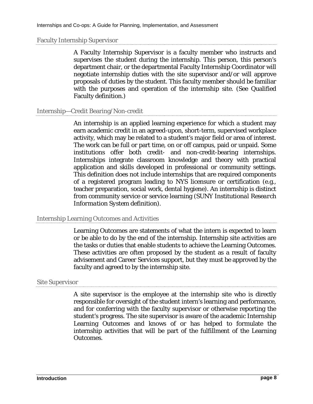#### Faculty Internship Supervisor

A Faculty Internship Supervisor is a faculty member who instructs and supervises the student during the internship. This person, this person's department chair, or the departmental Faculty Internship Coordinator will negotiate internship duties with the site supervisor and/or will approve proposals of duties by the student. This faculty member should be familiar with the purposes and operation of the internship site. (See [Qualified](#page-8-0)  [Faculty](#page-8-0) definition.)

#### Internship—Credit Bearing/Non-credit

An internship is an applied learning experience for which a student may earn academic credit in an agreed-upon, short-term, supervised workplace activity, which may be related to a student's major field or area of interest. The work can be full or part time, on or off campus, paid or unpaid. Some institutions offer both credit- and non-credit-bearing internships. Internships integrate classroom knowledge and theory with practical application and skills developed in professional or community settings. This definition does not include internships that are required components of a registered program leading to NYS licensure or certification (e.g., teacher preparation, social work, dental hygiene). An internship is distinct from community service or service learning (*SUNY Institutional Research Information System* definition).

#### Internship Learning Outcomes and Activities

Learning Outcomes are statements of what the intern is expected to learn or be able to do by the end of the internship. Internship site activities are the tasks or duties that enable students to achieve the Learning Outcomes. These activities are often proposed by the student as a result of faculty advisement and Career Services support, but they must be approved by the faculty and agreed to by the internship site.

#### Site Supervisor

A site supervisor is the employee at the internship site who is directly responsible for oversight of the student intern's learning and performance, and for conferring with the faculty supervisor or otherwise reporting the student's progress. The site supervisor is aware of the academic Internship Learning Outcomes and knows of or has helped to formulate the internship activities that will be part of the fulfillment of the Learning Outcomes.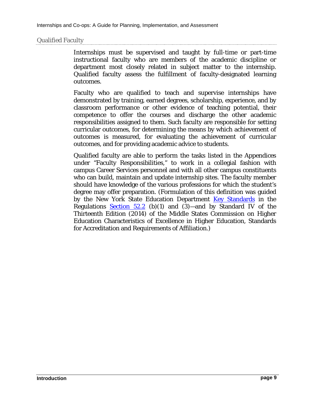#### <span id="page-8-0"></span>Qualified Faculty

Internships must be supervised and taught by full-time or part-time instructional faculty who are members of the academic discipline or department most closely related in subject matter to the internship. Qualified faculty assess the fulfillment of faculty-designated learning outcomes.

Faculty who are qualified to teach and supervise internships have demonstrated by training, earned degrees, scholarship, experience, and by classroom performance or other evidence of teaching potential, their competence to offer the courses and discharge the other academic responsibilities assigned to them. Such faculty are responsible for setting curricular outcomes, for determining the means by which achievement of outcomes is measured, for evaluating the achievement of curricular outcomes, and for providing academic advice to students.

Qualified faculty are able to perform the tasks listed in the Appendices under "Faculty Responsibilities," to work in a collegial fashion with campus Career Services personnel and with all other campus constituents who can build, maintain and update internship sites. The faculty member should have knowledge of the various professions for which the student's degree may offer preparation. (Formulation of this definition was guided by the New York State Education Department [Key Standards](http://www.highered.nysed.gov/ocue/aipr/guidance/gpr6.html) in the Regulations Section  $52.2$  (b)(1) and (3)—and by Standard IV of the Thirteenth Edition (2014) of the Middle States Commission on Higher Education Characteristics of Excellence in Higher Education, Standards for Accreditation and Requirements of Affiliation.)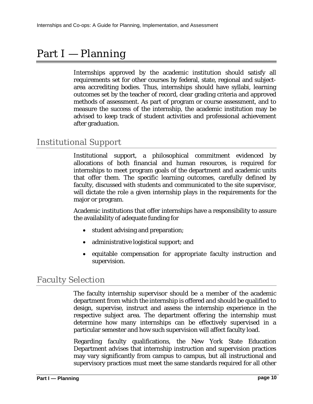## Part I – Planning

Internships approved by the academic institution should satisfy all requirements set for other courses by federal, state, regional and subjectarea accrediting bodies. Thus, internships should have syllabi, learning outcomes set by the teacher of record, clear grading criteria and approved methods of assessment. As part of program or course assessment, and to measure the success of the internship, the academic institution may be advised to keep track of student activities and professional achievement after graduation.

### Institutional Support

Institutional support, a philosophical commitment evidenced by allocations of both financial and human resources, is required for internships to meet program goals of the department and academic units that offer them. The specific learning outcomes, carefully defined by faculty, discussed with students and communicated to the site supervisor, will dictate the role a given internship plays in the requirements for the major or program.

Academic institutions that offer internships have a responsibility to assure the availability of adequate funding for

- student advising and preparation;
- administrative logistical support; and
- equitable compensation for appropriate faculty instruction and supervision.

### Faculty Selection

The faculty internship supervisor should be a member of the academic department from which the internship is offered and should be qualified to design, supervise, instruct and assess the internship experience in the respective subject area. The department offering the internship must determine how many internships can be effectively supervised in a particular semester and how such supervision will affect faculty load.

Regarding faculty qualifications, the New York State Education Department advises that internship instruction and supervision practices may vary significantly from campus to campus, but all instructional and supervisory practices must meet the same standards required for all other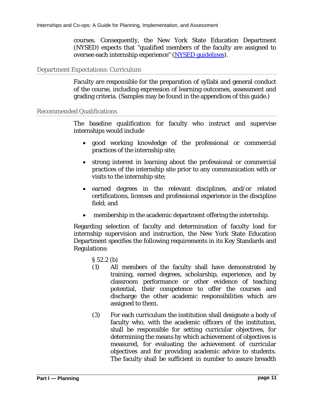courses. Consequently, the New York State Education Department (NYSED) expects that "qualified members of the faculty are assigned to oversee each internship experience" [\(NYSED guidelines\)](http://www.highered.nysed.gov/ocue/aipr/guidance/gpr11.html%23a).

#### Department Expectations: Curriculum

Faculty are responsible for the preparation of syllabi and general conduct of the course, including expression of learning outcomes, assessment and grading criteria. (Samples may be found in the appendices of this guide.)

#### Recommended Qualifications

The baseline qualification for faculty who instruct and supervise internships would include

- good working knowledge of the professional or commercial practices of the internship site;
- strong interest in learning about the professional or commercial practices of the internship site prior to any communication with or visits to the internship site;
- earned degrees in the relevant disciplines, and/or related certifications, licenses and professional experience in the discipline field; and
- membership in the academic department offering the internship.

Regarding selection of faculty and determination of faculty load for internship supervision and instruction, the New York State Education Department specifies the following requirements in its Key Standards and Regulations:

§ 52.2 (b)

- (1) All members of the faculty shall have demonstrated by training, earned degrees, scholarship, experience, and by classroom performance or other evidence of teaching potential, their competence to offer the courses and discharge the other academic responsibilities which are assigned to them.
- (3) For each curriculum the institution shall designate a body of faculty who, with the academic officers of the institution, shall be responsible for setting curricular objectives, for determining the means by which achievement of objectives is measured, for evaluating the achievement of curricular objectives and for providing academic advice to students. The faculty shall be sufficient in number to assure breadth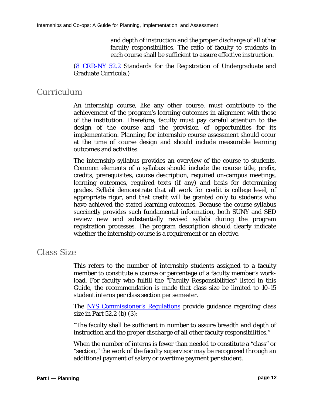and depth of instruction and the proper discharge of all other faculty responsibilities. The ratio of faculty to students in each course shall be sufficient to assure effective instruction.

[\(8 CRR-NY 52.2](http://www.highered.nysed.gov/ocue/aipr/guidance/gpr6.html) Standards for the Registration of Undergraduate and Graduate Curricula.)

## Curriculum

An internship course, like any other course, must contribute to the achievement of the program's learning outcomes in alignment with those of the institution. Therefore, faculty must pay careful attention to the design of the course and the provision of opportunities for its implementation. Planning for internship course assessment should occur at the time of course design and should include measurable learning outcomes and activities.

The internship syllabus provides an overview of the course to students. Common elements of a syllabus should include the course title, prefix, credits, prerequisites, course description, required on-campus meetings, learning outcomes, required texts (if any) and basis for determining grades. Syllabi demonstrate that all work for credit is college level, of appropriate rigor, and that credit will be granted only to students who have achieved the stated learning outcomes. Because the course syllabus succinctly provides such fundamental information, both SUNY and SED review new and substantially revised syllabi during the program registration processes. The program description should clearly indicate whether the internship course is a requirement or an elective.

## Class Size

This refers to the number of internship students assigned to a faculty member to constitute a course or percentage of a faculty member's workload. For faculty who fulfill the "Faculty Responsibilities" listed in this Guide, the recommendation is made that class size be limited to 10-15 student interns per class section per semester.

The **[NYS Commissioner's Regulations](http://www.highered.nysed.gov/ocue/lrp/rules.htm)** provide guidance regarding class size in Part 52.2 (b) (3):

"The faculty shall be sufficient in number to assure breadth and depth of instruction and the proper discharge of all other faculty responsibilities."

When the number of interns is fewer than needed to constitute a "class" or "section," the work of the faculty supervisor may be recognized through an additional payment of salary or overtime payment per student.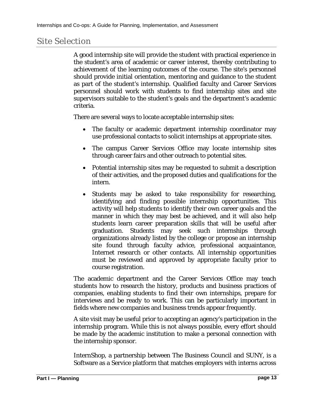## Site Selection

A good internship site will provide the student with practical experience in the student's area of academic or career interest, thereby contributing to achievement of the learning outcomes of the course. The site's personnel should provide initial orientation, mentoring and guidance to the student as part of the student's internship. Qualified faculty and Career Services personnel should work with students to find internship sites and site supervisors suitable to the student's goals and the department's academic criteria.

There are several ways to locate acceptable internship sites:

- The faculty or academic department internship coordinator may use professional contacts to solicit internships at appropriate sites.
- The campus Career Services Office may locate internship sites through career fairs and other outreach to potential sites.
- Potential internship sites may be requested to submit a description of their activities, and the proposed duties and qualifications for the intern.
- Students may be asked to take responsibility for researching, identifying and finding possible internship opportunities. This activity will help students to identify their own career goals and the manner in which they may best be achieved, and it will also help students learn career preparation skills that will be useful after graduation. Students may seek such internships through organizations already listed by the college or propose an internship site found through faculty advice, professional acquaintance, Internet research or other contacts. All internship opportunities must be reviewed and approved by appropriate faculty prior to course registration.

The academic department and the Career Services Office may teach students how to research the history, products and business practices of companies, enabling students to find their own internships, prepare for interviews and be ready to work. This can be particularly important in fields where new companies and business trends appear frequently.

A site visit may be useful prior to accepting an agency's participation in the internship program. While this is not always possible, every effort should be made by the academic institution to make a personal connection with the internship sponsor.

InternShop, a partnership between The Business Council and SUNY, is a Software as a Service platform that matches employers with interns across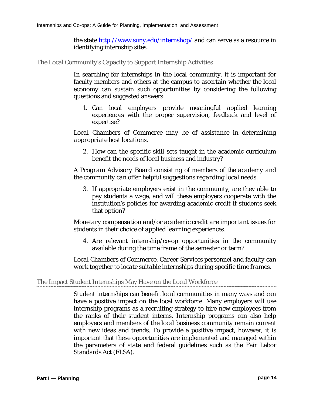the state <http://www.suny.edu/internshop/> and can serve as a resource in identifying internship sites.

The Local Community's Capacity to Support Internship Activities

In searching for internships in the local community, it is important for faculty members and others at the campus to ascertain whether the local economy can sustain such opportunities by considering the following questions and suggested answers:

1. Can local employers provide meaningful applied learning experiences with the proper supervision, feedback and level of expertise?

*Local Chambers of Commerce may be of assistance in determining appropriate host locations.*

2. How can the specific skill sets taught in the academic curriculum benefit the needs of local business and industry?

*A Program Advisory Board consisting of members of the academy and the community can offer helpful suggestions regarding local needs.*

3. If appropriate employers exist in the community, are they able to pay students a wage, and will these employers cooperate with the institution's policies for awarding academic credit if students seek that option?

*Monetary compensation and/or academic credit are important issues for students in their choice of applied learning experiences.*

4. Are relevant internship/co-op opportunities in the community available during the time frame of the semester or term?

*Local Chambers of Commerce, Career Services personnel and faculty can work together to locate suitable internships during specific time frames.*

#### The Impact Student Internships May Have on the Local Workforce

Student internships can benefit local communities in many ways and can have a positive impact on the local workforce. Many employers will use internship programs as a recruiting strategy to hire new employees from the ranks of their student interns. Internship programs can also help employers and members of the local business community remain current with new ideas and trends. To provide a positive impact, however, it is important that these opportunities are implemented and managed within the parameters of state and federal guidelines such as the Fair Labor Standards Act (FLSA).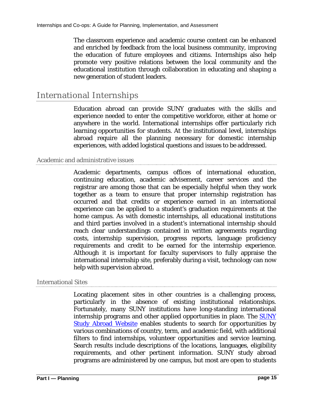The classroom experience and academic course content can be enhanced and enriched by feedback from the local business community, improving the education of future employees and citizens. Internships also help promote very positive relations between the local community and the educational institution through collaboration in educating and shaping a new generation of student leaders.

## International Internships

Education abroad can provide SUNY graduates with the skills and experience needed to enter the competitive workforce, either at home or anywhere in the world. International internships offer particularly rich learning opportunities for students. At the institutional level, internships abroad require all the planning necessary for domestic internship experiences, with added logistical questions and issues to be addressed.

#### Academic and administrative issues

Academic departments, campus offices of international education, continuing education, academic advisement, career services and the registrar are among those that can be especially helpful when they work together as a team to ensure that proper internship registration has occurred and that credits or experience earned in an international experience can be applied to a student's graduation requirements at the home campus. As with domestic internships, all educational institutions and third parties involved in a student's international internship should reach clear understandings contained in written agreements regarding costs, internship supervision, progress reports, language proficiency requirements and credit to be earned for the internship experience. Although it is important for faculty supervisors to fully appraise the international internship site, preferably during a visit, technology can now help with supervision abroad.

#### International Sites

Locating placement sites in other countries is a challenging process, particularly in the absence of existing institutional relationships. Fortunately, many SUNY institutions have long-standing international internship programs and other applied opportunities in place. The [SUNY](http://www.suny.edu/studyabroad/)  [Study Abroad Website](http://www.suny.edu/studyabroad/) enables students to search for opportunities by various combinations of country, term, and academic field, with additional filters to find internships, volunteer opportunities and service learning. Search results include descriptions of the locations, languages, eligibility requirements, and other pertinent information. SUNY study abroad programs are administered by one campus, but most are open to students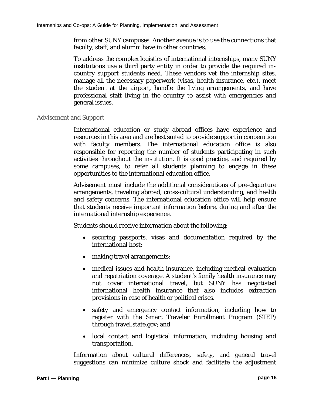from other SUNY campuses. Another avenue is to use the connections that faculty, staff, and alumni have in other countries.

To address the complex logistics of international internships, many SUNY institutions use a third party entity in order to provide the required incountry support students need. These vendors vet the internship sites, manage all the necessary paperwork (visas, health insurance, etc.), meet the student at the airport, handle the living arrangements, and have professional staff living in the country to assist with emergencies and general issues.

#### Advisement and Support

International education or study abroad offices have experience and resources in this area and are best suited to provide support in cooperation with faculty members. The international education office is also responsible for reporting the number of students participating in such activities throughout the institution. It is good practice, and required by some campuses, to refer all students planning to engage in these opportunities to the international education office.

Advisement must include the additional considerations of pre-departure arrangements, traveling abroad, cross-cultural understanding, and health and safety concerns. The international education office will help ensure that students receive important information before, during and after the international internship experience.

Students should receive information about the following:

- securing passports, visas and documentation required by the international host;
- making travel arrangements;
- medical issues and health insurance, including medical evaluation and repatriation coverage. A student's family health insurance may not cover international travel, but SUNY has negotiated international health insurance that also includes extraction provisions in case of health or political crises.
- safety and emergency contact information, including how to register with the Smart Traveler Enrollment Program (STEP) through travel.state.gov; and
- local contact and logistical information, including housing and transportation.

Information about cultural differences, safety, and general travel suggestions can minimize culture shock and facilitate the adjustment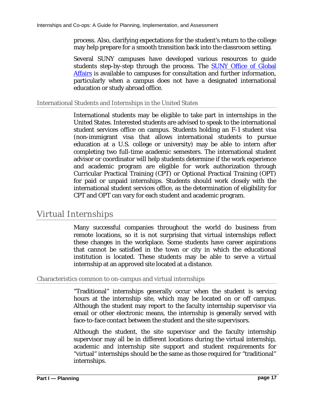process. Also, clarifying expectations for the student's return to the college may help prepare for a smooth transition back into the classroom setting.

Several SUNY campuses have developed various resources to guide students step-by-step through the process. The **SUNY** Office of Global [Affairs](http://www.suny.edu/global) is available to campuses for consultation and further information, particularly when a campus does not have a designated international education or study abroad office.

#### International Students and Internships in the United States

International students may be eligible to take part in internships in the United States. Interested students are advised to speak to the international student services office on campus. Students holding an F-1 student visa (non-immigrant visa that allows international students to pursue education at a U.S. college or university) may be able to intern after completing two full-time academic semesters. The international student advisor or coordinator will help students determine if the work experience and academic program are eligible for work authorization through Curricular Practical Training (CPT) or Optional Practical Training (OPT) for paid or unpaid internships. Students should work closely with the international student services office, as the determination of eligibility for CPT and OPT can vary for each student and academic program.

## Virtual Internships

Many successful companies throughout the world do business from remote locations, so it is not surprising that virtual internships reflect these changes in the workplace. Some students have career aspirations that cannot be satisfied in the town or city in which the educational institution is located. These students may be able to serve a virtual internship at an approved site located at a distance.

#### Characteristics common to on-campus and virtual internships

"Traditional" internships generally occur when the student is serving hours at the internship site, which may be located on or off campus. Although the student may report to the faculty internship supervisor via email or other electronic means, the internship is generally served with face-to-face contact between the student and the site supervisors.

Although the student, the site supervisor and the faculty internship supervisor may all be in different locations during the virtual internship, academic and internship site support and student requirements for "virtual" internships should be the same as those required for "traditional" internships.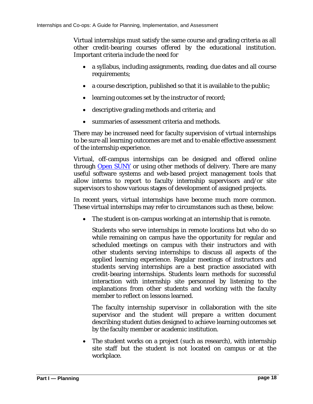Virtual internships must satisfy the same course and grading criteria as all other credit-bearing courses offered by the educational institution. Important criteria include the need for

- a syllabus, including assignments, reading, due dates and all course requirements;
- a course description, published so that it is available to the public;
- learning outcomes set by the instructor of record;
- descriptive grading methods and criteria; and
- summaries of assessment criteria and methods.

There may be increased need for faculty supervision of virtual internships to be sure all learning outcomes are met and to enable effective assessment of the internship experience.

Virtual, off-campus internships can be designed and offered online through [Open SUNY](http://open.suny.edu/) or using other methods of delivery. There are many useful software systems and web-based project management tools that allow interns to report to faculty internship supervisors and/or site supervisors to show various stages of development of assigned projects.

In recent years, virtual internships have become much more common. These virtual internships may refer to circumstances such as these, below:

• The student is on-campus working at an internship that is remote.

Students who serve internships in remote locations but who do so while remaining on campus have the opportunity for regular and scheduled meetings on campus with their instructors and with other students serving internships to discuss all aspects of the applied learning experience. Regular meetings of instructors and students serving internships are a best practice associated with credit-bearing internships. Students learn methods for successful interaction with internship site personnel by listening to the explanations from other students and working with the faculty member to reflect on lessons learned.

The faculty internship supervisor in collaboration with the site supervisor and the student will prepare a written document describing student duties designed to achieve learning outcomes set by the faculty member or academic institution.

The student works on a project (such as research), with internship site staff but the student is not located on campus or at the workplace.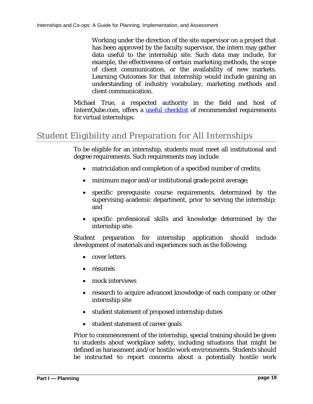Working under the direction of the site supervisor on a project that has been approved by the faculty supervisor, the intern may gather data useful to the internship site. Such data may include, for example, the effectiveness of certain marketing methods, the scope of client communication, or the availability of new markets. Learning Outcomes for that internship would include gaining an understanding of industry vocabulary, marketing methods and client communication.

Michael True, a respected authority in the field and host of InternQube.com, offers a [useful checklist](https://www.messiah.edu/documents/internship_center/Virtual%20InternshipsSuccessfulElements.pdf) of recommended requirements for virtual internships.

## Student Eligibility and Preparation for All Internships

To be eligible for an internship, students must meet all institutional and degree requirements. Such requirements may include

- matriculation and completion of a specified number of credits;
- minimum major and/or institutional grade point average;
- specific prerequisite course requirements, determined by the supervising academic department, prior to serving the internship; and
- specific professional skills and knowledge determined by the internship site.

Student preparation for internship application should include development of materials and experiences such as the following:

- cover letters
- résumés
- mock interviews
- research to acquire advanced knowledge of each company or other internship site
- student statement of proposed internship duties
- student statement of career goals

Prior to commencement of the internship, special training should be given to students about workplace safety, including situations that might be defined as harassment and/or hostile work environments. Students should be instructed to report concerns about a potentially hostile work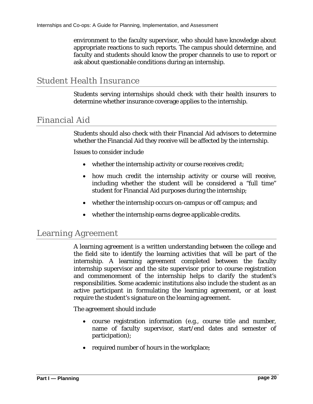environment to the faculty supervisor, who should have knowledge about appropriate reactions to such reports. The campus should determine, and faculty and students should know the proper channels to use to report or ask about questionable conditions during an internship.

## Student Health Insurance

Students serving internships should check with their health insurers to determine whether insurance coverage applies to the internship.

### Financial Aid

Students should also check with their Financial Aid advisors to determine whether the Financial Aid they receive will be affected by the internship.

Issues to consider include

- whether the internship activity or course receives credit;
- how much credit the internship activity or course will receive, including whether the student will be considered a "full time" student for Financial Aid purposes during the internship;
- whether the internship occurs on-campus or off campus; and
- whether the internship earns degree applicable credits.

### Learning Agreement

A learning agreement is a written understanding between the college and the field site to identify the learning activities that will be part of the internship. A learning agreement completed between the faculty internship supervisor and the site supervisor prior to course registration and commencement of the internship helps to clarify the student's responsibilities. Some academic institutions also include the student as an active participant in formulating the learning agreement, or at least require the student's signature on the learning agreement.

The agreement should include

- course registration information (e.g., course title and number, name of faculty supervisor, start/end dates and semester of participation);
- required number of hours in the workplace;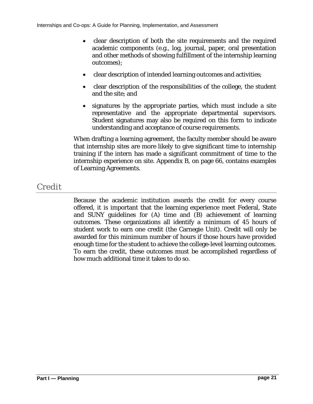- clear description of both the site requirements and the required academic components (e.g., log, journal, paper, oral presentation and other methods of showing fulfillment of the internship learning outcomes);
- clear description of intended learning outcomes and activities;
- clear description of the responsibilities of the college, the student and the site; and
- signatures by the appropriate parties, which must include a site representative and the appropriate departmental supervisors. Student signatures may also be required on this form to indicate understanding and acceptance of course requirements.

When drafting a learning agreement, the faculty member should be aware that internship sites are more likely to give significant time to internship training if the intern has made a significant commitment of time to the internship experience on site. Appendix B, [on page 66,](#page-65-0) contains examples of Learning Agreements.

## Credit

Because the academic institution awards the credit for every course offered, it is important that the learning experience meet Federal, State and SUNY guidelines for (A) time and (B) achievement of learning outcomes. These organizations all identify a minimum of 45 hours of student work to earn one credit (the Carnegie Unit). Credit will only be awarded for this minimum number of hours if those hours have provided enough time for the student to achieve the college-level learning outcomes. To earn the credit, these outcomes must be accomplished regardless of how much additional time it takes to do so.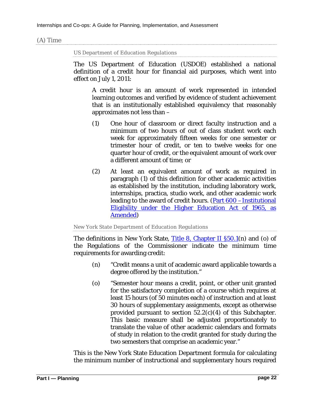#### (A) Time

US Department of Education Regulations

The US Department of Education (USDOE) established a national definition of a credit hour for financial aid purposes, which went into effect on July 1, 2011:

A credit hour is an amount of work represented in intended learning outcomes and verified by evidence of student achievement that is an institutionally established equivalency that reasonably approximates not less than –

- (1) One hour of classroom or direct faculty instruction and a minimum of two hours of out of class student work each week for approximately fifteen weeks for one semester or trimester hour of credit, or ten to twelve weeks for one quarter hour of credit, or the equivalent amount of work over a different amount of time; or
- (2) At least an equivalent amount of work as required in paragraph (1) of this definition for other academic activities as established by the institution, including laboratory work, internships, practica, studio work, and other academic work leading to the award of credit hours. (Part 600 [–Institutional](http://www.gpo.gov/fdsys/pkg/CFR-2011-title34-vol3/pdf/CFR-2011-title34-vol3-sec600-2.pdf)  [Eligibility under the Higher Education Act of 1965, as](http://www.gpo.gov/fdsys/pkg/CFR-2011-title34-vol3/pdf/CFR-2011-title34-vol3-sec600-2.pdf)  [Amended\)](http://www.gpo.gov/fdsys/pkg/CFR-2011-title34-vol3/pdf/CFR-2011-title34-vol3-sec600-2.pdf)

New York State Department of Education Regulations

The definitions in New York State, [Title 8, Chapter II §50.1\(](https://govt.westlaw.com/nycrr/Document/Ieca5c8abc22111dd97adcd755bda2840?viewType=FullText&originationContext=documenttoc&transitionType=CategoryPageItem&contextData=(sc.Default))n) and (o) of the Regulations of the Commissioner indicate the minimum time requirements for awarding credit:

- (n) "Credit means a unit of academic award applicable towards a degree offered by the institution."
- (o) "Semester hour means a credit, point, or other unit granted for the satisfactory completion of a course which requires at least 15 hours (of 50 minutes each) of instruction and at least 30 hours of supplementary assignments, except as otherwise provided pursuant to section  $52.2(c)(4)$  of this Subchapter. This basic measure shall be adjusted proportionately to translate the value of other academic calendars and formats of study in relation to the credit granted for study during the two semesters that comprise an academic year."

This is the New York State Education Department formula for calculating the minimum number of instructional and supplementary hours required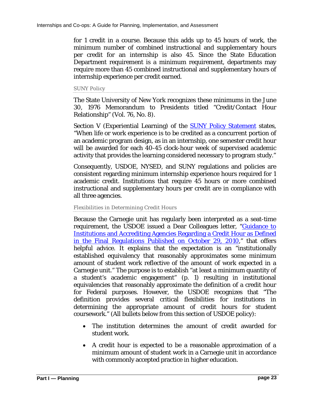for 1 credit in a course. Because this adds up to 45 hours of work, the minimum number of combined instructional and supplementary hours per credit for an internship is also 45. Since the State Education Department requirement is a minimum requirement, departments may require more than 45 combined instructional and supplementary hours of internship experience per credit earned.

SUNY Policy

The State University of New York recognizes these minimums in the June 30, 1976 Memorandum to Presidents titled "Credit/Contact Hour Relationship" (Vol. 76, No. 8).

Section V (Experiential Learning) of the **SUNY Policy Statement** states, "When life or work experience is to be credited as a concurrent portion of an academic program design, as in an internship, one semester credit hour will be awarded for each 40-45 clock-hour week of supervised academic activity that provides the learning considered necessary to program study."

Consequently, USDOE, NYSED, and SUNY regulations and policies are consistent regarding minimum internship experience hours required for 1 academic credit. Institutions that require 45 hours or more combined instructional and supplementary hours per credit are in compliance with all three agencies.

#### Flexibilities in Determining Credit Hours

Because the Carnegie unit has regularly been interpreted as a seat-time requirement, the USDOE issued a Dear Colleagues letter, ["Guidance to](http://ifap.ed.gov/dpcletters/attachments/GEN1106.pdf)  [Institutions and Accrediting Agencies Regarding a Credit Hour as Defined](http://ifap.ed.gov/dpcletters/attachments/GEN1106.pdf)  [in the Final Regulations Published on October 29, 2010,](http://ifap.ed.gov/dpcletters/attachments/GEN1106.pdf)" that offers helpful advice. It explains that the expectation is an "institutionally established equivalency that reasonably approximates some minimum amount of student work reflective of the amount of work expected in a Carnegie unit." The purpose is to establish "at least a minimum quantity of a student's academic engagement" (p. 1) resulting in institutional equivalencies that reasonably approximate the definition of a credit hour for Federal purposes. However, the USDOE recognizes that "The definition provides several critical flexibilities for institutions in determining the appropriate amount of credit hours for student coursework." (All bullets below from this section of USDOE policy):

- The institution determines the amount of credit awarded for student work.
- A credit hour is expected to be a reasonable approximation of a minimum amount of student work in a Carnegie unit in accordance with commonly accepted practice in higher education.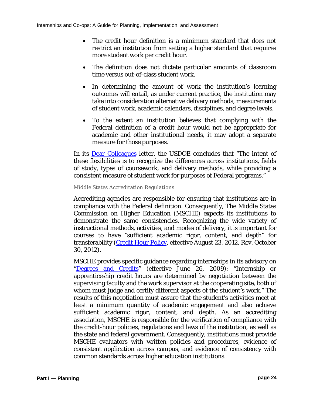- The credit hour definition is a minimum standard that does not restrict an institution from setting a higher standard that requires more student work per credit hour.
- The definition does not dictate particular amounts of classroom time versus out-of-class student work.
- In determining the amount of work the institution's learning outcomes will entail, as under current practice, the institution may take into consideration alternative delivery methods, measurements of student work, academic calendars, disciplines, and degree levels.
- To the extent an institution believes that complying with the Federal definition of a credit hour would not be appropriate for academic and other institutional needs, it may adopt a separate measure for those purposes.

In its [Dear Colleagues](https://ifap.ed.gov/dpcletters/GEN1106.html) letter, the USDOE concludes that "The intent of these flexibilities is to recognize the differences across institutions, fields of study, types of coursework, and delivery methods, while providing a consistent measure of student work for purposes of Federal programs."

#### Middle States Accreditation Regulations

Accrediting agencies are responsible for ensuring that institutions are in compliance with the Federal definition. Consequently, The Middle States Commission on Higher Education (MSCHE) expects its institutions to demonstrate the same consistencies. Recognizing the wide variety of instructional methods, activities, and modes of delivery, it is important for courses to have "sufficient academic rigor, content, and depth" for transferability [\(Credit Hour Policy,](http://www.msche.org/documents/CreditHourPolicyRev112012.pdf) effective August 23, 2012, Rev. October 30, 2012).

MSCHE provides specific guidance regarding internships in its advisory on ["Degrees and Credits"](http://www.msche.org/documents/Degree-and-Credit-Guidelines-062209-FINAL%5b1%5d.pdf) (effective June 26, 2009): "Internship or apprenticeship credit hours are determined by negotiation between the supervising faculty and the work supervisor at the cooperating site, both of whom must judge and certify different aspects of the student's work." The results of this negotiation must assure that the student's activities meet at least a minimum quantity of academic engagement and also achieve sufficient academic rigor, content, and depth. As an accrediting association, MSCHE is responsible for the verification of compliance with the credit-hour policies, regulations and laws of the institution, as well as the state and federal government. Consequently, institutions must provide MSCHE evaluators with written policies and procedures, evidence of consistent application across campus, and evidence of consistency with common standards across higher education institutions.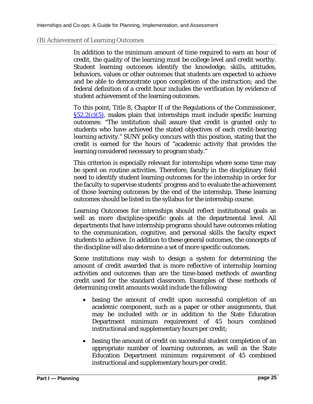#### (B) Achievement of Learning Outcomes

In addition to the minimum amount of time required to earn an hour of credit, the quality of the learning must be college level and credit worthy. Student learning outcomes identify the knowledge, skills, attitudes, behaviors, values or other outcomes that students are expected to achieve and be able to demonstrate upon completion of the instruction; and the federal definition of a credit hour includes the verification by evidence of student achievement of the learning outcomes.

To this point, Title 8, Chapter II of the Regulations of the Commissioner,  $\S52.2(c)(5)$ , makes plain that internships must include specific learning outcomes: "The institution shall assure that credit is granted only to students who have achieved the stated objectives of each credit-bearing learning activity." SUNY policy concurs with this position, stating that the credit is earned for the hours of "academic activity that provides the learning considered necessary to program study."

This criterion is especially relevant for internships where some time may be spent on routine activities. Therefore, faculty in the disciplinary field need to identify student learning outcomes for the internship in order for the faculty to supervise students' progress and to evaluate the achievement of those learning outcomes by the end of the internship. These learning outcomes should be listed in the syllabus for the internship course.

Learning Outcomes for internships should reflect institutional goals as well as more discipline-specific goals at the departmental level. All departments that have internship programs should have outcomes relating to the communication, cognitive, and personal skills the faculty expect students to achieve. In addition to these general outcomes, the concepts of the discipline will also determine a set of more specific outcomes.

Some institutions may wish to design a system for determining the amount of credit awarded that is more reflective of internship learning activities and outcomes than are the time-based methods of awarding credit used for the standard classroom. Examples of these methods of determining credit amounts would include the following:

- basing the amount of credit upon successful completion of an academic component, such as a paper or other assignments, that may be included with or in addition to the State Education Department minimum requirement of 45 hours combined instructional and supplementary hours per credit;
- basing the amount of credit on successful student completion of an appropriate number of learning outcomes, as well as the State Education Department minimum requirement of 45 combined instructional and supplementary hours per credit.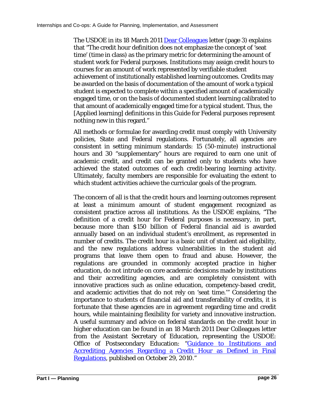The USDOE in its 18 March 2011 [Dear Colleagues](https://ifap.ed.gov/dpcletters/attachments/GEN1106.pdf) letter (page 3) explains that "The credit hour definition does not emphasize the concept of 'seat time' (time in class) as the primary metric for determining the amount of student work for Federal purposes. Institutions may assign credit hours to courses for an amount of work represented by verifiable student achievement of institutionally established learning outcomes. Credits may be awarded on the basis of documentation of the amount of work a typical student is expected to complete within a specified amount of academically engaged time, or on the basis of documented student learning calibrated to that amount of academically engaged time for a typical student. Thus, the [Applied learning] definitions in this Guide for Federal purposes represent nothing new in this regard."

All methods or formulae for awarding credit must comply with University policies, State and Federal regulations. Fortunately, all agencies are consistent in setting minimum standards: 15 (50-minute) instructional hours and 30 "supplementary" hours are required to earn one unit of academic credit, and credit can be granted only to students who have achieved the stated outcomes of each credit-bearing learning activity. Ultimately, faculty members are responsible for evaluating the extent to which student activities achieve the curricular goals of the program.

The concern of all is that the credit hours and learning outcomes represent at least a minimum amount of student engagement recognized as consistent practice across all institutions. As the USDOE explains, "The definition of a credit hour for Federal purposes is necessary, in part, because more than \$150 billion of Federal financial aid is awarded annually based on an individual student's enrollment, as represented in number of credits. The credit hour is a basic unit of student aid eligibility, and the new regulations address vulnerabilities in the student aid programs that leave them open to fraud and abuse. However, the regulations are grounded in commonly accepted practice in higher education, do not intrude on core academic decisions made by institutions and their accrediting agencies, and are completely consistent with innovative practices such as online education, competency-based credit, and academic activities that do not rely on 'seat time.'" Considering the importance to students of financial aid and transferability of credits, it is fortunate that these agencies are in agreement regarding time and credit hours, while maintaining flexibility for variety and innovative instruction. A useful summary and advice on federal standards on the credit hour in higher education can be found in an 18 March 2011 Dear Colleagues letter from the Assistant Secretary of Education, representing the USDOE: Office of Postsecondary Education: ["Guidance to Institutions and](https://ifap.ed.gov/dpcletters/attachments/GEN1106.pdf)  [Accrediting Agencies Regarding a Credit Hour as Defined in Final](https://ifap.ed.gov/dpcletters/attachments/GEN1106.pdf)  [Regulations,](https://ifap.ed.gov/dpcletters/attachments/GEN1106.pdf) published on October 29, 2010."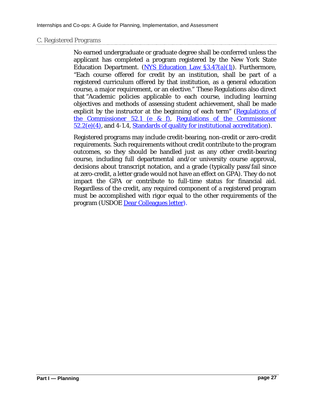#### C. Registered Programs

No earned undergraduate or graduate degree shall be conferred unless the applicant has completed a program registered by the New York State Education Department. [\(NYS Education Law §3.47\(a\)\(1](https://govt.westlaw.com/nycrr/Document/Iec9d643dc22111dd97adcd755bda2840?viewType=FullText&originationContext=documenttoc&transitionType=CategoryPageItem&contextData=(sc.Default)))). Furthermore, "Each course offered for credit by an institution, shall be part of a registered curriculum offered by that institution, as a general education course, a major requirement, or an elective." These Regulations also direct that "Academic policies applicable to each course, including learning objectives and methods of assessing student achievement, shall be made explicit by the instructor at the beginning of each term" [\(Regulations of](https://govt.westlaw.com/nycrr/Document/Ieca63dd5c22111dd97adcd755bda2840?viewType=FullText&originationContext=documenttoc&transitionType=CategoryPageItem&contextData=(sc.Default))  [the Commissioner 52.1 \(e & f\),](https://govt.westlaw.com/nycrr/Document/Ieca63dd5c22111dd97adcd755bda2840?viewType=FullText&originationContext=documenttoc&transitionType=CategoryPageItem&contextData=(sc.Default)) [Regulations of the Commissioner](https://govt.westlaw.com/nycrr/Document/Ieca63dd8c22111dd97adcd755bda2840?contextData=(sc.Search)&rank=2&originationContext=Search+Result&navigationPath=Search%2fv3%2fsearch%2fresults%2fnavigation%2fi0ad70f7000000153526f9ed6a4851c85%3fstartIndex%3d1%26Nav%3dNYREGULATION_PUBLICVIEW%26contextData%3d(sc.Default)&list=NYREGULATION_PUBLICVIEW&transitionType=SearchItem&listSource=Search&viewType=FullText&t_querytext=Academic+policies+applicable+to+each+course%2c+including+learning+objectives+and+methods+of+assessing+student+achievement%2c+shall+be+made+explicit+by+the+instructor+at+the+beginning+of+each+term&t_Method=WIN)  [52.2\(e\)\(4\),](https://govt.westlaw.com/nycrr/Document/Ieca63dd8c22111dd97adcd755bda2840?contextData=(sc.Search)&rank=2&originationContext=Search+Result&navigationPath=Search%2fv3%2fsearch%2fresults%2fnavigation%2fi0ad70f7000000153526f9ed6a4851c85%3fstartIndex%3d1%26Nav%3dNYREGULATION_PUBLICVIEW%26contextData%3d(sc.Default)&list=NYREGULATION_PUBLICVIEW&transitionType=SearchItem&listSource=Search&viewType=FullText&t_querytext=Academic+policies+applicable+to+each+course%2c+including+learning+objectives+and+methods+of+assessing+student+achievement%2c+shall+be+made+explicit+by+the+instructor+at+the+beginning+of+each+term&t_Method=WIN) and 4-1.4, [Standards of quality for institutional accreditation\)](https://govt.westlaw.com/nycrr/Document/Iec9e007dc22111dd97adcd755bda2840?contextData=(sc.Search)&rank=1&originationContext=Search+Result&navigationPath=Search%2fv3%2fsearch%2fresults%2fnavigation%2fi0ad70f7000000153526f9ed6a4851c85%3fstartIndex%3d1%26Nav%3dNYREGULATION_PUBLICVIEW%26contextData%3d(sc.Default)&list=NYREGULATION_PUBLICVIEW&transitionType=SearchItem&listSource=Search&viewType=FullText&t_querytext=Academic+policies+applicable+to+each+course%2c+including+learning+objectives+and+methods+of+assessing+student+achievement%2c+shall+be+made+explicit+by+the+instructor+at+the+beginning+of+each+term&t_Method=WIN).

Registered programs may include credit-bearing, non-credit or zero-credit requirements. Such requirements without credit contribute to the program outcomes, so they should be handled just as any other credit-bearing course, including full departmental and/or university course approval, decisions about transcript notation, and a grade (typically pass/fail since at zero-credit, a letter grade would not have an effect on GPA). They do not impact the GPA or contribute to full-time status for financial aid. Regardless of the credit, any required component of a registered program must be accomplished with rigor equal to the other requirements of the program (USDOE [Dear Colleagues](https://ifap.ed.gov/dpcletters/GEN1106.html) letter).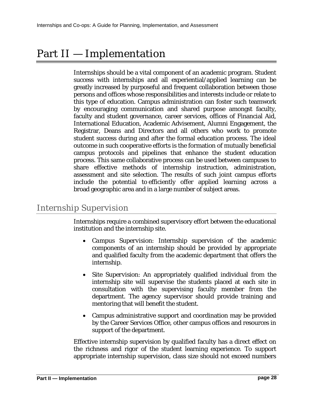## Part II — Implementation

Internships should be a vital component of an academic program. Student success with internships and all experiential/applied learning can be greatly increased by purposeful and frequent collaboration between those persons and offices whose responsibilities and interests include or relate to this type of education. Campus administration can foster such teamwork by encouraging communication and shared purpose amongst faculty, faculty and student governance, career services, offices of Financial Aid, International Education, Academic Advisement, Alumni Engagement, the Registrar, Deans and Directors and all others who work to promote student success during and after the formal education process. The ideal outcome in such cooperative efforts is the formation of mutually beneficial campus protocols and pipelines that enhance the student education process. This same collaborative process can be used between campuses to share effective methods of internship instruction, administration, assessment and site selection. The results of such joint campus efforts include the potential to efficiently offer applied learning across a broad geographic area and in a large number of subject areas.

## Internship Supervision

Internships require a combined supervisory effort between the educational institution and the internship site.

- *Campus Supervision*: Internship supervision of the academic components of an internship should be provided by appropriate and qualified faculty from the academic department that offers the internship.
- *Site Supervision*: An appropriately qualified individual from the internship site will supervise the students placed at each site in consultation with the supervising faculty member from the department. The agency supervisor should provide training and mentoring that will benefit the student.
- Campus administrative support and coordination may be provided by the Career Services Office, other campus offices and resources in support of the department.

Effective internship supervision by qualified faculty has a direct effect on the richness and rigor of the student learning experience. To support appropriate internship supervision, class size should not exceed numbers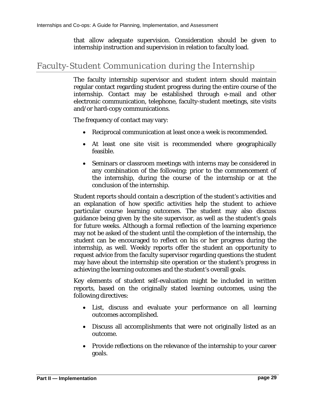that allow adequate supervision. Consideration should be given to internship instruction and supervision in relation to faculty load.

## Faculty-Student Communication during the Internship

The faculty internship supervisor and student intern should maintain regular contact regarding student progress during the entire course of the internship. Contact may be established through e-mail and other electronic communication, telephone, faculty-student meetings, site visits and/or hard-copy communications.

The frequency of contact may vary:

- Reciprocal communication at least once a week is recommended.
- At least one site visit is recommended where geographically feasible.
- Seminars or classroom meetings with interns may be considered in any combination of the following: prior to the commencement of the internship, during the course of the internship or at the conclusion of the internship.

Student reports should contain a description of the student's activities and an explanation of how specific activities help the student to achieve particular course learning outcomes. The student may also discuss guidance being given by the site supervisor, as well as the student's goals for future weeks. Although a formal reflection of the learning experience may not be asked of the student until the completion of the internship, the student can be encouraged to reflect on his or her progress during the internship, as well. Weekly reports offer the student an opportunity to request advice from the faculty supervisor regarding questions the student may have about the internship site operation or the student's progress in achieving the learning outcomes and the student's overall goals.

Key elements of student self-evaluation might be included in written reports, based on the originally stated learning outcomes, using the following directives:

- List, discuss and evaluate your performance on all learning outcomes accomplished.
- Discuss all accomplishments that were not originally listed as an outcome.
- Provide reflections on the relevance of the internship to your career goals.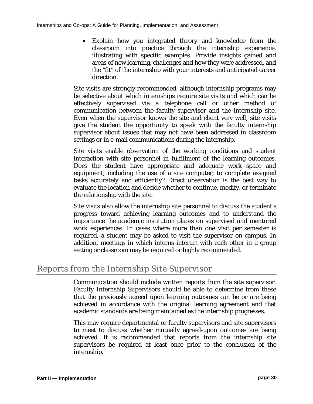• Explain how you integrated theory and knowledge from the classroom into practice through the internship experience, illustrating with specific examples. Provide insights gained and areas of new learning, challenges and how they were addressed, and the "fit" of the internship with your interests and anticipated career direction.

Site visits are strongly recommended, although internship programs may be selective about which internships require site visits and which can be effectively supervised via a telephone call or other method of communication between the faculty supervisor and the internship site. Even when the supervisor knows the site and client very well, site visits give the student the opportunity to speak with the faculty internship supervisor about issues that may not have been addressed in classroom settings or in e-mail communications during the internship.

Site visits enable observation of the working conditions and student interaction with site personnel in fulfillment of the learning outcomes. Does the student have appropriate and adequate work space and equipment, including the use of a site computer, to complete assigned tasks accurately and efficiently? Direct observation is the best way to evaluate the location and decide whether to continue, modify, or terminate the relationship with the site.

Site visits also allow the internship site personnel to discuss the student's progress toward achieving learning outcomes and to understand the importance the academic institution places on supervised and mentored work experiences. In cases where more than one visit per semester is required, a student may be asked to visit the supervisor on campus. In addition, meetings in which interns interact with each other in a group setting or classroom may be required or highly recommended.

## Reports from the Internship Site Supervisor

Communication should include written reports from the site supervisor. Faculty Internship Supervisors should be able to determine from these that the previously agreed upon learning outcomes can be or are being achieved in accordance with the original learning agreement and that academic standards are being maintained as the internship progresses.

This may require departmental or faculty supervisors and site supervisors to meet to discuss whether mutually agreed-upon outcomes are being achieved. It is recommended that reports from the internship site supervisors be required at least once prior to the conclusion of the internship.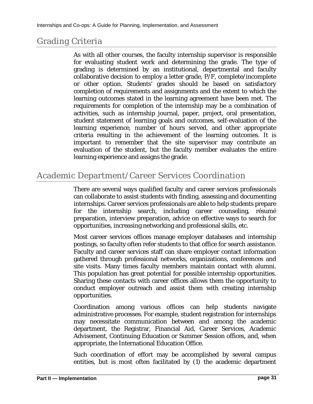## Grading Criteria

As with all other courses, the faculty internship supervisor is responsible for evaluating student work and determining the grade. The type of grading is determined by an institutional, departmental and faculty collaborative decision to employ a letter grade, P/F, complete/incomplete or other option. Students' grades should be based on satisfactory completion of requirements and assignments and the extent to which the learning outcomes stated in the learning agreement have been met. The requirements for completion of the internship may be a combination of activities, such as internship journal, paper, project, oral presentation, student statement of learning goals and outcomes, self-evaluation of the learning experience, number of hours served, and other appropriate criteria resulting in the achievement of the learning outcomes. It is important to remember that the site supervisor may contribute an evaluation of the student, but the faculty member evaluates the entire learning experience and assigns the grade.

## <span id="page-30-0"></span>Academic Department/Career Services Coordination

There are several ways qualified faculty and career services professionals can collaborate to assist students with finding, assessing and documenting internships. Career services professionals are able to help students prepare for the internship search, including career counseling, résumé preparation, interview preparation, advice on effective ways to search for opportunities, increasing networking and professional skills, etc.

Most career services offices manage employer databases and internship postings, so faculty often refer students to that office for search assistance. Faculty and career services staff can share employer contact information gathered through professional networks, organizations, conferences and site visits. Many times faculty members maintain contact with alumni. This population has great potential for possible internship opportunities. Sharing these contacts with career offices allows them the opportunity to conduct employer outreach and assist them with creating internship opportunities.

Coordination among various offices can help students navigate administrative processes. For example, student registration for internships may necessitate communication between and among the academic department, the Registrar, Financial Aid, Career Services, Academic Advisement, Continuing Education or Summer Session offices, and, when appropriate, the International Education Office.

Such coordination of effort may be accomplished by several campus entities, but is most often facilitated by (1) the academic department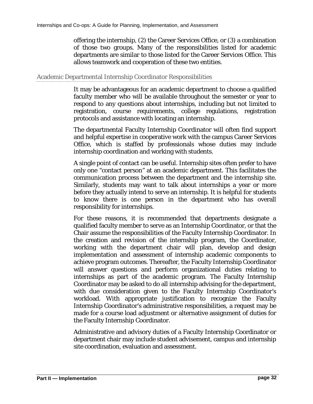offering the internship, (2) the Career Services Office, or (3) a combination of those two groups. Many of the responsibilities listed for academic departments are similar to those listed for the Career Services Office. This allows teamwork and cooperation of these two entities.

#### Academic Departmental Internship Coordinator Responsibilities

It may be advantageous for an academic department to choose a qualified faculty member who will be available throughout the semester or year to respond to any questions about internships, including but not limited to registration, course requirements, college regulations, registration protocols and assistance with locating an internship.

The departmental Faculty Internship Coordinator will often find support and helpful expertise in cooperative work with the campus Career Services Office, which is staffed by professionals whose duties may include internship coordination and working with students.

A single point of contact can be useful. Internship sites often prefer to have only one "contact person" at an academic department. This facilitates the communication process between the department and the internship site. Similarly, students may want to talk about internships a year or more before they actually intend to serve an internship. It is helpful for students to know there is one person in the department who has overall responsibility for internships.

For these reasons, it is recommended that departments designate a qualified faculty member to serve as an Internship Coordinator, or that the Chair assume the responsibilities of the Faculty Internship Coordinator. In the creation and revision of the internship program, the Coordinator, working with the department chair will plan, develop and design implementation and assessment of internship academic components to achieve program outcomes. Thereafter, the Faculty Internship Coordinator will answer questions and perform organizational duties relating to internships as part of the academic program. The Faculty Internship Coordinator may be asked to do all internship advising for the department, with due consideration given to the Faculty Internship Coordinator's workload. With appropriate justification to recognize the Faculty Internship Coordinator's administrative responsibilities, a request may be made for a course load adjustment or alternative assignment of duties for the Faculty Internship Coordinator.

Administrative and advisory duties of a Faculty Internship Coordinator or department chair may include student advisement, campus and internship site coordination, evaluation and assessment.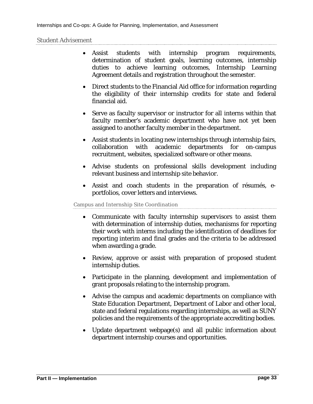#### Student Advisement

- Assist students with internship program requirements, determination of student goals, learning outcomes, internship duties to achieve learning outcomes, Internship Learning Agreement details and registration throughout the semester.
- Direct students to the Financial Aid office for information regarding the eligibility of their internship credits for state and federal financial aid.
- Serve as faculty supervisor or instructor for all interns within that faculty member's academic department who have not yet been assigned to another faculty member in the department.
- Assist students in locating new internships through internship fairs, collaboration with academic departments for on-campus recruitment, websites, specialized software or other means.
- Advise students on professional skills development including relevant business and internship site behavior.
- Assist and coach students in the preparation of résumés, eportfolios, cover letters and interviews.

#### Campus and Internship Site Coordination

- Communicate with faculty internship supervisors to assist them with determination of internship duties, mechanisms for reporting their work with interns including the identification of deadlines for reporting interim and final grades and the criteria to be addressed when awarding a grade.
- Review, approve or assist with preparation of proposed student internship duties.
- Participate in the planning, development and implementation of grant proposals relating to the internship program.
- Advise the campus and academic departments on compliance with State Education Department, Department of Labor and other local, state and federal regulations regarding internships, as well as SUNY policies and the requirements of the appropriate accrediting bodies.
- Update department webpage(s) and all public information about department internship courses and opportunities.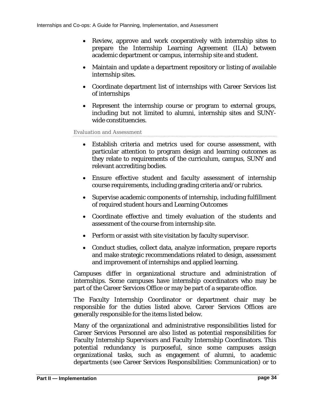- Review, approve and work cooperatively with internship sites to prepare the Internship Learning Agreement (ILA) between academic department or campus, internship site and student.
- Maintain and update a department repository or listing of available internship sites.
- Coordinate department list of internships with Career Services list of internships
- Represent the internship course or program to external groups, including but not limited to alumni, internship sites and SUNYwide constituencies.

Evaluation and Assessment

- Establish criteria and metrics used for course assessment, with particular attention to program design and learning outcomes as they relate to requirements of the curriculum, campus, SUNY and relevant accrediting bodies.
- Ensure effective student and faculty assessment of internship course requirements, including grading criteria and/or rubrics.
- Supervise academic components of internship, including fulfillment of required student hours and Learning Outcomes
- Coordinate effective and timely evaluation of the students and assessment of the course from internship site.
- Perform or assist with site visitation by faculty supervisor.
- Conduct studies, collect data, analyze information, prepare reports and make strategic recommendations related to design, assessment and improvement of internships and applied learning.

Campuses differ in organizational structure and administration of internships. Some campuses have internship coordinators who may be part of the Career Services Office or may be part of a separate office.

The Faculty Internship Coordinator or department chair may be responsible for the duties listed above. Career Services Offices are generally responsible for the items listed below.

Many of the organizational and administrative responsibilities listed for Career Services Personnel are also listed as potential responsibilities for Faculty Internship Supervisors and Faculty Internship Coordinators. This potential redundancy is purposeful, since some campuses assign organizational tasks, such as engagement of alumni, to academic departments (see [Career Services Responsibilities:](#page-34-0) [Communication\)](#page-34-1) or to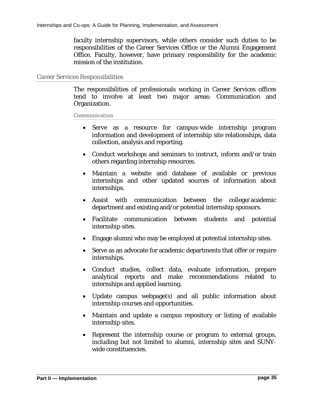faculty internship supervisors, while others consider such duties to be responsibilities of the Career Services Office or the Alumni Engagement Office. Faculty, however, have primary responsibility for the academic mission of the institution.

#### <span id="page-34-0"></span>Career Services Responsibilities

The responsibilities of professionals working in Career Services offices tend to involve at least two major areas: Communication and Organization.

<span id="page-34-1"></span>Communication

- Serve as a resource for campus-wide internship program information and development of internship site relationships, data collection, analysis and reporting.
- Conduct workshops and seminars to instruct, inform and/or train others regarding internship resources.
- Maintain a website and database of available or previous internships and other updated sources of information about internships.
- Assist with communication between the college/academic department and existing and/or potential internship sponsors.
- Facilitate communication between students and potential internship sites.
- Engage alumni who may be employed at potential internship sites.
- Serve as an advocate for academic departments that offer or require internships.
- Conduct studies, collect data, evaluate information, prepare analytical reports and make recommendations related to internships and applied learning.
- Update campus webpage(s) and all public information about internship courses and opportunities.
- Maintain and update a campus repository or listing of available internship sites.
- Represent the internship course or program to external groups, including but not limited to alumni, internship sites and SUNYwide constituencies.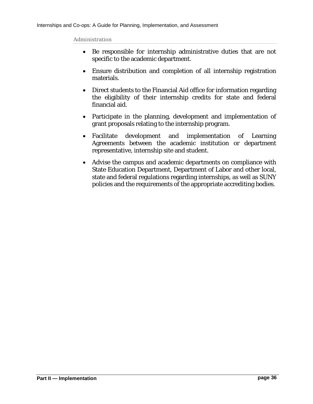Administration

- Be responsible for internship administrative duties that are not specific to the academic department.
- Ensure distribution and completion of all internship registration materials.
- Direct students to the Financial Aid office for information regarding the eligibility of their internship credits for state and federal financial aid.
- Participate in the planning, development and implementation of grant proposals relating to the internship program.
- Facilitate development and implementation of Learning Agreements between the academic institution or department representative, internship site and student.
- Advise the campus and academic departments on compliance with State Education Department, Department of Labor and other local, state and federal regulations regarding internships, as well as SUNY policies and the requirements of the appropriate accrediting bodies.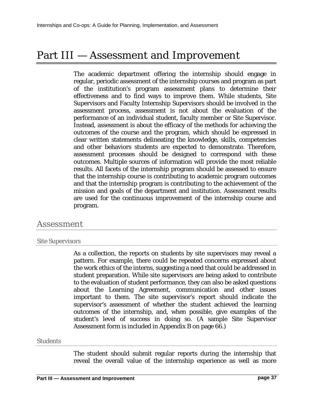# Part III — Assessment and Improvement

The academic department offering the internship should engage in regular, periodic assessment of the internship courses and program as part of the institution's program assessment plans to determine their effectiveness and to find ways to improve them. While students, Site Supervisors and Faculty Internship Supervisors should be involved in the assessment process, assessment is not about the evaluation of the performance of an individual student, faculty member or Site Supervisor. Instead, assessment is about the efficacy of the methods for achieving the outcomes of the course and the program, which should be expressed in clear written statements delineating the knowledge, skills, competencies and other behaviors students are expected to demonstrate. Therefore, assessment processes should be designed to correspond with these outcomes. Multiple sources of information will provide the most reliable results. All facets of the internship program should be assessed to ensure that the internship course is contributing to academic program outcomes and that the internship program is contributing to the achievement of the mission and goals of the department and institution. Assessment results are used for the continuous improvement of the internship course and program.

## Assessment

#### Site Supervisors

As a collection, the reports on students by site supervisors may reveal a pattern. For example, there could be repeated concerns expressed about the work ethics of the interns, suggesting a need that could be addressed in student preparation. While site supervisors are being asked to contribute to the evaluation of student performance, they can also be asked questions about the Learning Agreement, communication and other issues important to them. The site supervisor's report should indicate the supervisor's assessment of whether the student achieved the learning outcomes of the internship, and, when possible, give examples of the student's level of success in doing so. (A sample Site Supervisor Assessment form is included in Appendix B [on page 66.](#page-65-0))

#### **Students**

The student should submit regular reports during the internship that reveal the overall value of the internship experience as well as more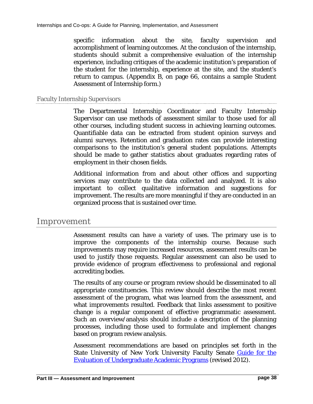specific information about the site, faculty supervision and accomplishment of learning outcomes. At the conclusion of the internship, students should submit a comprehensive evaluation of the internship experience, including critiques of the academic institution's preparation of the student for the internship, experience at the site, and the student's return to campus. (Appendix B, [on page 66,](#page-65-0) contains a sample Student Assessment of Internship form.)

#### Faculty Internship Supervisors

The Departmental Internship Coordinator and Faculty Internship Supervisor can use methods of assessment similar to those used for all other courses, including student success in achieving learning outcomes. Quantifiable data can be extracted from student opinion surveys and alumni surveys. Retention and graduation rates can provide interesting comparisons to the institution's general student populations. Attempts should be made to gather statistics about graduates regarding rates of employment in their chosen fields.

Additional information from and about other offices and supporting services may contribute to the data collected and analyzed. It is also important to collect qualitative information and suggestions for improvement. The results are more meaningful if they are conducted in an organized process that is sustained over time.

### Improvement

Assessment results can have a variety of uses. The primary use is to improve the components of the internship course. Because such improvements may require increased resources, assessment results can be used to justify those requests. Regular assessment can also be used to provide evidence of program effectiveness to professional and regional accrediting bodies.

The results of any course or program review should be disseminated to all appropriate constituencies. This review should describe the most recent assessment of the program, what was learned from the assessment, and what improvements resulted. Feedback that links assessment to positive change is a regular component of effective programmatic assessment. Such an overview/analysis should include a description of the planning processes, including those used to formulate and implement changes based on program review analysis.

Assessment recommendations are based on principles set forth in the State University of New York University Faculty Senate Guide for the [Evaluation of Undergraduate Academic Programs](http://system.suny.edu/media/suny/content-assets/documents/faculty-senate/GuideForTheEvaluationOfUndergraduatePrograms.pdf) (revised 2012).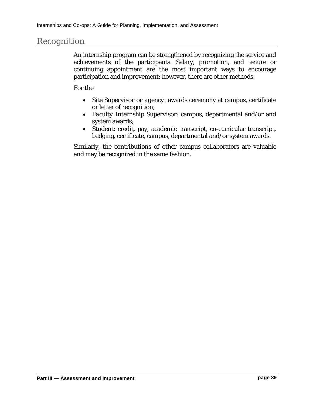## Recognition

An internship program can be strengthened by recognizing the service and achievements of the participants. Salary, promotion, and tenure or continuing appointment are the most important ways to encourage participation and improvement; however, there are other methods.

For the

- *Site Supervisor or agency*: awards ceremony at campus, certificate or letter of recognition;
- *Faculty Internship Supervisor*: campus, departmental and/or and system awards;
- *Student*: credit, pay, academic transcript, co-curricular transcript, badging, certificate, campus, departmental and/or system awards.

Similarly, the contributions of other campus collaborators are valuable and may be recognized in the same fashion.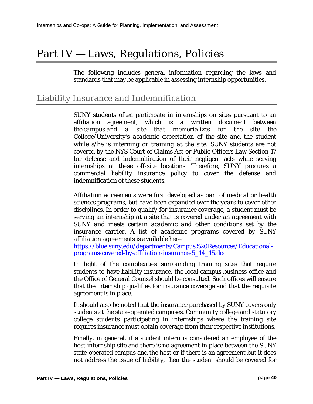# Part IV — Laws, Regulations, Policies

The following includes general information regarding the laws and standards that may be applicable in assessing internship opportunities.

# Liability Insurance and Indemnification

SUNY students often participate in internships on sites pursuant to an affiliation agreement, which is *a written document between the campus and a site that memorializes for the site the College/University's academic expectation of the site and the student while s/he is interning or training at the site.* SUNY students are not covered by the NYS Court of Claims Act or Public Officers Law Section 17 for defense and indemnification of their negligent acts while serving internships at these off-site locations. Therefore, SUNY procures a commercial liability insurance policy to cover the defense and indemnification of these students.

*Affiliation agreements were first developed as part of medical or health sciences programs, but have been expanded over the years to cover other disciplines. In order to qualify for insurance coverage, a student must be serving an internship at a site that is covered under an agreement with SUNY and meets certain academic and other conditions set by the insurance carrier. A list of academic programs covered by SUNY affiliation agreements is available here:*

[https://blue.suny.edu/departments/Campus%20Resources/Educational](https://blue.suny.edu/departments/Campus%20Resources/Educational-programs-covered-by-affiliation-insurance-5_14_15.doc)[programs-covered-by-affiliation-insurance-5\\_14\\_15.doc](https://blue.suny.edu/departments/Campus%20Resources/Educational-programs-covered-by-affiliation-insurance-5_14_15.doc)

In light of the complexities surrounding training sites that require students to have liability insurance, the local campus business office and the Office of General Counsel should be consulted. Such offices will ensure that the internship qualifies for insurance coverage and that the requisite agreement is in place.

It should also be noted that the insurance purchased by SUNY covers only students at the state-operated campuses. Community college and statutory college students participating in internships where the training site requires insurance must obtain coverage from their respective institutions.

Finally, in general, if a student intern is considered an employee of the host internship site and there is no agreement in place between the SUNY state-operated campus and the host or if there is an agreement but it does not address the issue of liability, then the student should be covered for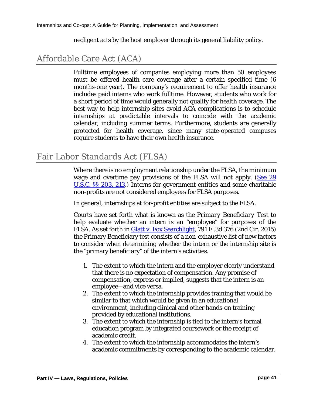negligent acts by the host employer through its general liability policy.

# Affordable Care Act (ACA)

Fulltime employees of companies employing more than 50 employees must be offered health care coverage after a certain specified time (6 months-one year). The company's requirement to offer health insurance includes paid interns who work fulltime. However, students who work for a short period of time would generally not qualify for health coverage. The best way to help internship sites avoid ACA complications is to schedule internships at predictable intervals to coincide with the academic calendar, including summer terms. Furthermore, students are generally protected for health coverage, since many state-operated campuses require students to have their own health insurance.

# Fair Labor Standards Act (FLSA)

Where there is no employment relationship under the FLSA, the minimum wage and overtime pay provisions of the FLSA will not apply. [\(See 29](https://www.gpo.gov/fdsys/pkg/USCODE-2011-title29/html/USCODE-2011-title29-chap8.htm) [U.S.C. §§ 203, 213.](https://www.gpo.gov/fdsys/pkg/USCODE-2011-title29/html/USCODE-2011-title29-chap8.htm)) Interns for government entities and some charitable non-profits are not considered employees for FLSA purposes.

In general, internships at for-profit entities are subject to the FLSA.

Courts have set forth what is known as the *Primary Beneficiary Test* to help evaluate whether an intern is an "employee" for purposes of the FLSA. As set forth in **Glatt v. Fox Searchlight**, 791 F.3d 376 (2nd Cir. 2015) the Primary Beneficiary test consists of a non-exhaustive list of new factors to consider when determining whether the intern or the internship site is the "primary beneficiary" of the intern's activities.

- 1. The extent to which the intern and the employer clearly understand that there is no expectation of compensation. Any promise of compensation, express or implied, suggests that the intern is an employee—and vice versa.
- 2. The extent to which the internship provides training that would be similar to that which would be given in an educational environment, including clinical and other hands‐on training provided by educational institutions.
- 3. The extent to which the internship is tied to the intern's formal education program by integrated coursework or the receipt of academic credit.
- 4. The extent to which the internship accommodates the intern's academic commitments by corresponding to the academic calendar.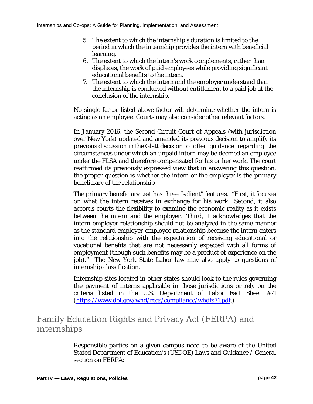- 5. The extent to which the internship's duration is limited to the period in which the internship provides the intern with beneficial learning.
- 6. The extent to which the intern's work complements, rather than displaces, the work of paid employees while providing significant educational benefits to the intern.
- 7. The extent to which the intern and the employer understand that the internship is conducted without entitlement to a paid job at the conclusion of the internship.

No single factor listed above factor will determine whether the intern is acting as an employee. Courts may also consider other relevant factors.

In January 2016, the Second Circuit Court of Appeals (with jurisdiction over New York) updated and amended its previous decision to amplify its previous discussion in the Glatt decision to offer guidance regarding the circumstances under which an unpaid intern may be deemed an employee under the FLSA and therefore compensated for his or her work. The court reaffirmed its previously expressed view that in answering this question, the proper question is whether the intern or the employer is the primary beneficiary of the relationship

The primary beneficiary test has three "salient" features. "First, it focuses on what the intern receives in exchange for his work. Second, it also accords courts the flexibility to examine the economic reality as it exists between the intern and the employer. Third, it acknowledges that the intern-employer relationship should not be analyzed in the same manner as the standard employer-employee relationship because the intern enters into the relationship with the expectation of receiving educational or vocational benefits that are not necessarily expected with all forms of employment (though such benefits may be a product of experience on the job)." The New York State Labor law may also apply to questions of internship classification.

Internship sites located in other states should look to the rules governing the payment of interns applicable in those jurisdictions or rely on the criteria listed in the U.S. Department of Labor Fact Sheet #71 [\(https://www.dol.gov/whd/regs/compliance/whdfs71.pdf.](https://www.dol.gov/whd/regs/compliance/whdfs71.pdf))

# Family Education Rights and Privacy Act (FERPA) and internships

Responsible parties on a given campus need to be aware of the United Stated Department of Education's (USDOE) Laws and Guidance / General section on FERPA: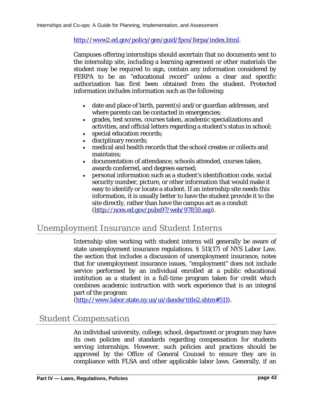[http://www2.ed.gov/policy/gen/guid/fpco/ferpa/index.html.](http://www2.ed.gov/policy/gen/guid/fpco/ferpa/index.html)

Campuses offering internships should ascertain that no documents sent to the internship site, including a learning agreement or other materials the student may be required to sign, contain any information considered by FERPA to be an "educational record" unless a clear and specific authorization has first been obtained from the student. Protected information includes information such as the following:

- date and place of birth, parent(s) and/or guardian addresses, and where parents can be contacted in emergencies;
- grades, test scores, courses taken, academic specializations and activities, and official letters regarding a student's status in school;
- special education records;
- disciplinary records;
- medical and health records that the school creates or collects and maintains;
- documentation of attendance, schools attended, courses taken, awards conferred, and degrees earned;
- personal information such as a student's identification code, social security number, picture, or other information that would make it easy to identify or locate a student. If an internship site needs this information, it is usually better to have the student provide it to the site directly, rather than have the campus act as a conduit [\(http://nces.ed.gov/pubs97/web/97859.asp\)](http://nces.ed.gov/pubs97/web/97859.asp).

# Unemployment Insurance and Student Interns

Internship sites working with student interns will generally be aware of state unemployment insurance regulations. § 511(17) of NYS Labor Law, the section that includes a discussion of unemployment insurance, notes that for unemployment insurance issues, "employment" does not include service performed by an individual enrolled at a public educational institution as a student in a full-time program taken for credit which combines academic instruction with work experience that is an integral part of the program

(http://www.labor.state.ny.us/ui/dande/title2.shtm#511).

# Student Compensation

An individual university, college, school, department or program may have its own policies and standards regarding compensation for students serving internships. However, such policies and practices should be approved by the Office of General Counsel to ensure they are in compliance with FLSA and other applicable labor laws. Generally, if an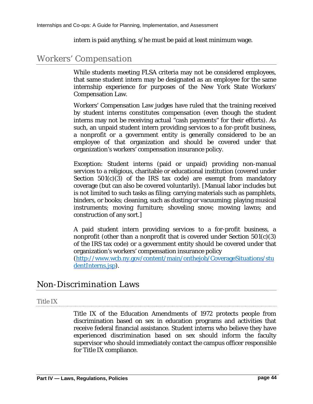intern is paid anything, s/he must be paid at least minimum wage.

## Workers' Compensation

While students meeting FLSA criteria may not be considered employees, that same student intern may be designated as an employee for the same internship experience for purposes of the New York State Workers' Compensation Law.

Workers' Compensation Law judges have ruled that the training received by student interns constitutes compensation (even though the student interns may not be receiving actual "cash payments" for their efforts). As such, an unpaid student intern providing services to a for-profit business, a nonprofit or a government entity is generally considered to be an employee of that organization and should be covered under that organization's workers' compensation insurance policy.

*Exception*: Student interns (paid or unpaid) providing non-manual services to a religious, charitable or educational institution (covered under Section  $501(c)(3)$  of the IRS tax code) are exempt from mandatory coverage (but can also be covered voluntarily). [Manual labor includes but is not limited to such tasks as filing; carrying materials such as pamphlets, binders, or books; cleaning, such as dusting or vacuuming; playing musical instruments; moving furniture; shoveling snow; mowing lawns; and construction of any sort.]

A paid student intern providing services to a for-profit business, a nonprofit (other than a nonprofit that is covered under Section 501(c)(3) of the IRS tax code) or a government entity should be covered under that organization's workers' compensation insurance policy

[\(http://www.wcb.ny.gov/content/main/onthejob/CoverageSituations/stu](http://www.wcb.ny.gov/content/main/onthejob/CoverageSituations/studentInterns.jsp) [dentInterns.jsp\)](http://www.wcb.ny.gov/content/main/onthejob/CoverageSituations/studentInterns.jsp).

# Non-Discrimination Laws

#### Title IX

Title IX of the Education Amendments of 1972 protects people from discrimination based on sex in education programs and activities that receive federal financial assistance. Student interns who believe they have experienced discrimination based on sex should inform the faculty supervisor who should immediately contact the campus officer responsible for Title IX compliance.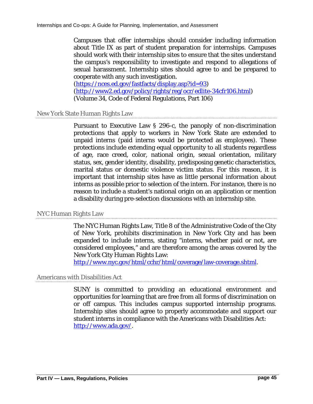Campuses that offer internships should consider including information about Title IX as part of student preparation for internships. Campuses should work with their internship sites to ensure that the sites understand the campus's responsibility to investigate and respond to allegations of sexual harassment. Internship sites should agree to and be prepared to cooperate with any such investigation.

[\(https://nces.ed.gov/fastfacts/display.asp?id=93\)](https://nces.ed.gov/fastfacts/display.asp?id=93) [\(http://www2.ed.gov/policy/rights/reg/ocr/edlite-34cfr106.html\)](http://www2.ed.gov/policy/rights/reg/ocr/edlite-34cfr106.html) (Volume 34, Code of Federal Regulations, Part 106)

New York State Human Rights Law

Pursuant to Executive Law § 296-c, the panoply of non-discrimination protections that apply to workers in New York State are extended to unpaid interns (paid interns would be protected as employees). These protections include extending equal opportunity to all students regardless of age, race creed, color, national origin, sexual orientation, military status, sex, gender identity, disability, predisposing genetic characteristics, marital status or domestic violence victim status. For this reason, it is important that internship sites have as little personal information about interns as possible prior to selection of the intern. For instance, there is no reason to include a student's national origin on an application or mention a disability during pre-selection discussions with an internship site.

#### NYC Human Rights Law

The NYC Human Rights Law, Title 8 of the Administrative Code of the City of New York, prohibits discrimination in New York City and has been expanded to include interns, stating "interns, whether paid or not, are considered employees," and are therefore among the areas covered by the New York City Human Rights Law:

[http://www.nyc.gov/html/cchr/html/coverage/law-coverage.shtml.](http://www.nyc.gov/html/cchr/html/coverage/law-coverage.shtml)

#### Americans with Disabilities Act

SUNY is committed to providing an educational environment and opportunities for learning that are free from all forms of discrimination on or off campus. This includes campus supported internship programs. Internship sites should agree to properly accommodate and support our student interns in compliance with the Americans with Disabilities Act: [http://www.ada.gov/.](http://www.ada.gov/)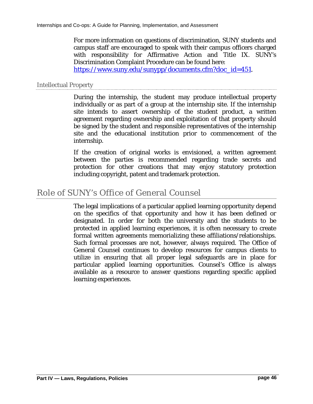For more information on questions of discrimination, SUNY students and campus staff are encouraged to speak with their campus officers charged with responsibility for Affirmative Action and Title IX. SUNY's Discrimination Complaint Procedure can be found here:

[https://www.suny.edu/sunypp/documents.cfm?doc\\_id=451.](https://www.suny.edu/sunypp/documents.cfm?doc_id=451)

#### Intellectual Property

During the internship, the student may produce intellectual property individually or as part of a group at the internship site. If the internship site intends to assert ownership of the student product, a written agreement regarding ownership and exploitation of that property should be signed by the student and responsible representatives of the internship site and the educational institution prior to commencement of the internship.

If the creation of original works is envisioned, a written agreement between the parties is recommended regarding trade secrets and protection for other creations that may enjoy statutory protection including copyright, patent and trademark protection.

# Role of SUNY's Office of General Counsel

The legal implications of a particular applied learning opportunity depend on the specifics of that opportunity and how it has been defined or designated. In order for both the university and the students to be protected in applied learning experiences, it is often necessary to create formal written agreements memorializing these affiliations/relationships. Such formal processes are not, however, always required. The Office of General Counsel continues to develop resources for campus clients to utilize in ensuring that all proper legal safeguards are in place for particular applied learning opportunities. Counsel's Office is always available as a resource to answer questions regarding specific applied learning experiences.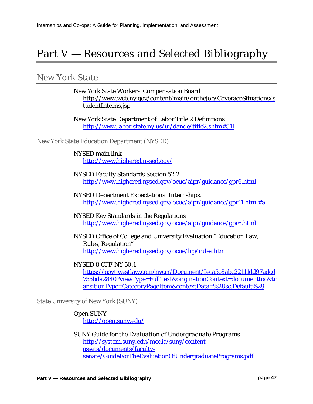# Part V — Resources and Selected Bibliography

## New York State

New York State Workers' Compensation Board [http://www.wcb.ny.gov/content/main/onthejob/CoverageSituations/s](http://www.wcb.ny.gov/content/main/onthejob/CoverageSituations/studentInterns.jsp) [tudentInterns.jsp](http://www.wcb.ny.gov/content/main/onthejob/CoverageSituations/studentInterns.jsp)

New York State Department of Labor Title 2 Definitions [http://www.labor.state.ny.us/ui/dande/title2.shtm#511](http://www.labor.state.ny.us/ui/dande/title2.shtm%23511)

#### New York State Education Department (NYSED)

NYSED main link <http://www.highered.nysed.gov/>

NYSED Faculty Standards Section 52.2 <http://www.highered.nysed.gov/ocue/aipr/guidance/gpr6.html>

NYSED Department Expectations: Internships. [http://www.highered.nysed.gov/ocue/aipr/guidance/gpr11.html#a](http://www.highered.nysed.gov/ocue/aipr/guidance/gpr11.html%23a)

NYSED Key Standards in the Regulations <http://www.highered.nysed.gov/ocue/aipr/guidance/gpr6.html>

NYSED Office of College and University Evaluation "Education Law, Rules, Regulation" <http://www.highered.nysed.gov/ocue/lrp/rules.htm>

#### NYSED 8 CFF-NY 50.1

[https://govt.westlaw.com/nycrr/Document/Ieca5c8abc22111dd97adcd](https://govt.westlaw.com/nycrr/Document/Ieca5c8abc22111dd97adcd755bda2840?viewType=FullText&originationContext=documenttoc&transitionType=CategoryPageItem&contextData=%28sc.Default%29) [755bda2840?viewType=FullText&originationContext=documenttoc&tr](https://govt.westlaw.com/nycrr/Document/Ieca5c8abc22111dd97adcd755bda2840?viewType=FullText&originationContext=documenttoc&transitionType=CategoryPageItem&contextData=%28sc.Default%29) [ansitionType=CategoryPageItem&contextData=%28sc.Default%29](https://govt.westlaw.com/nycrr/Document/Ieca5c8abc22111dd97adcd755bda2840?viewType=FullText&originationContext=documenttoc&transitionType=CategoryPageItem&contextData=%28sc.Default%29)

State University of New York (SUNY)

Open SUNY <http://open.suny.edu/>

SUNY *Guide for the Evaluation of Undergraduate Programs* [http://system.suny.edu/media/suny/content](http://system.suny.edu/media/suny/content-assets/documents/faculty-senate/GuideForTheEvaluationOfUndergraduatePrograms.pdf)[assets/documents/faculty](http://system.suny.edu/media/suny/content-assets/documents/faculty-senate/GuideForTheEvaluationOfUndergraduatePrograms.pdf)[senate/GuideForTheEvaluationOfUndergraduatePrograms.pdf](http://system.suny.edu/media/suny/content-assets/documents/faculty-senate/GuideForTheEvaluationOfUndergraduatePrograms.pdf)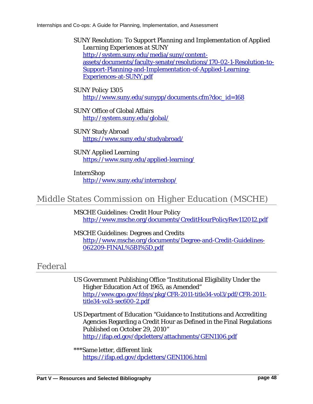SUNY *Resolution: To Support Planning and Implementation of Applied Learning Experiences at SUNY* [http://system.suny.edu/media/suny/content](http://system.suny.edu/media/suny/content-assets/documents/faculty-senate/resolutions/170-02-1-Resolution-to-Support-Planning-and-Implementation-of-Applied-Learning-Experiences-at-SUNY.pdf)[assets/documents/faculty-senate/resolutions/170-02-1-Resolution-to-](http://system.suny.edu/media/suny/content-assets/documents/faculty-senate/resolutions/170-02-1-Resolution-to-Support-Planning-and-Implementation-of-Applied-Learning-Experiences-at-SUNY.pdf)[Support-Planning-and-Implementation-of-Applied-Learning-](http://system.suny.edu/media/suny/content-assets/documents/faculty-senate/resolutions/170-02-1-Resolution-to-Support-Planning-and-Implementation-of-Applied-Learning-Experiences-at-SUNY.pdf)[Experiences-at-SUNY.pdf](http://system.suny.edu/media/suny/content-assets/documents/faculty-senate/resolutions/170-02-1-Resolution-to-Support-Planning-and-Implementation-of-Applied-Learning-Experiences-at-SUNY.pdf)

#### SUNY Policy 1305 [http://www.suny.edu/sunypp/documents.cfm?doc\\_id=168](http://www.suny.edu/sunypp/documents.cfm?doc_id=168)

#### SUNY Office of Global Affairs <http://system.suny.edu/global/>

SUNY Study Abroad <https://www.suny.edu/studyabroad/>

#### SUNY Applied Learning <https://www.suny.edu/applied-learning/>

InternShop <http://www.suny.edu/internshop/>

# Middle States Commission on Higher Education (MSCHE)

MSCHE Guidelines: Credit Hour Policy <http://www.msche.org/documents/CreditHourPolicyRev112012.pdf>

MSCHE Guidelines: Degrees and Credits [http://www.msche.org/documents/Degree-and-Credit-Guidelines-](http://www.msche.org/documents/Degree-and-Credit-Guidelines-062209-FINAL%5B1%5D.pdf)[062209-FINAL%5B1%5D.pdf](http://www.msche.org/documents/Degree-and-Credit-Guidelines-062209-FINAL%5B1%5D.pdf)

# Federal

- US Government Publishing Office "Institutional Eligibility Under the Higher Education Act of 1965, as Amended" [http://www.gpo.gov/fdsys/pkg/CFR-2011-title34-vol3/pdf/CFR-2011](http://www.gpo.gov/fdsys/pkg/CFR-2011-title34-vol3/pdf/CFR-2011-title34-vol3-sec600-2.pdf) [title34-vol3-sec600-2.pdf](http://www.gpo.gov/fdsys/pkg/CFR-2011-title34-vol3/pdf/CFR-2011-title34-vol3-sec600-2.pdf)
- US Department of Education "Guidance to Institutions and Accrediting Agencies Regarding a Credit Hour as Defined in the Final Regulations Published on October 29, 2010" <http://ifap.ed.gov/dpcletters/attachments/GEN1106.pdf>

\*\*\*Same letter, different link <https://ifap.ed.gov/dpcletters/GEN1106.html>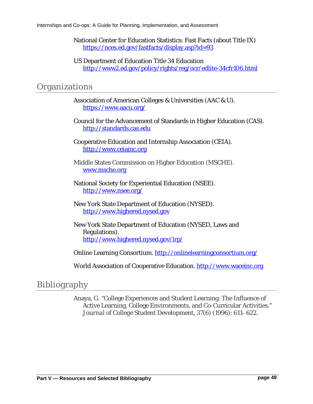National Center for Education Statistics: Fast Facts (about Title IX) <https://nces.ed.gov/fastfacts/display.asp?id=93>

US Department of Education Title 34 Education <http://www2.ed.gov/policy/rights/reg/ocr/edlite-34cfr106.html>

## **Organizations**

Association of American Colleges & Universities (AAC & U). <https://www.aacu.org/>

Council for the Advancement of Standards in Higher Education (CAS). [http://standards.cas.edu](http://standards.cas.edu/)

Cooperative Education and Internship Association (CEIA). [http://www.ceiainc.org](http://www.ceiainc.org/)

Middle States Commission on Higher Education (MSCHE). [www.msche.org](http://www.msche.org/)

National Society for Experiential Education (NSEE). <http://www.nsee.org/>

New York State Department of Education (NYSED). [http://www.highered.nysed.gov](http://www.highered.nysed.gov/)

New York State Department of Education (NYSED, Laws and Regulations). <http://www.highered.nysed.gov/lrp/>

Online Learning Consortium. <http://onlinelearningconsortium.org/>

World Association of Cooperative Education. [http://www.waceinc.org](http://www.waceinc.org/)

# Bibliography

Anaya, G. "College Experiences and Student Learning: The Influence of Active Learning, College Environments, and Co-Curricular Activities." *Journal of College Student Development*, 37(6) (1996): 611- 622.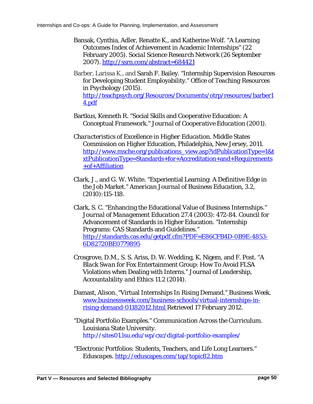- Bansak, Cynthia, Adler, Renatte K., and Katherine Wolf. "A Learning Outcomes Index of Achievement in Academic Internships" (22 February 2005). *Social Science Research Network* (26 September 2007). <http://ssrn.com/abstract=684421>
- Barber, Larissa K., and Sarah F. Bailey. "Internship Supervision Resources for Developing Student Employability." *Office of Teaching Resources in Psychology* (2015). [http://teachpsych.org/Resources/Documents/otrp/resources/barber1](http://teachpsych.org/Resources/Documents/otrp/resources/barber14.pdf) [4.pdf](http://teachpsych.org/Resources/Documents/otrp/resources/barber14.pdf)
- Bartkus, Kenneth R. "Social Skills and Cooperative Education: A Conceptual Framework." *Journal of Cooperative Education* (2001).
- *Characteristics of Excellence in Higher Education*. Middle States Commission on Higher Education, Philadelphia, New Jersey, 2011. [http://www.msche.org/publications\\_view.asp?idPublicationType=1&t](http://www.msche.org/publications_view.asp?idPublicationType=1&txtPublicationType=Standards+for+Accreditation+and+Requirements+of+Affiliation) [xtPublicationType=Standards+for+Accreditation+and+Requirements](http://www.msche.org/publications_view.asp?idPublicationType=1&txtPublicationType=Standards+for+Accreditation+and+Requirements+of+Affiliation) [+of+Affiliation](http://www.msche.org/publications_view.asp?idPublicationType=1&txtPublicationType=Standards+for+Accreditation+and+Requirements+of+Affiliation)
- Clark, J., and G. W. White. "Experiential Learning: A Definitive Edge in the Job Market." *American Journal of Business Education*, 3.2, (2010):115-118.
- Clark, S. C. "Enhancing the Educational Value of Business Internships." *Journal of Management Education* 27.4 (2003): 472-84. Council for Advancement of Standards in Higher Education. "Internship Programs: CAS Standards and Guidelines." [http://standards.cas.edu/getpdf.cfm?PDF=E86CFB4D-0B9E-4853-](http://standards.cas.edu/getpdf.cfm?PDF=E86CFB4D-0B9E-4853-6D82720BE0779895) [6D82720BE0779895](http://standards.cas.edu/getpdf.cfm?PDF=E86CFB4D-0B9E-4853-6D82720BE0779895)
- Crosgrove, D.M., S. S. Ariss, D. W. Wedding, K. Nigem, and F. Post. "A *Black Swan* for Fox Entertainment Group: How To Avoid FLSA Violations when Dealing with Interns." *Journal of Leadership, Accountability and Ethics* 11.2 (2014).
- Damast, Alison. "Virtual Internships In Rising Demand." *Business Week*. [www.businessweek.com/business-schools/virtual-internships-in](http://www.businessweek.com/business-schools/virtual-internships-in-rising-demand-01182012.html)[rising-demand-01182012.html](http://www.businessweek.com/business-schools/virtual-internships-in-rising-demand-01182012.html) Retrieved 17 February 2012.
- "Digital Portfolio Examples." *Communication Across the Curriculum*. Louisiana State University. <http://sites01.lsu.edu/wp/cxc/digital-portfolio-examples/>
- "Electronic Portfolios: Students, Teachers, and Life Long Learners." *Eduscapes*.<http://eduscapes.com/tap/topic82.htm>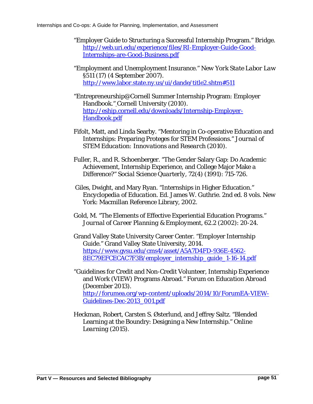- "Employer Guide to Structuring a Successful Internship Program." *Bridge*. [http://web.uri.edu/experience/files/RI-Employer-Guide-Good-](http://web.uri.edu/experience/files/RI-Employer-Guide-Good-Internships-are-Good-Business.pdf)[Internships-are-Good-Business.pdf](http://web.uri.edu/experience/files/RI-Employer-Guide-Good-Internships-are-Good-Business.pdf)
- "Employment and Unemployment Insurance." *New York State Labor Law* §511 (17) (4 September 2007). [http://www.labor.state.ny.us/ui/dande/title2.shtm#511](http://www.labor.state.ny.us/ui/dande/title2.shtm%23511)
- "Entrepreneurship@Cornell Summer Internship Program: Employer Handbook." Cornell University (2010). [http://eship.cornell.edu/downloads/Internship-Employer-](http://eship.cornell.edu/downloads/Internship-Employer-Handbook.pdf)[Handbook.pdf](http://eship.cornell.edu/downloads/Internship-Employer-Handbook.pdf)
- Fifolt, Matt, and Linda Searby. "Mentoring in Co-operative Education and Internships: Preparing Proteges for STEM Professions." *Journal of STEM Education: Innovations and Research* (2010).
- Fuller, R., and R. Schoenberger. "The Gender Salary Gap: Do Academic Achievement, Internship Experience, and College Major Make a Difference?" *Social Science Quarterly*, 72(4) (1991): 715-726.
- Giles, Dwight, and Mary Ryan. "Internships in Higher Education." *Encyclopedia of Education*. Ed. James W. Guthrie. 2nd ed. 8 vols. New York: Macmillan Reference Library, 2002.
- Gold, M. "The Elements of Effective Experiential Education Programs." *Journal of Career Planning & Employment,* 62.2 (2002): 20-24.
- Grand Valley State University Career Center. "Employer Internship Guide." Grand Valley State University, 2014. [https://www.gvsu.edu/cms4/asset/A5A7D4FD-936E-4562-](https://www.gvsu.edu/cms4/asset/A5A7D4FD-936E-4562-8EC79EFCECAC7F3B/employer_internship_guide_1-16-14.pdf) [8EC79EFCECAC7F3B/employer\\_internship\\_guide\\_1-16-14.pdf](https://www.gvsu.edu/cms4/asset/A5A7D4FD-936E-4562-8EC79EFCECAC7F3B/employer_internship_guide_1-16-14.pdf)
- "Guidelines for Credit and Non-Credit Volunteer, Internship Experience and Work (VIEW) Programs Abroad." *Forum on Education Abroad* (December 2013). [http://forumea.org/wp-content/uploads/2014/10/ForumEA-VIEW-](http://forumea.org/wp-content/uploads/2014/10/ForumEA-VIEW-Guidelines-Dec-2013_001.pdf)[Guidelines-Dec-2013\\_001.pdf](http://forumea.org/wp-content/uploads/2014/10/ForumEA-VIEW-Guidelines-Dec-2013_001.pdf)
- Heckman, Robert, Carsten S. Østerlund, and Jeffrey Saltz. "Blended Learning at the Boundry: Designing a New Internship." *Online Learning* (2015).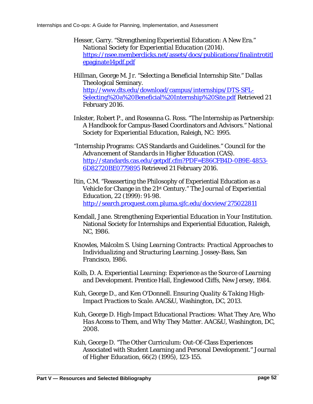- Hesser, Garry. "Strengthening Experiential Education: A New Era." *National Society for Experiential Education* (2014). [https://nsee.memberclicks.net/assets/docs/publications/finalintrotitl](https://nsee.memberclicks.net/assets/docs/publications/finalintrotitlepaginate14pdf.pdf) [epaginate14pdf.pdf](https://nsee.memberclicks.net/assets/docs/publications/finalintrotitlepaginate14pdf.pdf)
- Hillman, George M. Jr. "Selecting a Beneficial Internship Site." Dallas Theological Seminary. [http://www.dts.edu/download/campus/internships/DTS-SFL-](http://www.dts.edu/download/campus/internships/DTS-SFL-Selecting%20a%20Beneficial%20Internship%20Site.pdf)[Selecting%20a%20Beneficial%20Internship%20Site.pdf](http://www.dts.edu/download/campus/internships/DTS-SFL-Selecting%20a%20Beneficial%20Internship%20Site.pdf) Retrieved 21 February 2016.
- Inkster, Robert P., and Roseanna G. Ross. "The Internship as Partnership: A Handbook for Campus-Based Coordinators and Advisors." *National Society for Experiential Education*, Raleigh, NC: 1995.
- "Internship Programs: CAS Standards and Guidelines." *Council for the Advancement of Standards in Higher Education (CAS)*. [http://standards.cas.edu/getpdf.cfm?PDF=E86CFB4D-0B9E-4853-](http://standards.cas.edu/getpdf.cfm?PDF=E86CFB4D-0B9E-4853-6D82720BE0779895) [6D82720BE0779895](http://standards.cas.edu/getpdf.cfm?PDF=E86CFB4D-0B9E-4853-6D82720BE0779895) Retrieved 21 February 2016.
- Itin, C.M. "Reasserting the Philosophy of Experiential Education as a Vehicle for Change in the 21st Century." *The Journal of Experiential Education*, 22 (1999): 91-98. <http://search.proquest.com.pluma.sjfc.edu/docview/275022811>
- Kendall, Jane. *Strengthening Experiential Education in Your Institution*. National Society for Internships and Experiential Education, Raleigh, NC, 1986.
- Knowles, Malcolm S. *Using Learning Contracts: Practical Approaches to Individualizing and Structuring Learning*. Jossey-Bass, San Francisco, 1986.
- Kolb, D. A. *Experiential Learning*: *Experience as the Source of Learning and Development.* Prentice Hall, Englewood Cliffs, New Jersey, 1984.
- Kuh, George D., and Ken O'Donnell. *Ensuring Quality & Taking High-Impact Practices to Scale*. AAC&U, Washington, DC, 2013.
- Kuh, George D. *High-Impact Educational Practices: What They Are, Who Has Access to Them, and Why They Matter*. AAC&U, Washington, DC, 2008.
- Kuh, George D. "The Other Curriculum: Out-Of-Class Experiences Associated with Student Learning and Personal Development." *Journal of Higher Education*, 66(2) (1995), 123-155.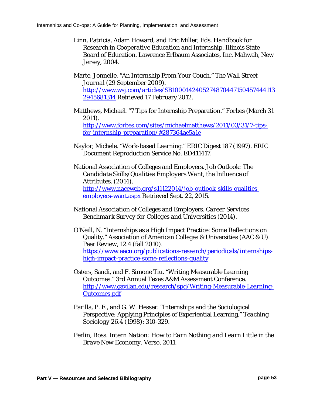Linn, Patricia, Adam Howard, and Eric Miller, Eds. *Handbook for Research in Cooperative Education and Internship*. Illinois State Board of Education. Lawrence Erlbaum Associates, Inc. Mahwah, New Jersey, 2004.

Marte, Jonnelle. ["An Internship From Your Couch."](http://online.wsj.com/article/SB10001424052748704471504574441132945681314.html) *The Wall Street Journal* (29 September 2009). [http://www.wsj.com/articles/SB1000142405274870447150457444113](http://www.wsj.com/articles/SB10001424052748704471504574441132945681314) [2945681314](http://www.wsj.com/articles/SB10001424052748704471504574441132945681314) Retrieved 17 February 2012.

- Matthews, Michael. "7 Tips for Internship Preparation." *Forbes* (March 31 2011). [http://www.forbes.com/sites/michaelmatthews/2011/03/31/7-tips](http://www.forbes.com/sites/michaelmatthews/2011/03/31/7-tips-for-internship-preparation/%23287364ae5a1e)[for-internship-preparation/#287364ae5a1e](http://www.forbes.com/sites/michaelmatthews/2011/03/31/7-tips-for-internship-preparation/%23287364ae5a1e)
- Naylor, Michele. "Work-based Learning." *ERIC Digest* 187 (1997). ERIC Document Reproduction Service No. ED411417.
- National Association of Colleges and Employers. *Job Outlook: The Candidate Skills/Qualities Employers Want, the Influence of Attributes*. (2014). [http://www.naceweb.org/s11122014/job-outlook-skills-qualities](http://www.naceweb.org/s11122014/job-outlook-skills-qualities-employers-want.aspx)[employers-want.aspx](http://www.naceweb.org/s11122014/job-outlook-skills-qualities-employers-want.aspx) Retrieved Sept. 22, 2015.
- National Association of Colleges and Employers. *Career Services Benchmark Survey for Colleges and Universities* (2014).
- O'Neill, N. "Internships as a High Impact Practice: Some Reflections on Quality." Association of American Colleges & Universities (AAC & U). *Peer Review*, 12.4 (fall 2010). [https://www.aacu.org/publications-research/periodicals/internships](https://www.aacu.org/publications-research/periodicals/internships-high-impact-practice-some-reflections-quality)[high-impact-practice-some-reflections-quality](https://www.aacu.org/publications-research/periodicals/internships-high-impact-practice-some-reflections-quality)
- Osters, Sandi, and F. Simone Tiu. "Writing Measurable Learning Outcomes." 3rd Annual Texas A&M Assessment Conference. [http://www.gavilan.edu/research/spd/Writing-Measurable-Learning-](http://www.gavilan.edu/research/spd/Writing-Measurable-Learning-Outcomes.pdf)[Outcomes.pdf](http://www.gavilan.edu/research/spd/Writing-Measurable-Learning-Outcomes.pdf)
- Parilla, P. F., and G. W. Hesser. "Internships and the Sociological Perspective: Applying Principles of Experiential Learning." *Teaching Sociology* 26.4 (1998): 310-329.
- Perlin, Ross. *Intern Nation: How to Earn Nothing and Learn Little in the Brave New Economy*. Verso, 2011.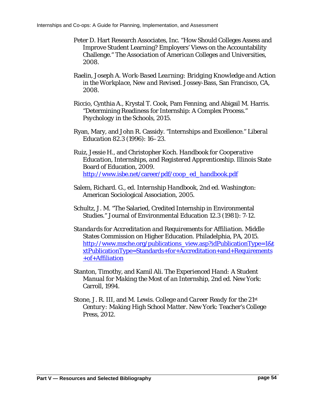- Peter D. Hart Research Associates, Inc. "How Should Colleges Assess and Improve Student Learning? Employers' Views on the Accountability Challenge." *The Association of American Colleges and Universities*, 2008.
- Raelin, Joseph A. *Work-Based Learning: Bridging Knowledge and Action in the Workplace, New and Revised*. Jossey-Bass, San Francisco, CA, 2008.
- Riccio, Cynthia A., Krystal T. Cook, Pam Fenning, and Abigail M. Harris. "Determining Readiness for Internship: A Complex Process." *Psychology in the Schools*, 2015.
- Ryan, Mary, and John R. Cassidy. "Internships and Excellence." *Liberal Education* 82.3 (1996): 16–23.
- Ruiz, Jessie H., and Christopher Koch. *Handbook for Cooperative Education, Internships, and Registered Apprenticeship*. Illinois State Board of Education, 2009. [http://www.isbe.net/career/pdf/coop\\_ed\\_handbook.pdf](http://www.isbe.net/career/pdf/coop_ed_handbook.pdf)
- Salem, Richard. G., ed. *Internship Handbook*, 2nd ed. Washington: American Sociological Association, 2005.
- Schultz, J. M. "The Salaried, Credited Internship in Environmental Studies." Journal of Environmental Education 12.3 (1981): 7-12.
- *Standards for Accreditation and Requirements for Affiliation*. Middle States Commission on Higher Education. Philadelphia, PA, 2015. [http://www.msche.org/publications\\_view.asp?idPublicationType=1&t](http://www.msche.org/publications_view.asp?idPublicationType=1&txtPublicationType=Standards+for+Accreditation+and+Requirements+of+Affiliation) [xtPublicationType=Standards+for+Accreditation+and+Requirements](http://www.msche.org/publications_view.asp?idPublicationType=1&txtPublicationType=Standards+for+Accreditation+and+Requirements+of+Affiliation) [+of+Affiliation](http://www.msche.org/publications_view.asp?idPublicationType=1&txtPublicationType=Standards+for+Accreditation+and+Requirements+of+Affiliation)
- Stanton, Timothy, and Kamil Ali. *The Experienced Hand: A Student Manual for Making the Most of an Internship*, 2nd ed. New York: Carroll, 1994.
- Stone, J. R. III, and M. Lewis. *College and Career Ready for the 21st Century: Making High School Matter.* New York: Teacher's College Press, 2012.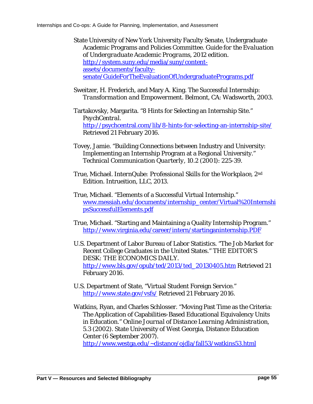State University of New York University Faculty Senate, Undergraduate Academic Programs and Policies Committee. *Guide for the Evaluation of Undergraduate Academic Programs*, 2012 edition. [http://system.suny.edu/media/suny/content](http://system.suny.edu/media/suny/content-assets/documents/faculty-senate/GuideForTheEvaluationOfUndergraduatePrograms.pdf)[assets/documents/faculty](http://system.suny.edu/media/suny/content-assets/documents/faculty-senate/GuideForTheEvaluationOfUndergraduatePrograms.pdf)[senate/GuideForTheEvaluationOfUndergraduatePrograms.pdf](http://system.suny.edu/media/suny/content-assets/documents/faculty-senate/GuideForTheEvaluationOfUndergraduatePrograms.pdf)

Sweitzer, H. Frederich, and Mary A. King. *The Successful Internship: Transformation and Empowerment*. Belmont, CA: Wadsworth, 2003.

Tartakovsky, Margarita. "8 Hints for Selecting an Internship Site." *PsychCentral*. <http://psychcentral.com/lib/8-hints-for-selecting-an-internship-site/> Retrieved 21 February 2016.

- Tovey, Jamie. "Building Connections between Industry and University: Implementing an Internship Program at a Regional University." *Technical Communication Quarterly*, 10.2 (2001): 225-39.
- True, Michael. *InternQube: Professional Skills for the Workplace*, 2nd Edition. Intrueition, LLC, 2013.
- True, Michael. "Elements of a Successful Virtual Internship." [www.messiah.edu/documents/internship\\_center/Virtual%20Internshi](http://www.messiah.edu/documents/internship_center/Virtual%20InternshipsSuccessfulElements.pdf) [psSuccessfulElements.pdf](http://www.messiah.edu/documents/internship_center/Virtual%20InternshipsSuccessfulElements.pdf)
- True, Michael. "Starting and Maintaining a Quality Internship Program." <http://www.virginia.edu/career/intern/startinganinternship.PDF>
- U.S. Department of Labor Bureau of Labor Statistics. "The Job Market for Recent College Graduates in the United States." THE EDITOR'S DESK: THE ECONOMICS DAILY. [http://www.bls.gov/opub/ted/2013/ted\\_20130405.htm](http://www.bls.gov/opub/ted/2013/ted_20130405.htm) Retrieved 21 February 2016.
- U.S. Department of State, "Virtual Student Foreign Service." <http://www.state.gov/vsfs/> Retrieved 21 February 2016.
- Watkins, Ryan, and Charles Schlosser. "Moving Past Time as the Criteria: The Application of Capabilities-Based Educational Equivalency Units in Education." *Online Journal of Distance Learning Administration,* 5.3 (2002). State University of West Georgia, Distance Education Center (6 September 2007). [http://www.westga.edu/~distance/ojdla/fall53/watkins53.html](http://www.westga.edu/%7Edistance/ojdla/fall53/watkins53.html)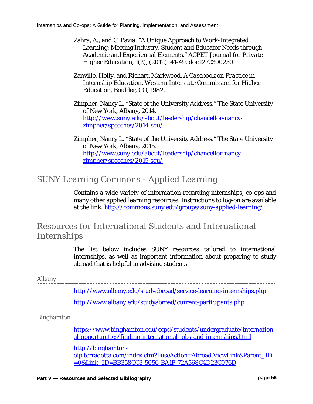- Zahra, A., and C. Pavia. "A Unique Approach to Work-Integrated Learning: Meeting Industry, Student and Educator Needs through Academic and Experiential Elements." *ACPET Journal for Private Higher Education*, 1(2), (2012): 41-49. doi:1272300250.
- Zanville, Holly, and Richard Markwood. *A Casebook on Practice in Internship Education*. Western Interstate Commission for Higher Education, Boulder, CO, 1982.
- Zimpher, Nancy L. "State of the University Address." The State University of New York, Albany, 2014. [http://www.suny.edu/about/leadership/chancellor-nancy](http://www.suny.edu/about/leadership/chancellor-nancy-zimpher/speeches/2014-sou/)[zimpher/speeches/2014-sou/](http://www.suny.edu/about/leadership/chancellor-nancy-zimpher/speeches/2014-sou/)
- Zimpher, Nancy L. "State of the University Address." The State University of New York, Albany, 2015. [http://www.suny.edu/about/leadership/chancellor-nancy](http://www.suny.edu/about/leadership/chancellor-nancy-zimpher/speeches/2015-sou/)[zimpher/speeches/2015-sou/](http://www.suny.edu/about/leadership/chancellor-nancy-zimpher/speeches/2015-sou/)

# SUNY Learning Commons - Applied Learning

Contains a wide variety of information regarding internships, co-ops and many other applied learning resources. Instructions to log-on are available at the link: [http://commons.suny.edu/groups/suny-applied-learning/.](http://commons.suny.edu/groups/suny-applied-learning/)

# Resources for International Students and International Internships

The list below includes SUNY resources tailored to international internships, as well as important information about preparing to study abroad that is helpful in advising students.

#### Albany

<http://www.albany.edu/studyabroad/service-learning-internships.php>

<http://www.albany.edu/studyabroad/current-participants.php>

#### Binghamton

[https://www.binghamton.edu/ccpd/students/undergraduate/internation](https://www.binghamton.edu/ccpd/students/undergraduate/international-opportunities/finding-international-jobs-and-internships.html) [al-opportunities/finding-international-jobs-and-internships.html](https://www.binghamton.edu/ccpd/students/undergraduate/international-opportunities/finding-international-jobs-and-internships.html)

[http://binghamton](http://binghamton-oip.terradotta.com/index.cfm?FuseAction=Abroad.ViewLink&Parent_ID=0&Link_ID=BB358CC3-5056-BA1F-72A568C4D23C076D)[oip.terradotta.com/index.cfm?FuseAction=Abroad.ViewLink&Parent\\_ID](http://binghamton-oip.terradotta.com/index.cfm?FuseAction=Abroad.ViewLink&Parent_ID=0&Link_ID=BB358CC3-5056-BA1F-72A568C4D23C076D) [=0&Link\\_ID=BB358CC3-5056-BA1F-72A568C4D23C076D](http://binghamton-oip.terradotta.com/index.cfm?FuseAction=Abroad.ViewLink&Parent_ID=0&Link_ID=BB358CC3-5056-BA1F-72A568C4D23C076D)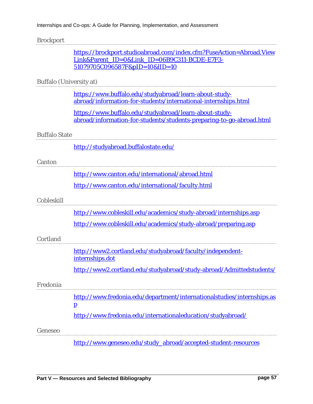#### Brockport

|                         | https://brockport.studioabroad.com/index.cfm?FuseAction=Abroad.View<br>Link&Parent ID=0&Link ID=06B9C311-BCDE-E7F3-<br>51079705C096587F&pID=10&lID=10 |
|-------------------------|-------------------------------------------------------------------------------------------------------------------------------------------------------|
| Buffalo (University at) |                                                                                                                                                       |
|                         | https://www.buffalo.edu/studyabroad/learn-about-study-<br>abroad/information-for-students/international-internships.html                              |
|                         | https://www.buffalo.edu/studyabroad/learn-about-study-<br>abroad/information-for-students/students-preparing-to-go-abroad.html                        |
| <b>Buffalo State</b>    |                                                                                                                                                       |
|                         | http://studyabroad.buffalostate.edu/                                                                                                                  |
| Canton                  |                                                                                                                                                       |
|                         | http://www.canton.edu/international/abroad.html                                                                                                       |
|                         | http://www.canton.edu/international/faculty.html                                                                                                      |
| Cobleskill              |                                                                                                                                                       |
|                         | http://www.cobleskill.edu/academics/study-abroad/internships.asp                                                                                      |
|                         | http://www.cobleskill.edu/academics/study-abroad/preparing.asp                                                                                        |
| Cortland                |                                                                                                                                                       |
|                         | http://www2.cortland.edu/studyabroad/faculty/independent-<br>internships.dot                                                                          |
|                         | http://www2.cortland.edu/studyabroad/study-abroad/Admittedstudents/                                                                                   |
| Fredonia                |                                                                                                                                                       |
|                         | http://www.fredonia.edu/department/internationalstudies/internships.as<br>$\mathbf{p}$                                                                |
|                         | http://www.fredonia.edu/internationaleducation/studyabroad/                                                                                           |
| Geneseo                 |                                                                                                                                                       |
|                         | http://www.geneseo.edu/study_abroad/accepted-student-resources                                                                                        |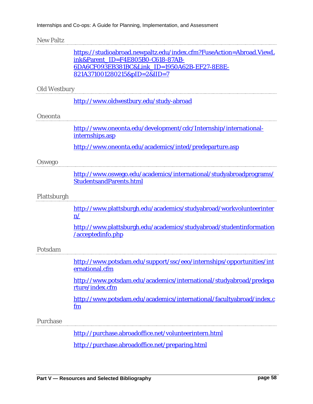#### New Paltz

|                     | https://studioabroad.newpaltz.edu/index.cfm?FuseAction=Abroad.ViewL                           |
|---------------------|-----------------------------------------------------------------------------------------------|
|                     | ink&Parent ID=F4E805B0-C618-87AB-                                                             |
|                     | 6DA6CF093EB381BC&Link_ID=1950A62B-EF27-8E8E-                                                  |
|                     | 821A371001280215&pID=2&lID=7                                                                  |
| <b>Old Westbury</b> |                                                                                               |
|                     | http://www.oldwestbury.edu/study-abroad                                                       |
| Oneonta             |                                                                                               |
|                     | http://www.oneonta.edu/development/cdc/Internship/international-<br>internships.asp           |
|                     | http://www.oneonta.edu/academics/inted/predeparture.asp                                       |
| Oswego              |                                                                                               |
|                     | http://www.oswego.edu/academics/international/studyabroadprograms/<br>StudentsandParents.html |
| Plattsburgh         |                                                                                               |
|                     | http://www.plattsburgh.edu/academics/studyabroad/workvolunteerinter<br>$\mathbf{n}$ /         |
|                     | http://www.plattsburgh.edu/academics/studyabroad/studentinformation<br>/acceptedinfo.php      |
| Potsdam             |                                                                                               |
|                     | http://www.potsdam.edu/support/ssc/eeo/internships/opportunities/int<br>ernational.cfm        |
|                     | http://www.potsdam.edu/academics/international/studyabroad/predepa<br>rture/index.cfm         |
|                     | http://www.potsdam.edu/academics/international/facultyabroad/index.c<br>fm                    |
| Purchase            |                                                                                               |
|                     | http://purchase.abroadoffice.net/volunteerintern.html                                         |

<http://purchase.abroadoffice.net/preparing.html>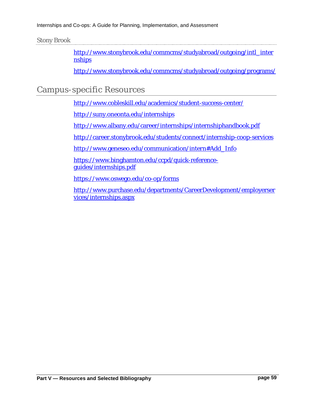#### Stony Brook

[http://www.stonybrook.edu/commcms/studyabroad/outgoing/intl\\_inter](http://www.stonybrook.edu/commcms/studyabroad/outgoing/intl_internships) [nships](http://www.stonybrook.edu/commcms/studyabroad/outgoing/intl_internships)

<http://www.stonybrook.edu/commcms/studyabroad/outgoing/programs/>

## Campus-specific Resources

<http://www.cobleskill.edu/academics/student-success-center/>

<http://suny.oneonta.edu/internships>

<http://www.albany.edu/career/internships/internshiphandbook.pdf>

<http://career.stonybrook.edu/students/connect/internship-coop-services>

[http://www.geneseo.edu/communication/intern#Add\\_Info](http://www.geneseo.edu/communication/intern%23Add_Info)

[https://www.binghamton.edu/ccpd/quick-reference](https://www.binghamton.edu/ccpd/quick-reference-guides/internships.pdf)[guides/internships.pdf](https://www.binghamton.edu/ccpd/quick-reference-guides/internships.pdf)

<https://www.oswego.edu/co-op/forms>

[http://www.purchase.edu/departments/CareerDevelopment/employerser](http://www.purchase.edu/departments/CareerDevelopment/employerservices/internships.aspx) [vices/internships.aspx](http://www.purchase.edu/departments/CareerDevelopment/employerservices/internships.aspx)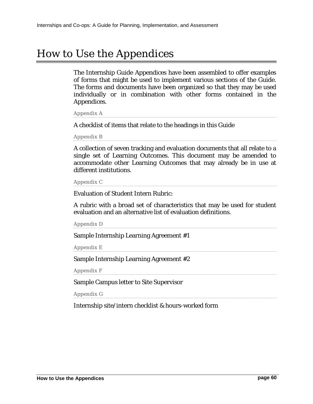# How to Use the Appendices

The Internship Guide Appendices have been assembled to offer examples of forms that might be used to implement various sections of the Guide. The forms and documents have been organized so that they may be used individually or in combination with other forms contained in the Appendices.

Appendix A

A checklist of items that relate to the headings in this Guide

Appendix B

A collection of seven tracking and evaluation documents that all relate to a single set of Learning Outcomes. This document may be amended to accommodate other Learning Outcomes that may already be in use at different institutions.

Appendix C

Evaluation of Student Intern Rubric:

A rubric with a broad set of characteristics that may be used for student evaluation and an alternative list of evaluation definitions.

Appendix D

Sample Internship Learning Agreement #1

Appendix E

Sample Internship Learning Agreement #2

Appendix F

Sample Campus letter to Site Supervisor

Appendix G

Internship site/intern checklist & hours-worked form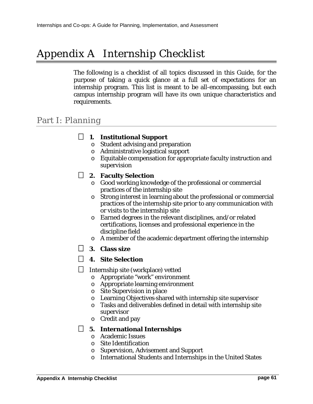# Appendix A Internship Checklist

The following is a checklist of all topics discussed in this Guide, for the purpose of taking a quick glance at a full set of expectations for an internship program. This list is meant to be all-encompassing, but each campus internship program will have its own unique characteristics and requirements.

## Part I: Planning

#### **1. Institutional Support**

- o Student advising and preparation
- o Administrative logistical support
- o Equitable compensation for appropriate faculty instruction and supervision

#### **2. Faculty Selection**

- o Good working knowledge of the professional or commercial practices of the internship site
- o Strong interest in learning about the professional or commercial practices of the internship site prior to any communication with or visits to the internship site
- o Earned degrees in the relevant disciplines, and/or related certifications, licenses and professional experience in the discipline field
- o A member of the academic department offering the internship
- **3. Class size**

#### **4. Site Selection**

 $\Box$  Internship site (workplace) vetted

- o Appropriate "work" environment
- o Appropriate learning environment
- o Site Supervision in place
- o Learning Objectives shared with internship site supervisor
- o Tasks and deliverables defined in detail with internship site supervisor
- o Credit and pay

#### **5. International Internships**

- o Academic Issues
- o Site Identification
- o Supervision, Advisement and Support
- o International Students and Internships in the United States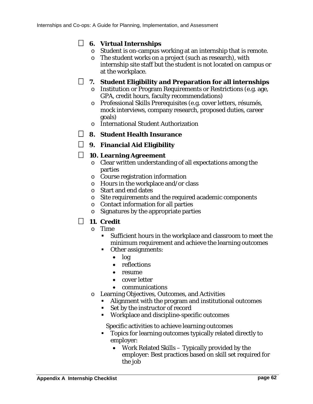### **6. Virtual Internships**

- o Student is on-campus working at an internship that is remote.
- o The student works on a project (such as research), with internship site staff but the student is not located on campus or at the workplace.

### **7. Student Eligibility and Preparation for all internships**

- o Institution or Program Requirements or Restrictions (e.g. age, GPA, credit hours, faculty recommendations)
- o Professional Skills Prerequisites (e.g. cover letters, résumés, mock interviews, company research, proposed duties, career goals)
- o International Student Authorization
- **8. Student Health Insurance**
- **9. Financial Aid Eligibility**

### **10. Learning Agreement**

- o Clear written understanding of all expectations among the parties
- o Course registration information
- o Hours in the workplace and/or class
- o Start and end dates
- o Site requirements and the required academic components
- o Contact information for all parties
- o Signatures by the appropriate parties

### **11. Credit**

- $\circ$  Time
	- Sufficient hours in the workplace and classroom to meet the minimum requirement and achieve the learning outcomes
	- **•** Other assignments:
		- log
		- reflections
		- resume
		- cover letter
		- communications
- o Learning Objectives, Outcomes, and Activities
	- Alignment with the program and institutional outcomes
		- Set by the instructor of record
		- Workplace and discipline-specific outcomes

Specific activities to achieve learning outcomes

- Topics for learning outcomes typically related directly to employer:
	- Work Related Skills Typically provided by the employer: Best practices based on skill set required for the job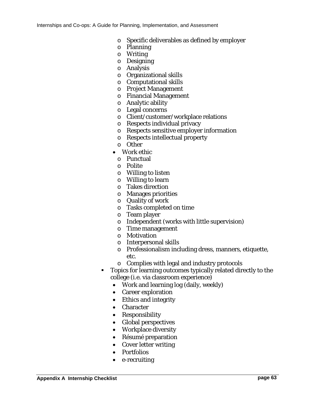- o Specific deliverables as defined by employer
- o Planning
- o Writing
- o Designing
- o Analysis
- o Organizational skills
- o Computational skills
- o Project Management
- o Financial Management
- o Analytic ability
- o Legal concerns
- o Client/customer/workplace relations
- o Respects individual privacy
- o Respects sensitive employer information
- o Respects intellectual property
- o Other
- Work ethic
	- o Punctual
	- o Polite
- o Willing to listen
- o Willing to learn
- o Takes direction
- o Manages priorities
- o Quality of work
- o Tasks completed on time
- o Team player
- o Independent (works with little supervision)
- o Time management
- o Motivation
- o Interpersonal skills
- o Professionalism including dress, manners, etiquette, etc.
- o Complies with legal and industry protocols
- Topics for learning outcomes typically related directly to the college (i.e. via classroom experience)
	- Work and learning log (daily, weekly)
	- Career exploration
	- Ethics and integrity
	- Character
	- Responsibility
	- Global perspectives
	- Workplace diversity
	- Résumé preparation
	- Cover letter writing
	- Portfolios
	- e-recruiting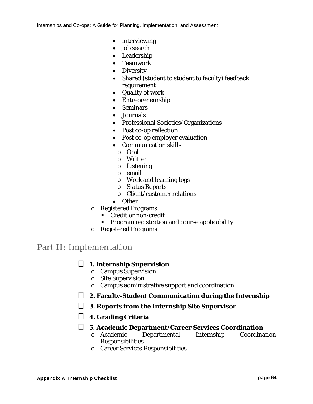- interviewing
- job search
- Leadership
- Teamwork
- Diversity
- Shared (student to student to faculty) feedback requirement
- Quality of work
- Entrepreneurship
- Seminars
- Journals
- Professional Societies/Organizations
- Post co-op reflection
- Post co-op employer evaluation
- Communication skills
	- o Oral
	- o Written
	- o Listening
- o email
- o Work and learning logs
- o Status Reports
- o Client/customer relations
- Other
- o Registered Programs
	- Credit or non-credit
	- **Program registration and course applicability**
- o Registered Programs

# Part II: Implementation

#### **1. Internship Supervision**

- o Campus Supervision
- o Site Supervision
- o Campus administrative support and coordination
- **2. Faculty-Student Communication during the Internship**
- **3. Reports from the Internship Site Supervisor**
- **4. Grading Criteria**
- **5. Academic Department/Career Services Coordination**
	- o Academic Departmental Internship Responsibilities
	- o Career Services Responsibilities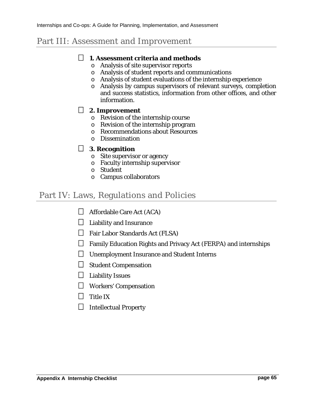# Part III: Assessment and Improvement

#### **1. Assessment criteria and methods**

- o Analysis of site supervisor reports
- o Analysis of student reports and communications
- o Analysis of student evaluations of the internship experience
- o Analysis by campus supervisors of relevant surveys, completion and success statistics, information from other offices, and other information.

#### **2. Improvement**

- o Revision of the internship course
- o Revision of the internship program
- o Recommendations about Resources
- o Dissemination

#### **3. Recognition**

- o Site supervisor or agency
- o Faculty internship supervisor
- o Student
- o Campus collaborators

## Part IV: Laws, Regulations and Policies

- $\Box$  Affordable Care Act (ACA)
- $\Box$  Liability and Insurance
- $\Box$  Fair Labor Standards Act (FLSA)
- $\Box$  Family Education Rights and Privacy Act (FERPA) and internships
- Unemployment Insurance and Student Interns
- $\Box$  Student Compensation
- $\Box$  Liability Issues
- Workers' Compensation
- $\Box$  Title IX
- $\Box$  Intellectual Property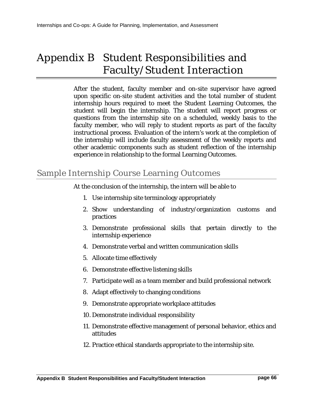# <span id="page-65-0"></span>Appendix B Student Responsibilities and Faculty/Student Interaction

After the student, faculty member and on-site supervisor have agreed upon specific on-site student activities and the total number of student internship hours required to meet the Student Learning Outcomes, the student will begin the internship. The student will report progress or questions from the internship site on a scheduled, weekly basis to the faculty member, who will reply to student reports as part of the faculty instructional process. Evaluation of the intern's work at the completion of the internship will include faculty assessment of the weekly reports and other academic components such as student reflection of the internship experience in relationship to the formal Learning Outcomes.

# Sample Internship Course Learning Outcomes

At the conclusion of the internship, the intern will be able to

- 1. Use internship site terminology appropriately
- 2. Show understanding of industry/organization customs and practices
- 3. Demonstrate professional skills that pertain directly to the internship experience
- 4. Demonstrate verbal and written communication skills
- 5. Allocate time effectively
- 6. Demonstrate effective listening skills
- 7. Participate well as a team member and build professional network
- 8. Adapt effectively to changing conditions
- 9. Demonstrate appropriate workplace attitudes
- 10. Demonstrate individual responsibility
- 11. Demonstrate effective management of personal behavior, ethics and attitudes
- 12. Practice ethical standards appropriate to the internship site.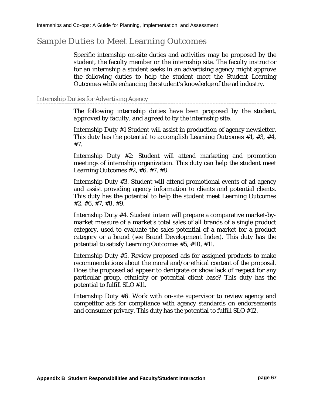## Sample Duties to Meet Learning Outcomes

Specific internship on-site duties and activities may be proposed by the student, the faculty member or the internship site. The faculty instructor for an internship a student seeks in an advertising agency might approve the following duties to help the student meet the Student Learning Outcomes while enhancing the student's knowledge of the ad industry.

#### Internship Duties for Advertising Agency

*The following internship duties have been proposed by the student, approved by faculty, and agreed to by the internship site.*

Internship Duty #1 Student will assist in production of agency newsletter. This duty has the potential to accomplish Learning Outcomes #1, #3, #4, #7.

Internship Duty #2: Student will attend marketing and promotion meetings of internship organization. This duty can help the student meet Learning Outcomes #2, #6, #7, #8.

Internship Duty #3. Student will attend promotional events of ad agency and assist providing agency information to clients and potential clients. This duty has the potential to help the student meet Learning Outcomes #2, #6, #7, #8, #9.

Internship Duty #4. Student intern will prepare a comparative market-bymarket measure of a market's total sales of all brands of a single product category, used to evaluate the sales potential of a market for a product category or a brand (see Brand Development Index). This duty has the potential to satisfy Learning Outcomes #5, #10, #11.

Internship Duty #5. Review proposed ads for assigned products to make recommendations about the moral and/or ethical content of the proposal. Does the proposed ad appear to denigrate or show lack of respect for any particular group, ethnicity or potential client base? This duty has the potential to fulfill SLO #11.

Internship Duty #6. Work with on-site supervisor to review agency and competitor ads for compliance with agency standards on endorsements and consumer privacy. This duty has the potential to fulfill SLO #12.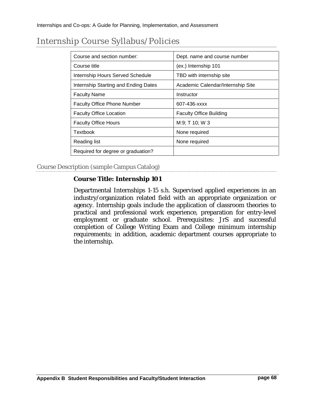| Course and section number:           | Dept. name and course number      |  |  |  |
|--------------------------------------|-----------------------------------|--|--|--|
| Course title                         | (ex.) Internship 101              |  |  |  |
| Internship Hours Served Schedule     | TBD with internship site          |  |  |  |
| Internship Starting and Ending Dates | Academic Calendar/Internship Site |  |  |  |
| <b>Faculty Name</b>                  | Instructor                        |  |  |  |
| <b>Faculty Office Phone Number</b>   | 607-436-xxxx                      |  |  |  |
| <b>Faculty Office Location</b>       | <b>Faculty Office Building</b>    |  |  |  |
| <b>Faculty Office Hours</b>          | M:9; T 10; W 3                    |  |  |  |
| Textbook                             | None required                     |  |  |  |
| Reading list                         | None required                     |  |  |  |
| Required for degree or graduation?   |                                   |  |  |  |

# Internship Course Syllabus/Policies

Course Description (sample Campus Catalog)

#### **Course Title: Internship 101**

Departmental Internships 1-15 s.h. Supervised applied experiences in an industry/organization related field with an appropriate organization or agency. Internship goals include the application of classroom theories to practical and professional work experience, preparation for entry-level employment or graduate school. Prerequisites: JrS and successful completion of College Writing Exam and College minimum internship requirements; in addition, academic department courses appropriate to the internship.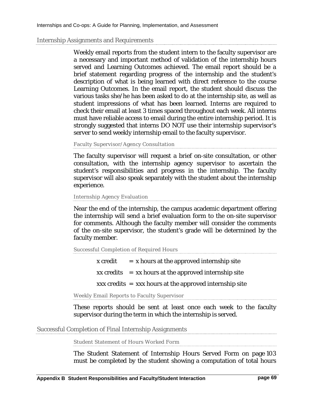#### Internship Assignments and Requirements

Weekly email reports from the student intern to the faculty supervisor are a necessary and important method of validation of the internship hours served and Learning Outcomes achieved. The email report should be a brief statement regarding progress of the internship and the student's description of what is being learned with direct reference to the course Learning Outcomes. In the email report, the student should discuss the various tasks she/he has been asked to do at the internship site, as well as student impressions of what has been learned. Interns are required to check their email at least 3 times spaced throughout each week. All interns must have reliable access to email during the entire internship period. It is strongly suggested that interns DO NOT use their internship supervisor's server to send weekly internship email to the faculty supervisor.

Faculty Supervisor/Agency Consultation

The faculty supervisor will request a brief on-site consultation, or other consultation, with the internship agency supervisor to ascertain the student's responsibilities and progress in the internship. The faculty supervisor will also speak separately with the student about the internship experience.

Internship Agency Evaluation

Near the end of the internship, the campus academic department offering the internship will send a brief evaluation form to the on-site supervisor for comments. Although the faculty member will consider the comments of the on-site supervisor, the student's grade will be determined by the faculty member.

Successful Completion of Required Hours

| x credit | $=$ x hours at the approved internship site                            |
|----------|------------------------------------------------------------------------|
|          | $xx \text{ credits} = xx \text{ hours at the approved intensity site}$ |
|          | $xxx$ credits $=$ xxx hours at the approved internship site            |

Weekly Email Reports to Faculty Supervisor

These reports should be sent at least once each week to the faculty supervisor during the term in which the internship is served.

Successful Completion of Final Internship Assignments

Student Statement of Hours Worked Form

The [Student Statement of Internship Hours Served Form](#page-102-0) on page [103](#page-102-0) must be completed by the student showing a computation of total hours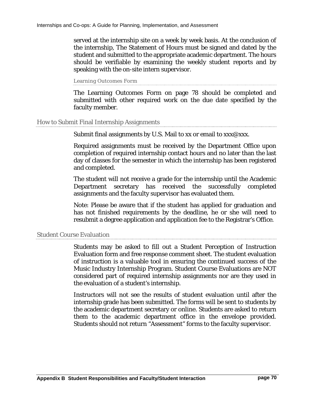served at the internship site on a week by week basis. At the conclusion of the internship, The Statement of Hours must be signed and dated by the student and submitted to the appropriate academic department. The hours should be verifiable by examining the weekly student reports and by speaking with the on-site intern supervisor.

Learning Outcomes Form

The Learning Outcomes Form on page [78](#page-77-0) should be completed and submitted with other required work on the due date specified by the faculty member.

#### How to Submit Final Internship Assignments

Submit final assignments by U.S. Mail to xx or email to  $xxx@xxx$ .

Required assignments must be received by the Department Office upon completion of required internship contact hours and no later than the last day of classes for the semester in which the internship has been registered and completed.

The student will not receive a grade for the internship until the Academic Department secretary has received the successfully completed assignments and the faculty supervisor has evaluated them.

Note: Please be aware that if the student has applied for graduation and has not finished requirements by the deadline, he or she will need to resubmit a degree application and application fee to the Registrar's Office.

#### Student Course Evaluation

Students may be asked to fill out a Student Perception of Instruction Evaluation form and free response comment sheet. The student evaluation of instruction is a valuable tool in ensuring the continued success of the Music Industry Internship Program. Student Course Evaluations are NOT considered part of required internship assignments nor are they used in the evaluation of a student's internship.

Instructors will not see the results of student evaluation until after the internship grade has been submitted. The forms will be sent to students by the academic department secretary or online. Students are asked to return them to the academic department office in the envelope provided. Students should not return "Assessment" forms to the faculty supervisor.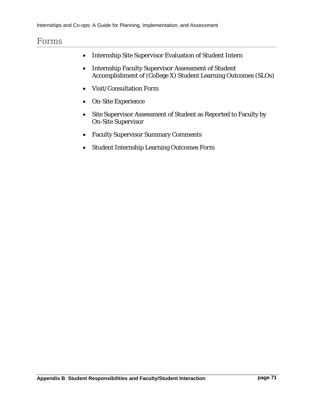## Forms

- Internship Site Supervisor Evaluation of Student Intern
- Internship Faculty Supervisor Assessment of Student Accomplishment of (College X) Student Learning Outcomes (SLOs)
- Visit/Consultation Form
- On-Site Experience
- Site Supervisor Assessment of Student as Reported to Faculty by On-Site Supervisor
- Faculty Supervisor Summary Comments
- Student Internship Learning Outcomes Form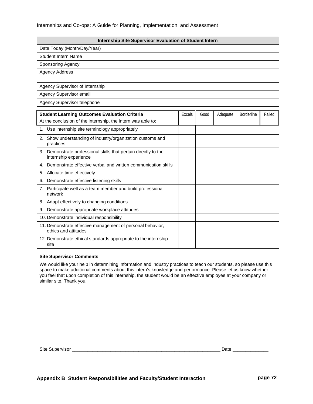| Internship Site Supervisor Evaluation of Student Intern |  |  |  |  |  |
|---------------------------------------------------------|--|--|--|--|--|
| Date Today (Month/Day/Year)                             |  |  |  |  |  |
| <b>Student Intern Name</b>                              |  |  |  |  |  |
| Sponsoring Agency                                       |  |  |  |  |  |
| Agency Address                                          |  |  |  |  |  |
| Agency Supervisor of Internship                         |  |  |  |  |  |
| Agency Supervisor email                                 |  |  |  |  |  |
| Agency Supervisor telephone                             |  |  |  |  |  |

| <b>Student Learning Outcomes Evaluation Criteria</b>                                     | Excels | Good | Adequate | <b>Borderline</b> | Failed |
|------------------------------------------------------------------------------------------|--------|------|----------|-------------------|--------|
| At the conclusion of the internship, the intern was able to:                             |        |      |          |                   |        |
| 1. Use internship site terminology appropriately                                         |        |      |          |                   |        |
| Show understanding of industry/organization customs and<br>2.<br>practices               |        |      |          |                   |        |
| 3. Demonstrate professional skills that pertain directly to the<br>internship experience |        |      |          |                   |        |
| Demonstrate effective verbal and written communication skills<br>4.                      |        |      |          |                   |        |
| Allocate time effectively<br>5.                                                          |        |      |          |                   |        |
| Demonstrate effective listening skills<br>6.                                             |        |      |          |                   |        |
| 7. Participate well as a team member and build professional<br>network                   |        |      |          |                   |        |
| 8. Adapt effectively to changing conditions                                              |        |      |          |                   |        |
| Demonstrate appropriate workplace attitudes<br>9.                                        |        |      |          |                   |        |
| 10. Demonstrate individual responsibility                                                |        |      |          |                   |        |
| 11. Demonstrate effective management of personal behavior,<br>ethics and attitudes       |        |      |          |                   |        |
| 12. Demonstrate ethical standards appropriate to the internship<br>site                  |        |      |          |                   |        |

#### **Site Supervisor Comments**

We would like your help in determining information and industry practices to teach our students, so please use this space to make additional comments about this intern's knowledge and performance. Please let us know whether you feel that upon completion of this internship, the student would be an effective employee at your company or similar site. Thank you.

Site Supervisor \_\_\_\_\_\_\_\_\_\_\_\_\_\_\_\_\_\_\_\_\_\_\_\_\_\_\_\_\_\_\_\_\_\_\_\_\_\_\_\_\_\_\_\_\_\_\_\_\_\_\_\_\_\_\_\_\_\_ Date \_\_\_\_\_\_\_\_\_\_\_\_\_\_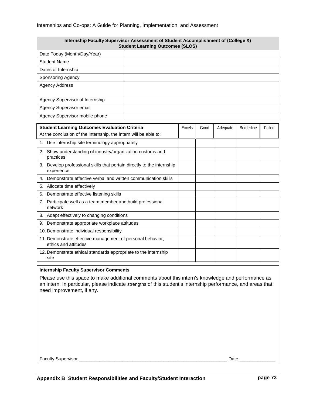| Internship Faculty Supervisor Assessment of Student Accomplishment of (College X)<br><b>Student Learning Outcomes (SLOS)</b> |  |  |  |  |  |
|------------------------------------------------------------------------------------------------------------------------------|--|--|--|--|--|
| Date Today (Month/Day/Year)                                                                                                  |  |  |  |  |  |
| <b>Student Name</b>                                                                                                          |  |  |  |  |  |
| Dates of Internship                                                                                                          |  |  |  |  |  |
| Sponsoring Agency                                                                                                            |  |  |  |  |  |
| <b>Agency Address</b>                                                                                                        |  |  |  |  |  |
|                                                                                                                              |  |  |  |  |  |
| Agency Supervisor of Internship                                                                                              |  |  |  |  |  |
| Agency Supervisor email                                                                                                      |  |  |  |  |  |
| Agency Supervisor mobile phone                                                                                               |  |  |  |  |  |

| <b>Student Learning Outcomes Evaluation Criteria</b>                                    | Excels | Good | Adequate | <b>Borderline</b> | Failed |
|-----------------------------------------------------------------------------------------|--------|------|----------|-------------------|--------|
| At the conclusion of the internship, the intern will be able to:                        |        |      |          |                   |        |
| 1. Use internship site terminology appropriately                                        |        |      |          |                   |        |
| Show understanding of industry/organization customs and<br>2.<br>practices              |        |      |          |                   |        |
| Develop professional skills that pertain directly to the internship<br>3.<br>experience |        |      |          |                   |        |
| Demonstrate effective verbal and written communication skills<br>4.                     |        |      |          |                   |        |
| Allocate time effectively<br>5.                                                         |        |      |          |                   |        |
| Demonstrate effective listening skills<br>6.                                            |        |      |          |                   |        |
| 7. Participate well as a team member and build professional<br>network                  |        |      |          |                   |        |
| 8. Adapt effectively to changing conditions                                             |        |      |          |                   |        |
| Demonstrate appropriate workplace attitudes<br>9.                                       |        |      |          |                   |        |
| 10. Demonstrate individual responsibility                                               |        |      |          |                   |        |
| 11. Demonstrate effective management of personal behavior,<br>ethics and attitudes      |        |      |          |                   |        |
| 12. Demonstrate ethical standards appropriate to the internship<br>site                 |        |      |          |                   |        |

#### **Internship Faculty Supervisor Comments**

Please use this space to make additional comments about this intern's knowledge and performance as an intern. In particular, please indicate strengths of this student's internship performance, and areas that need improvement, if any.

Faculty Supervisor \_\_\_\_\_\_\_\_\_\_\_\_\_\_\_\_\_\_\_\_\_\_\_\_\_\_\_\_\_\_\_\_\_\_\_\_\_\_\_\_\_\_\_\_\_\_\_\_\_\_\_\_\_\_\_\_\_\_ Date \_\_\_\_\_\_\_\_\_\_\_\_\_\_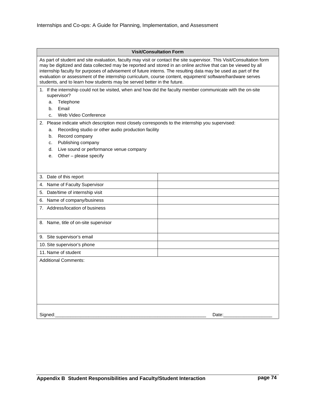|                                                                                                                                                                                                                                                                                                                                                                                                                                                                                                                                                    | <b>Visit/Consultation Form</b> |  |  |  |  |  |
|----------------------------------------------------------------------------------------------------------------------------------------------------------------------------------------------------------------------------------------------------------------------------------------------------------------------------------------------------------------------------------------------------------------------------------------------------------------------------------------------------------------------------------------------------|--------------------------------|--|--|--|--|--|
| As part of student and site evaluation, faculty may visit or contact the site supervisor. This Visit/Consultation form<br>may be digitized and data collected may be reported and stored in an online archive that can be viewed by all<br>internship faculty for purposes of advisement of future interns. The resulting data may be used as part of the<br>evaluation or assessment of the internship curriculum, course content, equipment/ software/hardware serves<br>students, and to learn how students may be served better in the future. |                                |  |  |  |  |  |
| 1. If the internship could not be visited, when and how did the faculty member communicate with the on-site<br>supervisor?                                                                                                                                                                                                                                                                                                                                                                                                                         |                                |  |  |  |  |  |
| Telephone<br>a.                                                                                                                                                                                                                                                                                                                                                                                                                                                                                                                                    |                                |  |  |  |  |  |
| Email<br>b.                                                                                                                                                                                                                                                                                                                                                                                                                                                                                                                                        |                                |  |  |  |  |  |
| Web Video Conference<br>C.                                                                                                                                                                                                                                                                                                                                                                                                                                                                                                                         |                                |  |  |  |  |  |
| 2.<br>Please indicate which description most closely corresponds to the internship you supervised:                                                                                                                                                                                                                                                                                                                                                                                                                                                 |                                |  |  |  |  |  |
| Recording studio or other audio production facility<br>a.                                                                                                                                                                                                                                                                                                                                                                                                                                                                                          |                                |  |  |  |  |  |
| Record company<br>b.                                                                                                                                                                                                                                                                                                                                                                                                                                                                                                                               |                                |  |  |  |  |  |
| Publishing company<br>c.<br>Live sound or performance venue company<br>d.                                                                                                                                                                                                                                                                                                                                                                                                                                                                          |                                |  |  |  |  |  |
| Other - please specify<br>е.                                                                                                                                                                                                                                                                                                                                                                                                                                                                                                                       |                                |  |  |  |  |  |
|                                                                                                                                                                                                                                                                                                                                                                                                                                                                                                                                                    |                                |  |  |  |  |  |
|                                                                                                                                                                                                                                                                                                                                                                                                                                                                                                                                                    |                                |  |  |  |  |  |
| 3. Date of this report                                                                                                                                                                                                                                                                                                                                                                                                                                                                                                                             |                                |  |  |  |  |  |
| Name of Faculty Supervisor<br>4.                                                                                                                                                                                                                                                                                                                                                                                                                                                                                                                   |                                |  |  |  |  |  |
| Date/time of internship visit<br>5.                                                                                                                                                                                                                                                                                                                                                                                                                                                                                                                |                                |  |  |  |  |  |
| Name of company/business<br>6.                                                                                                                                                                                                                                                                                                                                                                                                                                                                                                                     |                                |  |  |  |  |  |
| 7. Address/location of business                                                                                                                                                                                                                                                                                                                                                                                                                                                                                                                    |                                |  |  |  |  |  |
|                                                                                                                                                                                                                                                                                                                                                                                                                                                                                                                                                    |                                |  |  |  |  |  |
| 8. Name, title of on-site supervisor                                                                                                                                                                                                                                                                                                                                                                                                                                                                                                               |                                |  |  |  |  |  |
|                                                                                                                                                                                                                                                                                                                                                                                                                                                                                                                                                    |                                |  |  |  |  |  |
| 9. Site supervisor's email                                                                                                                                                                                                                                                                                                                                                                                                                                                                                                                         |                                |  |  |  |  |  |
| 10. Site supervisor's phone                                                                                                                                                                                                                                                                                                                                                                                                                                                                                                                        |                                |  |  |  |  |  |
| 11. Name of student                                                                                                                                                                                                                                                                                                                                                                                                                                                                                                                                |                                |  |  |  |  |  |
| <b>Additional Comments:</b>                                                                                                                                                                                                                                                                                                                                                                                                                                                                                                                        |                                |  |  |  |  |  |
|                                                                                                                                                                                                                                                                                                                                                                                                                                                                                                                                                    |                                |  |  |  |  |  |
|                                                                                                                                                                                                                                                                                                                                                                                                                                                                                                                                                    |                                |  |  |  |  |  |
|                                                                                                                                                                                                                                                                                                                                                                                                                                                                                                                                                    |                                |  |  |  |  |  |
|                                                                                                                                                                                                                                                                                                                                                                                                                                                                                                                                                    |                                |  |  |  |  |  |
|                                                                                                                                                                                                                                                                                                                                                                                                                                                                                                                                                    |                                |  |  |  |  |  |
|                                                                                                                                                                                                                                                                                                                                                                                                                                                                                                                                                    |                                |  |  |  |  |  |
| Signed:                                                                                                                                                                                                                                                                                                                                                                                                                                                                                                                                            | Date:                          |  |  |  |  |  |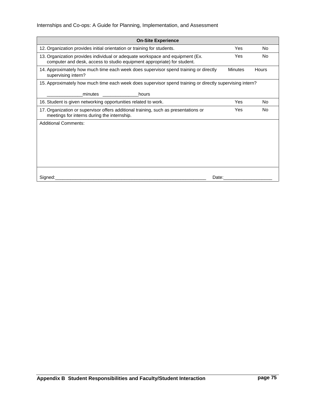### Internships and Co-ops: A Guide for Planning, Implementation, and Assessment

| <b>On-Site Experience</b>                                                                                                                                                                                                              |                |       |
|----------------------------------------------------------------------------------------------------------------------------------------------------------------------------------------------------------------------------------------|----------------|-------|
| 12. Organization provides initial orientation or training for students.                                                                                                                                                                | Yes            | No    |
| 13. Organization provides individual or adequate workspace and equipment (Ex.<br>computer and desk, access to studio equipment appropriate) for student.                                                                               | Yes            | No    |
| 14. Approximately how much time each week does supervisor spend training or directly<br>supervising intern?                                                                                                                            | <b>Minutes</b> | Hours |
| 15. Approximately how much time each week does supervisor spend training or directly supervising intern?                                                                                                                               |                |       |
| minutes and the minutes of the set of the set of the set of the set of the set of the set of the set of the set of the set of the set of the set of the set of the set of the set of the set of the set of the set of the set<br>hours |                |       |
| 16. Student is given networking opportunities related to work.                                                                                                                                                                         | Yes            | No    |
| 17. Organization or supervisor offers additional training, such as presentations or<br>meetings for interns during the internship.                                                                                                     | Yes            | No    |
| <b>Additional Comments:</b>                                                                                                                                                                                                            |                |       |
|                                                                                                                                                                                                                                        |                |       |
|                                                                                                                                                                                                                                        |                |       |
|                                                                                                                                                                                                                                        |                |       |
|                                                                                                                                                                                                                                        |                |       |
|                                                                                                                                                                                                                                        |                |       |
| Signed:<br>Date:                                                                                                                                                                                                                       |                |       |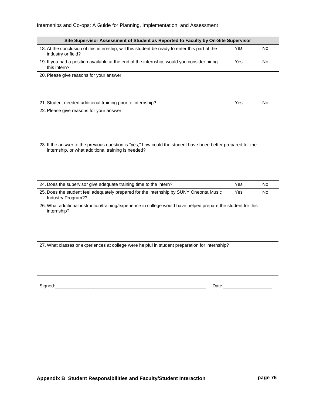### Internships and Co-ops: A Guide for Planning, Implementation, and Assessment

| Site Supervisor Assessment of Student as Reported to Faculty by On-Site Supervisor                                                                                 |            |     |
|--------------------------------------------------------------------------------------------------------------------------------------------------------------------|------------|-----|
| 18. At the conclusion of this internship, will this student be ready to enter this part of the<br>industry or field?                                               | Yes        | No  |
| 19. If you had a position available at the end of the internship, would you consider hiring<br>this intern?                                                        | Yes        | No  |
| 20. Please give reasons for your answer.                                                                                                                           |            |     |
| 21. Student needed additional training prior to internship?                                                                                                        | Yes        | No  |
| 22. Please give reasons for your answer.                                                                                                                           |            |     |
| 23. If the answer to the previous question is "yes," how could the student have been better prepared for the<br>internship, or what additional training is needed? |            |     |
| 24. Does the supervisor give adequate training time to the intern?                                                                                                 | Yes        | No  |
| 25. Does the student feel adequately prepared for the internship by SUNY Oneonta Music<br>Industry Program??                                                       | <b>Yes</b> | No. |
| 26. What additional instruction/training/experience in college would have helped prepare the student for this<br>internship?                                       |            |     |
| 27. What classes or experiences at college were helpful in student preparation for internship?                                                                     |            |     |
| Signed:<br>Date:                                                                                                                                                   |            |     |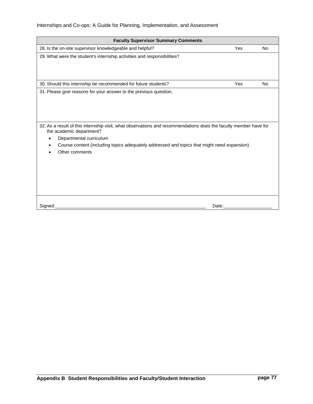| <b>Faculty Supervisor Summary Comments</b>                                                                                                                                                                                                                                                                                                                    |     |           |
|---------------------------------------------------------------------------------------------------------------------------------------------------------------------------------------------------------------------------------------------------------------------------------------------------------------------------------------------------------------|-----|-----------|
| 28. Is the on-site supervisor knowledgeable and helpful?                                                                                                                                                                                                                                                                                                      | Yes | <b>No</b> |
| 29. What were the student's internship activities and responsibilities?                                                                                                                                                                                                                                                                                       |     |           |
| 30. Should this internship be recommended for future students?                                                                                                                                                                                                                                                                                                | Yes | No        |
| 31. Please give reasons for your answer to the previous question.<br>32. As a result of this internship visit, what observations and recommendations does the faculty member have for<br>the academic department?<br>Departmental curriculum<br>Course content (including topics adequately addressed and topics that might need expansion)<br>Other comments |     |           |
| Signed:<br>Date:                                                                                                                                                                                                                                                                                                                                              |     |           |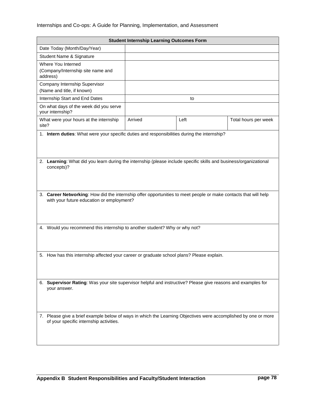|                                                                                                                                                              | <b>Student Internship Learning Outcomes Form</b> |      |                      |  |  |
|--------------------------------------------------------------------------------------------------------------------------------------------------------------|--------------------------------------------------|------|----------------------|--|--|
| Date Today (Month/Day/Year)                                                                                                                                  |                                                  |      |                      |  |  |
| Student Name & Signature                                                                                                                                     |                                                  |      |                      |  |  |
| Where You Interned                                                                                                                                           |                                                  |      |                      |  |  |
| (Company/Internship site name and<br>address)                                                                                                                |                                                  |      |                      |  |  |
| Company Internship Supervisor                                                                                                                                |                                                  |      |                      |  |  |
| (Name and title, if known)<br>Internship Start and End Dates                                                                                                 |                                                  |      |                      |  |  |
| On what days of the week did you serve                                                                                                                       |                                                  | to   |                      |  |  |
| your internship?                                                                                                                                             |                                                  |      |                      |  |  |
| What were your hours at the internship<br>site?                                                                                                              | Arrived                                          | Left | Total hours per week |  |  |
| 1. Intern duties: What were your specific duties and responsibilities during the internship?                                                                 |                                                  |      |                      |  |  |
|                                                                                                                                                              |                                                  |      |                      |  |  |
|                                                                                                                                                              |                                                  |      |                      |  |  |
| 2. Learning: What did you learn during the internship (please include specific skills and business/organizational                                            |                                                  |      |                      |  |  |
| concepts)?                                                                                                                                                   |                                                  |      |                      |  |  |
|                                                                                                                                                              |                                                  |      |                      |  |  |
|                                                                                                                                                              |                                                  |      |                      |  |  |
|                                                                                                                                                              |                                                  |      |                      |  |  |
| 3. Career Networking: How did the internship offer opportunities to meet people or make contacts that will help<br>with your future education or employment? |                                                  |      |                      |  |  |
|                                                                                                                                                              |                                                  |      |                      |  |  |
|                                                                                                                                                              |                                                  |      |                      |  |  |
|                                                                                                                                                              |                                                  |      |                      |  |  |
| 4. Would you recommend this internship to another student? Why or why not?                                                                                   |                                                  |      |                      |  |  |
|                                                                                                                                                              |                                                  |      |                      |  |  |
|                                                                                                                                                              |                                                  |      |                      |  |  |
| 5. How has this internship affected your career or graduate school plans? Please explain.                                                                    |                                                  |      |                      |  |  |
|                                                                                                                                                              |                                                  |      |                      |  |  |
|                                                                                                                                                              |                                                  |      |                      |  |  |
|                                                                                                                                                              |                                                  |      |                      |  |  |
| 6. Supervisor Rating: Was your site supervisor helpful and instructive? Please give reasons and examples for<br>your answer.                                 |                                                  |      |                      |  |  |
|                                                                                                                                                              |                                                  |      |                      |  |  |
|                                                                                                                                                              |                                                  |      |                      |  |  |
|                                                                                                                                                              |                                                  |      |                      |  |  |
| 7. Please give a brief example below of ways in which the Learning Objectives were accomplished by one or more<br>of your specific internship activities.    |                                                  |      |                      |  |  |
|                                                                                                                                                              |                                                  |      |                      |  |  |
|                                                                                                                                                              |                                                  |      |                      |  |  |
|                                                                                                                                                              |                                                  |      |                      |  |  |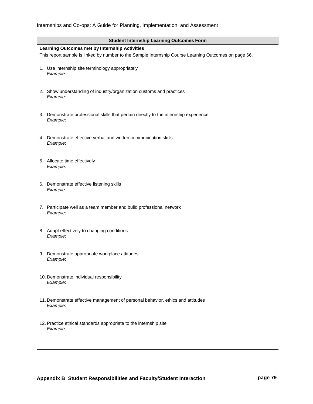| <b>Student Internship Learning Outcomes Form</b>                                                     |
|------------------------------------------------------------------------------------------------------|
| Learning Outcomes met by Internship Activities                                                       |
| This report sample is linked by number to the Sample Internship Course Learning Outcomes on page 66. |
| 1. Use internship site terminology appropriately<br>Example:                                         |
| 2. Show understanding of industry/organization customs and practices<br>Example:                     |
| 3. Demonstrate professional skills that pertain directly to the internship experience<br>Example:    |
| 4. Demonstrate effective verbal and written communication skills<br>Example:                         |
| 5. Allocate time effectively<br>Example:                                                             |
| 6. Demonstrate effective listening skills<br>Example:                                                |
| 7. Participate well as a team member and build professional network<br>Example:                      |
| 8. Adapt effectively to changing conditions<br>Example:                                              |
| 9. Demonstrate appropriate workplace attitudes<br>Example:                                           |
| 10. Demonstrate individual responsibility<br>Example:                                                |
| 11. Demonstrate effective management of personal behavior, ethics and attitudes<br>Example:          |
| 12. Practice ethical standards appropriate to the internship site<br>Example:                        |
|                                                                                                      |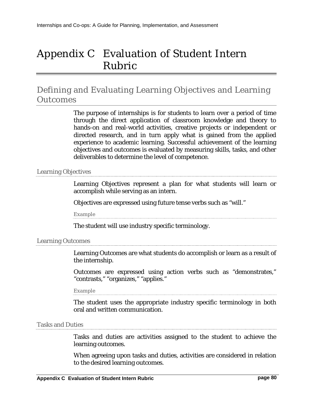# Appendix C Evaluation of Student Intern Rubric

## Defining and Evaluating Learning Objectives and Learning Outcomes

The purpose of internships is for students to learn over a period of time through the direct application of classroom knowledge and theory to hands-on and real-world activities, creative projects or independent or directed research, and in turn apply what is gained from the applied experience to academic learning. Successful achievement of the learning objectives and outcomes is evaluated by measuring skills, tasks, and other deliverables to determine the level of competence.

### Learning Objectives

Learning Objectives represent a plan for what students will learn or accomplish while serving as an intern.

Objectives are expressed using future tense verbs such as "will."

Example

The student will use industry specific terminology.

### Learning Outcomes

Learning Outcomes are what students do accomplish or learn as a result of the internship.

Outcomes are expressed using action verbs such as "demonstrates," "contrasts," "organizes," "applies."

Example

The student uses the appropriate industry specific terminology in both oral and written communication.

### Tasks and Duties

Tasks and duties are activities assigned to the student to achieve the learning outcomes.

When agreeing upon tasks and duties, activities are considered in relation to the desired learning outcomes.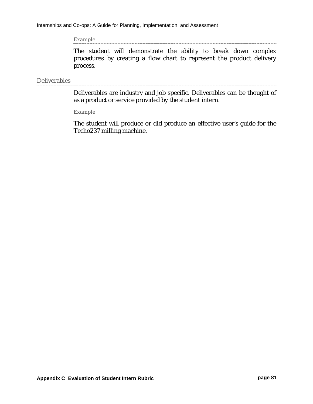Example

The student will demonstrate the ability to break down complex procedures by creating a flow chart to represent the product delivery process.

### Deliverables

Deliverables are industry and job specific. Deliverables can be thought of as a product or service provided by the student intern.

Example

The student will produce or did produce an effective user's guide for the Techo237 milling machine.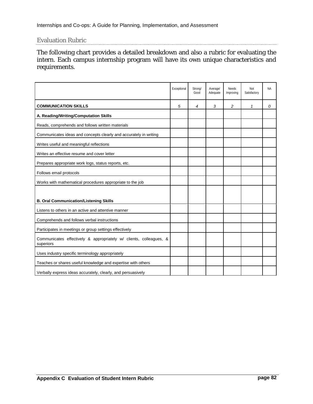### Evaluation Rubric

The following chart provides a detailed breakdown and also a rubric for evaluating the intern. Each campus internship program will have its own unique characteristics and requirements.

|                                                                                 | Exceptional | Strong/<br>Good | Average/<br>Adequate | <b>Needs</b><br>Improving | Not<br>Satisfactory | <b>NA</b> |
|---------------------------------------------------------------------------------|-------------|-----------------|----------------------|---------------------------|---------------------|-----------|
| <b>COMMUNICATION SKILLS</b>                                                     | 5           | 4               | 3                    | 2                         | 1                   | 0         |
| A. Reading/Writing/Computation Skills                                           |             |                 |                      |                           |                     |           |
| Reads, comprehends and follows written materials                                |             |                 |                      |                           |                     |           |
| Communicates ideas and concepts clearly and accurately in writing               |             |                 |                      |                           |                     |           |
| Writes useful and meaningful reflections                                        |             |                 |                      |                           |                     |           |
| Writes an effective resume and cover letter                                     |             |                 |                      |                           |                     |           |
| Prepares appropriate work logs, status reports, etc.                            |             |                 |                      |                           |                     |           |
| Follows email protocols                                                         |             |                 |                      |                           |                     |           |
| Works with mathematical procedures appropriate to the job                       |             |                 |                      |                           |                     |           |
|                                                                                 |             |                 |                      |                           |                     |           |
| <b>B. Oral Communication/Listening Skills</b>                                   |             |                 |                      |                           |                     |           |
| Listens to others in an active and attentive manner                             |             |                 |                      |                           |                     |           |
| Comprehends and follows verbal instructions                                     |             |                 |                      |                           |                     |           |
| Participates in meetings or group settings effectively                          |             |                 |                      |                           |                     |           |
| Communicates effectively & appropriately w/ clients, colleagues, &<br>superiors |             |                 |                      |                           |                     |           |
| Uses industry specific terminology appropriately                                |             |                 |                      |                           |                     |           |
| Teaches or shares useful knowledge and expertise with others                    |             |                 |                      |                           |                     |           |
| Verbally express ideas accurately, clearly, and persuasively                    |             |                 |                      |                           |                     |           |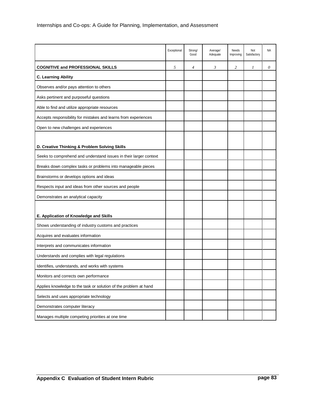|                                                                   | Exceptional | Strong/<br>Good | Average/<br>Adequate | Needs<br>Improving | Not<br>Satisfactory | <b>NA</b> |
|-------------------------------------------------------------------|-------------|-----------------|----------------------|--------------------|---------------------|-----------|
| <b>COGNITIVE and PROFESSIONAL SKILLS</b>                          | 5           | 4               | 3                    | $\overline{c}$     | 1                   | $\theta$  |
| <b>C. Learning Ability</b>                                        |             |                 |                      |                    |                     |           |
| Observes and/or pays attention to others                          |             |                 |                      |                    |                     |           |
| Asks pertinent and purposeful questions                           |             |                 |                      |                    |                     |           |
| Able to find and utilize appropriate resources                    |             |                 |                      |                    |                     |           |
| Accepts responsibility for mistakes and learns from experiences   |             |                 |                      |                    |                     |           |
| Open to new challenges and experiences                            |             |                 |                      |                    |                     |           |
|                                                                   |             |                 |                      |                    |                     |           |
| D. Creative Thinking & Problem Solving Skills                     |             |                 |                      |                    |                     |           |
| Seeks to comprehend and understand issues in their larger context |             |                 |                      |                    |                     |           |
| Breaks down complex tasks or problems into manageable pieces      |             |                 |                      |                    |                     |           |
| Brainstorms or develops options and ideas                         |             |                 |                      |                    |                     |           |
| Respects input and ideas from other sources and people            |             |                 |                      |                    |                     |           |
| Demonstrates an analytical capacity                               |             |                 |                      |                    |                     |           |
|                                                                   |             |                 |                      |                    |                     |           |
| E. Application of Knowledge and Skills                            |             |                 |                      |                    |                     |           |
| Shows understanding of industry customs and practices             |             |                 |                      |                    |                     |           |
| Acquires and evaluates information                                |             |                 |                      |                    |                     |           |
| Interprets and communicates information                           |             |                 |                      |                    |                     |           |
| Understands and complies with legal regulations                   |             |                 |                      |                    |                     |           |
| Identifies, understands, and works with systems                   |             |                 |                      |                    |                     |           |
| Monitors and corrects own performance                             |             |                 |                      |                    |                     |           |
| Applies knowledge to the task or solution of the problem at hand  |             |                 |                      |                    |                     |           |
| Selects and uses appropriate technology                           |             |                 |                      |                    |                     |           |
| Demonstrates computer literacy                                    |             |                 |                      |                    |                     |           |
| Manages multiple competing priorities at one time                 |             |                 |                      |                    |                     |           |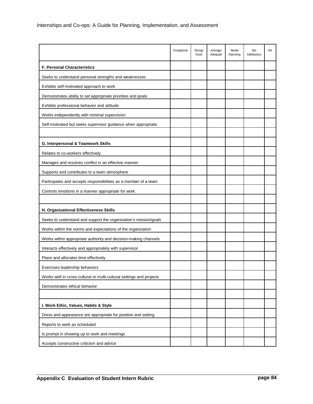|                                                                      | Exceptional | Strong/<br>Good | Average/<br>Adequate | Needs<br>Improving | Not<br>Satisfactory | <b>NA</b> |
|----------------------------------------------------------------------|-------------|-----------------|----------------------|--------------------|---------------------|-----------|
| F. Personal Characteristics                                          |             |                 |                      |                    |                     |           |
| Seeks to understand personal strengths and weaknesses                |             |                 |                      |                    |                     |           |
| Exhibits self-motivated approach to work                             |             |                 |                      |                    |                     |           |
| Demonstrates ability to set appropriate priorities and goals         |             |                 |                      |                    |                     |           |
| Exhibits professional behavior and attitude                          |             |                 |                      |                    |                     |           |
| Works independently with minimal supervision                         |             |                 |                      |                    |                     |           |
| Self-motivated but seeks supervisor guidance when appropriate        |             |                 |                      |                    |                     |           |
|                                                                      |             |                 |                      |                    |                     |           |
| G. Interpersonal & Teamwork Skills                                   |             |                 |                      |                    |                     |           |
| Relates to co-workers effectively                                    |             |                 |                      |                    |                     |           |
| Manages and resolves conflict in an effective manner                 |             |                 |                      |                    |                     |           |
| Supports and contributes to a team atmosphere                        |             |                 |                      |                    |                     |           |
| Participates and accepts responsibilities as a member of a team      |             |                 |                      |                    |                     |           |
| Controls emotions in a manner appropriate for work                   |             |                 |                      |                    |                     |           |
|                                                                      |             |                 |                      |                    |                     |           |
| H. Organizational Effectiveness Skills                               |             |                 |                      |                    |                     |           |
| Seeks to understand and support the organization's mission/goals     |             |                 |                      |                    |                     |           |
| Works within the norms and expectations of the organization          |             |                 |                      |                    |                     |           |
| Works within appropriate authority and decision-making channels      |             |                 |                      |                    |                     |           |
| Interacts effectively and appropriately with supervisor              |             |                 |                      |                    |                     |           |
| Plans and allocates time effectively                                 |             |                 |                      |                    |                     |           |
| Exercises leadership behaviors                                       |             |                 |                      |                    |                     |           |
| Works well in cross-cultural or multi-cultural settings and projects |             |                 |                      |                    |                     |           |
| Demonstrates ethical behavior                                        |             |                 |                      |                    |                     |           |
|                                                                      |             |                 |                      |                    |                     |           |
| I. Work Ethic, Values, Habits & Style                                |             |                 |                      |                    |                     |           |
| Dress and appearance are appropriate for position and setting        |             |                 |                      |                    |                     |           |
| Reports to work as scheduled                                         |             |                 |                      |                    |                     |           |
| Is prompt in showing up to work and meetings                         |             |                 |                      |                    |                     |           |
| Accepts constructive criticism and advice                            |             |                 |                      |                    |                     |           |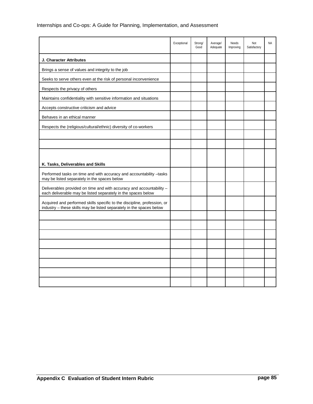|                                                                                                                                                  | Exceptional | Strong/<br>Good | Average/<br>Adequate | Needs<br>Improving | Not<br>Satisfactory | <b>NA</b> |
|--------------------------------------------------------------------------------------------------------------------------------------------------|-------------|-----------------|----------------------|--------------------|---------------------|-----------|
| J. Character Attributes                                                                                                                          |             |                 |                      |                    |                     |           |
| Brings a sense of values and integrity to the job                                                                                                |             |                 |                      |                    |                     |           |
| Seeks to serve others even at the risk of personal inconvenience                                                                                 |             |                 |                      |                    |                     |           |
| Respects the privacy of others                                                                                                                   |             |                 |                      |                    |                     |           |
| Maintains confidentiality with sensitive information and situations                                                                              |             |                 |                      |                    |                     |           |
| Accepts constructive criticism and advice                                                                                                        |             |                 |                      |                    |                     |           |
| Behaves in an ethical manner                                                                                                                     |             |                 |                      |                    |                     |           |
| Respects the (religious/cultural/ethnic) diversity of co-workers                                                                                 |             |                 |                      |                    |                     |           |
|                                                                                                                                                  |             |                 |                      |                    |                     |           |
|                                                                                                                                                  |             |                 |                      |                    |                     |           |
|                                                                                                                                                  |             |                 |                      |                    |                     |           |
| K. Tasks, Deliverables and Skills                                                                                                                |             |                 |                      |                    |                     |           |
| Performed tasks on time and with accuracy and accountability -tasks<br>may be listed separately in the spaces below                              |             |                 |                      |                    |                     |           |
| Deliverables provided on time and with accuracy and accountability -<br>each deliverable may be listed separately in the spaces below            |             |                 |                      |                    |                     |           |
| Acquired and performed skills specific to the discipline, profession, or<br>industry - these skills may be listed separately in the spaces below |             |                 |                      |                    |                     |           |
|                                                                                                                                                  |             |                 |                      |                    |                     |           |
|                                                                                                                                                  |             |                 |                      |                    |                     |           |
|                                                                                                                                                  |             |                 |                      |                    |                     |           |
|                                                                                                                                                  |             |                 |                      |                    |                     |           |
|                                                                                                                                                  |             |                 |                      |                    |                     |           |
|                                                                                                                                                  |             |                 |                      |                    |                     |           |
|                                                                                                                                                  |             |                 |                      |                    |                     |           |
|                                                                                                                                                  |             |                 |                      |                    |                     |           |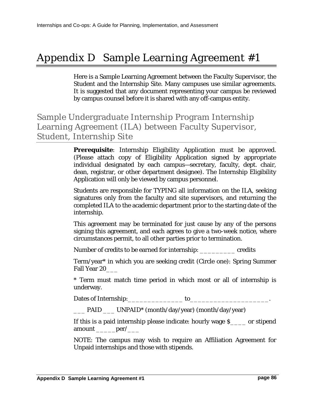# Appendix D Sample Learning Agreement #1

Here is a Sample Learning Agreement between the Faculty Supervisor, the Student and the Internship Site. Many campuses use similar agreements. It is suggested that any document representing your campus be reviewed by campus counsel before it is shared with any off-campus entity.

# Sample Undergraduate Internship Program Internship Learning Agreement (ILA) between Faculty Supervisor, Student, Internship Site

**Prerequisite**: Internship Eligibility Application must be approved. (Please attach copy of Eligibility Application signed by appropriate individual designated by each campus—secretary, faculty, dept. chair, dean, registrar, or other department designee). The Internship Eligibility Application will only be viewed by campus personnel.

Students are responsible for TYPING all information on the ILA, seeking signatures only from the faculty and site supervisors, and returning the completed ILA to the academic department prior to the starting date of the internship.

This agreement may be terminated for just cause by any of the persons signing this agreement, and each agrees to give a two-week notice, where circumstances permit, to all other parties prior to termination.

Number of credits to be earned for internship: \_\_\_\_\_\_\_\_\_ credits

Term/year\* in which you are seeking credit (Circle one): Spring Summer Fall Year 20\_\_\_\_

\* Term must match time period in which most or all of internship is underway.

Dates of Internship:\_\_\_\_\_\_\_\_\_\_\_\_\_\_ to\_\_\_\_\_\_\_\_\_\_\_\_\_\_\_\_\_\_\_\_.

\_\_\_ PAID \_\_\_ UNPAID\* (month/day/year) (month/day/year)

If this is a paid internship please indicate: hourly wage \$\_\_\_\_ or stipend amount \_\_\_\_\_\_\_per/\_\_\_\_

NOTE: The campus may wish to require an Affiliation Agreement for Unpaid internships and those with stipends.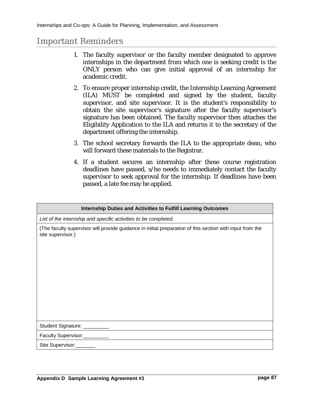### Important Reminders

- 1. The faculty supervisor or the faculty member designated to approve internships in the department from which one is seeking credit is the ONLY person who can give initial approval of an internship for academic credit.
- 2. To ensure proper internship credit, the Internship Learning Agreement (ILA) MUST be completed and signed by the student, faculty supervisor, and site supervisor. It is the student's responsibility to obtain the site supervisor's signature after the faculty supervisor's signature has been obtained. The faculty supervisor then attaches the Eligibility Application to the ILA and returns it to the secretary of the department offering the internship.
- 3. The school secretary forwards the ILA to the appropriate dean, who will forward these materials to the Registrar.
- 4. If a student secures an internship after these course registration deadlines have passed, s/he needs to immediately contact the faculty supervisor to seek approval for the internship. If deadlines have been passed, a late fee may be applied.

| <b>Internship Duties and Activities to Fulfill Learning Outcomes</b>                                                          |
|-------------------------------------------------------------------------------------------------------------------------------|
| List of the internship and specific activities to be completed.                                                               |
| (The faculty supervisor will provide guidance in initial preparation of this section with input from the<br>site supervisor.) |
| Student Signature: ________                                                                                                   |
| Faculty Supervisor:                                                                                                           |
| Site Supervisor:                                                                                                              |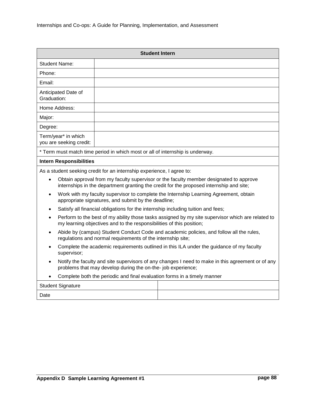| <b>Student Intern</b>                                                                                                                                                                  |                                                                                                                                                                                   |  |  |
|----------------------------------------------------------------------------------------------------------------------------------------------------------------------------------------|-----------------------------------------------------------------------------------------------------------------------------------------------------------------------------------|--|--|
| <b>Student Name:</b>                                                                                                                                                                   |                                                                                                                                                                                   |  |  |
| Phone:                                                                                                                                                                                 |                                                                                                                                                                                   |  |  |
| Email:                                                                                                                                                                                 |                                                                                                                                                                                   |  |  |
| Anticipated Date of<br>Graduation:                                                                                                                                                     |                                                                                                                                                                                   |  |  |
| Home Address:                                                                                                                                                                          |                                                                                                                                                                                   |  |  |
| Major:                                                                                                                                                                                 |                                                                                                                                                                                   |  |  |
| Degree:                                                                                                                                                                                |                                                                                                                                                                                   |  |  |
| Term/year* in which<br>you are seeking credit:                                                                                                                                         |                                                                                                                                                                                   |  |  |
|                                                                                                                                                                                        | * Term must match time period in which most or all of internship is underway.                                                                                                     |  |  |
| <b>Intern Responsibilities</b>                                                                                                                                                         |                                                                                                                                                                                   |  |  |
|                                                                                                                                                                                        | As a student seeking credit for an internship experience, I agree to:                                                                                                             |  |  |
| $\bullet$                                                                                                                                                                              | Obtain approval from my faculty supervisor or the faculty member designated to approve<br>internships in the department granting the credit for the proposed internship and site; |  |  |
| $\bullet$                                                                                                                                                                              | Work with my faculty supervisor to complete the Internship Learning Agreement, obtain<br>appropriate signatures, and submit by the deadline;                                      |  |  |
| $\bullet$                                                                                                                                                                              | Satisfy all financial obligations for the internship including tuition and fees;                                                                                                  |  |  |
| Perform to the best of my ability those tasks assigned by my site supervisor which are related to<br>$\bullet$<br>my learning objectives and to the responsibilities of this position; |                                                                                                                                                                                   |  |  |
| Abide by (campus) Student Conduct Code and academic policies, and follow all the rules,<br>$\bullet$<br>regulations and normal requirements of the internship site;                    |                                                                                                                                                                                   |  |  |
| Complete the academic requirements outlined in this ILA under the guidance of my faculty<br>$\bullet$<br>supervisor;                                                                   |                                                                                                                                                                                   |  |  |
| Notify the faculty and site supervisors of any changes I need to make in this agreement or of any<br>$\bullet$<br>problems that may develop during the on-the- job experience;         |                                                                                                                                                                                   |  |  |
| Complete both the periodic and final evaluation forms in a timely manner                                                                                                               |                                                                                                                                                                                   |  |  |
| <b>Student Signature</b>                                                                                                                                                               |                                                                                                                                                                                   |  |  |
| Date                                                                                                                                                                                   |                                                                                                                                                                                   |  |  |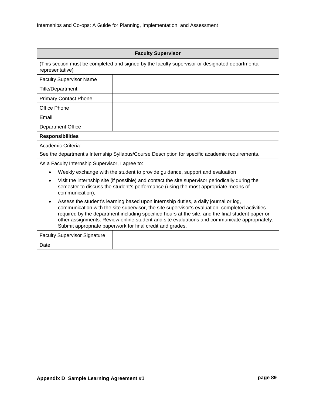| <b>Faculty Supervisor</b>                                                                                                                                                                                                                                                                                                                                                                                                                                           |                                                                                                 |  |  |
|---------------------------------------------------------------------------------------------------------------------------------------------------------------------------------------------------------------------------------------------------------------------------------------------------------------------------------------------------------------------------------------------------------------------------------------------------------------------|-------------------------------------------------------------------------------------------------|--|--|
| (This section must be completed and signed by the faculty supervisor or designated departmental<br>representative)                                                                                                                                                                                                                                                                                                                                                  |                                                                                                 |  |  |
| <b>Faculty Supervisor Name</b>                                                                                                                                                                                                                                                                                                                                                                                                                                      |                                                                                                 |  |  |
| <b>Title/Department</b>                                                                                                                                                                                                                                                                                                                                                                                                                                             |                                                                                                 |  |  |
| <b>Primary Contact Phone</b>                                                                                                                                                                                                                                                                                                                                                                                                                                        |                                                                                                 |  |  |
| <b>Office Phone</b>                                                                                                                                                                                                                                                                                                                                                                                                                                                 |                                                                                                 |  |  |
| Email                                                                                                                                                                                                                                                                                                                                                                                                                                                               |                                                                                                 |  |  |
| <b>Department Office</b>                                                                                                                                                                                                                                                                                                                                                                                                                                            |                                                                                                 |  |  |
| <b>Responsibilities</b>                                                                                                                                                                                                                                                                                                                                                                                                                                             |                                                                                                 |  |  |
| Academic Criteria:                                                                                                                                                                                                                                                                                                                                                                                                                                                  |                                                                                                 |  |  |
|                                                                                                                                                                                                                                                                                                                                                                                                                                                                     | See the department's Internship Syllabus/Course Description for specific academic requirements. |  |  |
| As a Faculty Internship Supervisor, I agree to:                                                                                                                                                                                                                                                                                                                                                                                                                     |                                                                                                 |  |  |
|                                                                                                                                                                                                                                                                                                                                                                                                                                                                     | Weekly exchange with the student to provide guidance, support and evaluation                    |  |  |
| Visit the internship site (if possible) and contact the site supervisor periodically during the<br>semester to discuss the student's performance (using the most appropriate means of<br>communication);                                                                                                                                                                                                                                                            |                                                                                                 |  |  |
| Assess the student's learning based upon internship duties, a daily journal or log,<br>$\bullet$<br>communication with the site supervisor, the site supervisor's evaluation, completed activities<br>required by the department including specified hours at the site, and the final student paper or<br>other assignments. Review online student and site evaluations and communicate appropriately.<br>Submit appropriate paperwork for final credit and grades. |                                                                                                 |  |  |
| <b>Faculty Supervisor Signature</b>                                                                                                                                                                                                                                                                                                                                                                                                                                 |                                                                                                 |  |  |
| Date                                                                                                                                                                                                                                                                                                                                                                                                                                                                |                                                                                                 |  |  |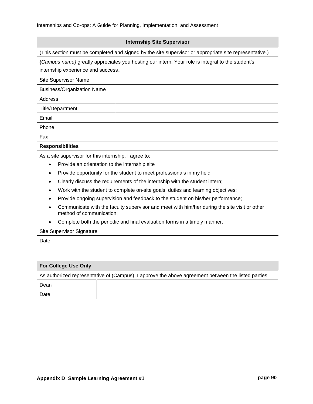| <b>Internship Site Supervisor</b>                                                                      |
|--------------------------------------------------------------------------------------------------------|
| (This section must be completed and signed by the site supervisor or appropriate site representative.) |
| {Campus name} greatly appreciates you hosting our intern. Your role is integral to the student's       |

internship experience and success.

| Site Supervisor Name              |  |
|-----------------------------------|--|
| <b>Business/Organization Name</b> |  |
| Address                           |  |
| <b>Title/Department</b>           |  |
| Email                             |  |
| Phone                             |  |
| Fax                               |  |
| Danmanathilitian                  |  |

#### **Responsibilities**

As a site supervisor for this internship, I agree to:

- Provide an orientation to the internship site
- Provide opportunity for the student to meet professionals in my field
- Clearly discuss the requirements of the internship with the student intern;
- Work with the student to complete on-site goals, duties and learning objectives;
- Provide ongoing supervision and feedback to the student on his/her performance;
- Communicate with the faculty supervisor and meet with him/her during the site visit or other method of communication;
- Complete both the periodic and final evaluation forms in a timely manner.

| <b>Site Supervisor Signature</b> |  |
|----------------------------------|--|
| Date                             |  |

| <b>For College Use Only</b>                                                                         |  |  |
|-----------------------------------------------------------------------------------------------------|--|--|
| As authorized representative of (Campus), I approve the above agreement between the listed parties. |  |  |
| Dean                                                                                                |  |  |
| Date                                                                                                |  |  |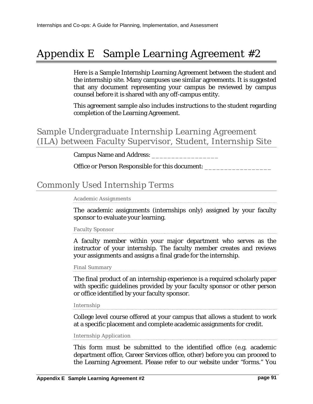# Appendix E Sample Learning Agreement #2

Here is a Sample Internship Learning Agreement between the student and the internship site. Many campuses use similar agreements. It is suggested that any document representing your campus be reviewed by campus counsel before it is shared with any off-campus entity.

This agreement sample also includes instructions to the student regarding completion of the Learning Agreement.

## Sample Undergraduate Internship Learning Agreement (ILA) between Faculty Supervisor, Student, Internship Site

Campus Name and Address:

Office or Person Responsible for this document:

### Commonly Used Internship Terms

Academic Assignments

The academic assignments (internships only) assigned by your faculty sponsor to evaluate your learning.

#### Faculty Sponsor

A faculty member within your major department who serves as the instructor of your internship. The faculty member creates and reviews your assignments and assigns a final grade for the internship.

Final Summary

The final product of an internship experience is a required scholarly paper with specific guidelines provided by your faculty sponsor or other person or office identified by your faculty sponsor.

Internship

College level course offered at your campus that allows a student to work at a specific placement and complete academic assignments for credit.

#### Internship Application

This form must be submitted to the identified office (e.g. academic department office, Career Services office, other) before you can proceed to the Learning Agreement. Please refer to our website under "forms." You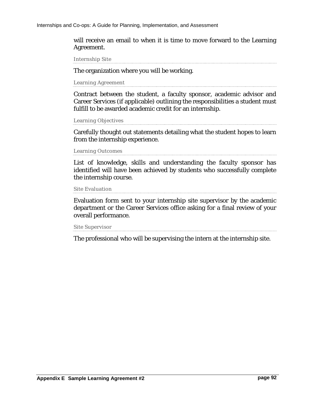will receive an email to when it is time to move forward to the Learning Agreement.

Internship Site

The organization where you will be working.

Learning Agreement

Contract between the student, a faculty sponsor, academic advisor and Career Services (if applicable) outlining the responsibilities a student must fulfill to be awarded academic credit for an internship.

```
Learning Objectives
```
Carefully thought out statements detailing what the student hopes to learn from the internship experience.

```
Learning Outcomes
```
List of knowledge, skills and understanding the faculty sponsor has identified will have been achieved by students who successfully complete the internship course.

Site Evaluation

Evaluation form sent to your internship site supervisor by the academic department or the Career Services office asking for a final review of your overall performance.

Site Supervisor

The professional who will be supervising the intern at the internship site.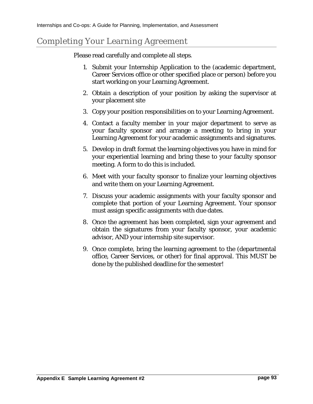# Completing Your Learning Agreement

Please read carefully and complete all steps.

- 1. Submit your Internship Application to the (academic department, Career Services office or other specified place or person) before you start working on your Learning Agreement.
- 2. Obtain a description of your position by asking the supervisor at your placement site
- 3. Copy your position responsibilities on to your Learning Agreement.
- 4. Contact a faculty member in your major department to serve as your faculty sponsor and arrange a meeting to bring in your Learning Agreement for your academic assignments and signatures.
- 5. Develop in draft format the learning objectives you have in mind for your experiential learning and bring these to your faculty sponsor meeting. A form to do this is included.
- 6. Meet with your faculty sponsor to finalize your learning objectives and write them on your Learning Agreement.
- 7. Discuss your academic assignments with your faculty sponsor and complete that portion of your Learning Agreement. Your sponsor must assign specific assignments with due dates.
- 8. Once the agreement has been completed, sign your agreement and obtain the signatures from your faculty sponsor, your academic advisor, AND your internship site supervisor.
- 9. Once complete, bring the learning agreement to the (departmental office, Career Services, or other) for final approval. This MUST be done by the published deadline for the semester!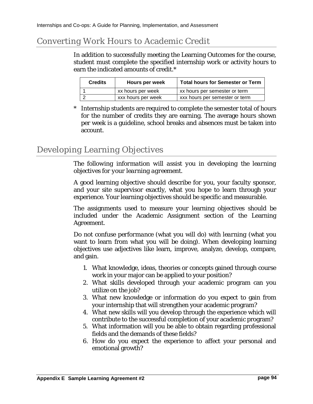# Converting Work Hours to Academic Credit

In addition to successfully meeting the Learning Outcomes for the course, student must complete the specified internship work or activity hours to earn the indicated amounts of credit.\*

| <b>Credits</b> | Hours per week     | <b>Total hours for Semester or Term</b> |
|----------------|--------------------|-----------------------------------------|
|                | xx hours per week  | xx hours per semester or term           |
|                | xxx hours per week | xxx hours per semester or term          |

\* Internship students are required to complete the semester total of hours for the number of credits they are earning. The average hours shown per week is a guideline, school breaks and absences must be taken into account.

# Developing Learning Objectives

*The following information will assist you in developing the learning objectives for your learning agreement.* 

A good learning objective should describe for you, your faculty sponsor, and your site supervisor exactly, what you hope to learn through your experience. Your learning objectives should be specific and measurable.

The assignments used to measure your learning objectives should be included under the Academic Assignment section of the Learning Agreement.

Do not confuse *performance* (what you will do) with *learning* (what you want to learn from what you will be doing). When developing learning objectives use adjectives like learn, improve, analyze, develop, compare, and gain.

- 1. What knowledge, ideas, theories or concepts gained through course work in your major can be applied to your position?
- 2. What skills developed through your academic program can you utilize on the job?
- 3. What new knowledge or information do you expect to gain from your internship that will strengthen your academic program?
- 4. What new skills will you develop through the experience which will contribute to the successful completion of your academic program?
- 5. What information will you be able to obtain regarding professional fields and the demands of these fields?
- 6. How do you expect the experience to affect your personal and emotional growth?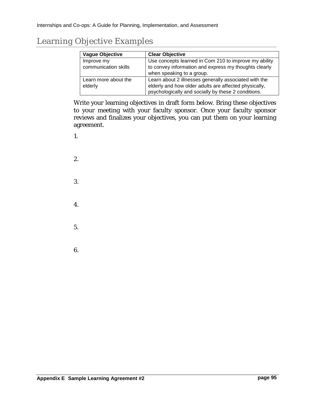# Learning Objective Examples

| <b>Vague Objective</b> | <b>Clear Objective</b>                                                             |
|------------------------|------------------------------------------------------------------------------------|
| Improve my             | Use concepts learned in Com 210 to improve my ability                              |
| communication skills   | to convey information and express my thoughts clearly<br>when speaking to a group. |
| Learn more about the   | Learn about 2 illnesses generally associated with the                              |
| elderly                | elderly and how older adults are affected physically,                              |
|                        | psychologically and socially by these 2 conditions.                                |

Write your learning objectives in draft form below. Bring these objectives to your meeting with your faculty sponsor. Once your faculty sponsor reviews and finalizes your objectives, you can put them on your learning agreement.

1.

2. 3. 4. 5. 6.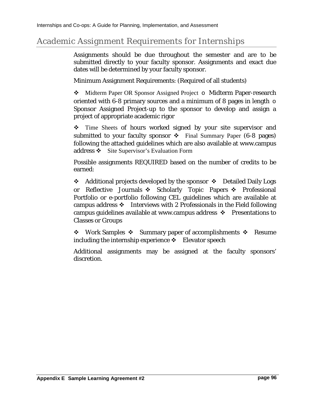# Academic Assignment Requirements for Internships

Assignments should be due throughout the semester and are to be submitted directly to your faculty sponsor. Assignments and exact due dates will be determined by your faculty sponsor.

Minimum Assignment Requirements: (Required of all students)

◆ Midterm Paper OR Sponsor Assigned Project o Midterm Paper-research oriented with 6-8 primary sources and a minimum of 8 pages in length  $\circ$ Sponsor Assigned Project-up to the sponsor to develop and assign a project of appropriate academic rigor

• Time Sheets of hours worked signed by your site supervisor and submitted to your faculty sponsor  $\div$  Final Summary Paper (6-8 pages) following the attached guidelines which are also available at www.campus address  $\mathbf{\hat{S}}$  Site Supervisor's Evaluation Form

Possible assignments REQUIRED based on the number of credits to be earned:

 $\div$  Additional projects developed by the sponsor  $\div$  Detailed Daily Logs or Reflective Journals  $\div$  Scholarly Topic Papers  $\div$  Professional Portfolio or e-portfolio following CEL guidelines which are available at campus address  $\div$  Interviews with 2 Professionals in the Field following campus guidelines available at www.campus address  $\cdot \cdot$  Presentations to Classes or Groups

• Work Samples • Summary paper of accomplishments • Resume including the internship experience  $\mathbf{\hat{P}}$  Elevator speech

Additional assignments may be assigned at the faculty sponsors' discretion.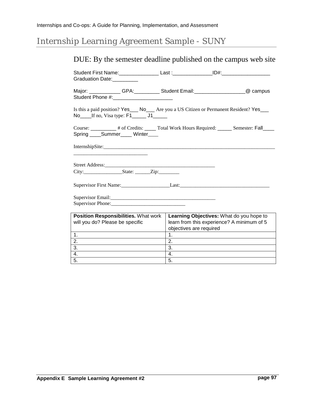# Internship Learning Agreement Sample - SUNY

# DUE: By the semester deadline published on the campus web site

| Graduation Date: Canada                                                                                                               | Student First Name: ________________Last :_______________ID#:___________________       |  |  |
|---------------------------------------------------------------------------------------------------------------------------------------|----------------------------------------------------------------------------------------|--|--|
|                                                                                                                                       | Major: _____________GPA:____________Student Email:_________________________@ campus    |  |  |
| Is this a paid position? Yes___ No___ Are you a US Citizen or Permanent Resident? Yes___<br>No If no, Visa type: F1 ______ J1______   |                                                                                        |  |  |
| Course: __________ # of Credits: _____ Total Work Hours Required: ______ Semester: Fall_____<br>Spring ______Summer______ Winter_____ |                                                                                        |  |  |
|                                                                                                                                       |                                                                                        |  |  |
|                                                                                                                                       |                                                                                        |  |  |
|                                                                                                                                       |                                                                                        |  |  |
|                                                                                                                                       |                                                                                        |  |  |
|                                                                                                                                       |                                                                                        |  |  |
|                                                                                                                                       |                                                                                        |  |  |
|                                                                                                                                       |                                                                                        |  |  |
|                                                                                                                                       |                                                                                        |  |  |
| Position Responsibilities. What work<br>will you do? Please be specific                                                               | Learning Objectives: What do you hope to<br>learn from this experience? A minimum of 5 |  |  |
|                                                                                                                                       | objectives are required                                                                |  |  |
| 1.                                                                                                                                    | 1 <sub>1</sub>                                                                         |  |  |
| 2.                                                                                                                                    | $\overline{2}$ .                                                                       |  |  |
| 3.                                                                                                                                    | 3.                                                                                     |  |  |
| 4.                                                                                                                                    | 4.                                                                                     |  |  |
| 5.                                                                                                                                    | 5.                                                                                     |  |  |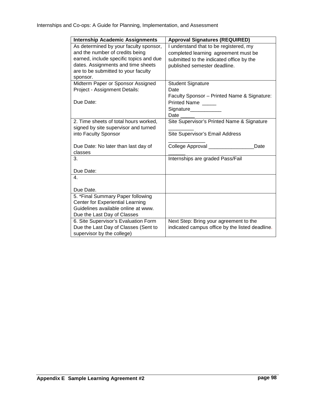| <b>Internship Academic Assignments</b>  | <b>Approval Signatures (REQUIRED)</b>           |  |
|-----------------------------------------|-------------------------------------------------|--|
| As determined by your faculty sponsor,  | I understand that to be registered, my          |  |
| and the number of credits being         | completed learning agreement must be            |  |
| earned, include specific topics and due | submitted to the indicated office by the        |  |
| dates. Assignments and time sheets      | published semester deadline.                    |  |
| are to be submitted to your faculty     |                                                 |  |
| sponsor.                                |                                                 |  |
| Midterm Paper or Sponsor Assigned       | <b>Student Signature</b>                        |  |
| Project - Assignment Details:           | Date                                            |  |
|                                         | Faculty Sponsor - Printed Name & Signature:     |  |
| Due Date:                               | Printed Name                                    |  |
|                                         | Signature___________                            |  |
|                                         | Date                                            |  |
| 2. Time sheets of total hours worked,   | Site Supervisor's Printed Name & Signature      |  |
| signed by site supervisor and turned    |                                                 |  |
| into Faculty Sponsor                    | Site Supervisor's Email Address                 |  |
|                                         |                                                 |  |
| Due Date: No later than last day of     | College Approval ________<br>Date               |  |
| classes                                 |                                                 |  |
| 3.                                      | Internships are graded Pass/Fail                |  |
| Due Date:                               |                                                 |  |
| $\mathbf{4}$ .                          |                                                 |  |
|                                         |                                                 |  |
| Due Date.                               |                                                 |  |
| 5. *Final Summary Paper following       |                                                 |  |
| Center for Experiential Learning        |                                                 |  |
| Guidelines available online at www.     |                                                 |  |
| Due the Last Day of Classes             |                                                 |  |
| 6. Site Supervisor's Evaluation Form    | Next Step: Bring your agreement to the          |  |
| Due the Last Day of Classes (Sent to    | indicated campus office by the listed deadline. |  |
| supervisor by the college)              |                                                 |  |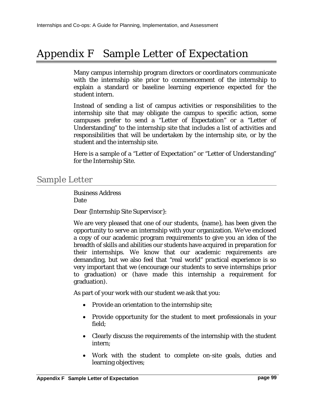# Appendix F Sample Letter of Expectation

Many campus internship program directors or coordinators communicate with the internship site prior to commencement of the internship to explain a standard or baseline learning experience expected for the student intern.

Instead of sending a list of campus activities or responsibilities to the internship site that may obligate the campus to specific action, some campuses prefer to send a "Letter of Expectation" or a "Letter of Understanding" to the internship site that includes a list of activities and responsibilities that will be undertaken by the internship site, or by the student and the internship site.

Here is a sample of a "Letter of Expectation" or "Letter of Understanding" for the Internship Site.

### Sample Letter

Business Address Date

Dear {Internship Site Supervisor}:

We are very pleased that one of our students, {name}, has been given the opportunity to serve an internship with your organization. We've enclosed a copy of our academic program requirements to give you an idea of the breadth of skills and abilities our students have acquired in preparation for their internships. We know that our academic requirements are demanding, but we also feel that "real world" practical experience is so very important that we (encourage our students to serve internships prior to graduation) or (have made this internship a requirement for graduation).

As part of your work with our student we ask that you:

- Provide an orientation to the internship site;
- Provide opportunity for the student to meet professionals in your field;
- Clearly discuss the requirements of the internship with the student intern;
- Work with the student to complete on-site goals, duties and learning objectives;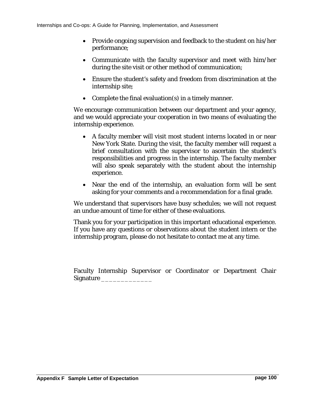- Provide ongoing supervision and feedback to the student on his/her performance;
- Communicate with the faculty supervisor and meet with him/her during the site visit or other method of communication;
- Ensure the student's safety and freedom from discrimination at the internship site;
- Complete the final evaluation(s) in a timely manner.

We encourage communication between our department and your agency, and we would appreciate your cooperation in two means of evaluating the internship experience.

- A faculty member will visit most student interns located in or near New York State. During the visit, the faculty member will request a brief consultation with the supervisor to ascertain the student's responsibilities and progress in the internship. The faculty member will also speak separately with the student about the internship experience.
- Near the end of the internship, an evaluation form will be sent asking for your comments and a recommendation for a final grade.

We understand that supervisors have busy schedules; we will not request an undue amount of time for either of these evaluations.

Thank you for your participation in this important educational experience. If you have any questions or observations about the student intern or the internship program, please do not hesitate to contact me at any time.

Faculty Internship Supervisor or Coordinator or Department Chair Signature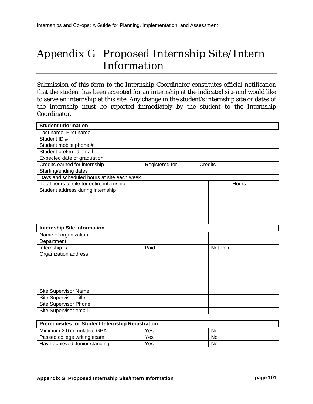# Appendix G Proposed Internship Site/Intern Information

Submission of this form to the Internship Coordinator constitutes official notification that the student has been accepted for an internship at the indicated site and would like to serve an internship at this site. Any change in the student's internship site or dates of the internship must be reported immediately by the student to the Internship Coordinator.

| <b>Student Information</b>                 |                           |          |
|--------------------------------------------|---------------------------|----------|
| Last name, First name                      |                           |          |
| Student ID#                                |                           |          |
| Student mobile phone #                     |                           |          |
| Student preferred email                    |                           |          |
| Expected date of graduation                |                           |          |
| Credits earned for internship              | Registered for<br>Credits |          |
| Starting/ending dates                      |                           |          |
| Days and scheduled hours at site each week |                           |          |
| Total hours at site for entire internship  |                           | Hours    |
| Student address during internship          |                           |          |
|                                            |                           |          |
|                                            |                           |          |
|                                            |                           |          |
|                                            |                           |          |
| <b>Internship Site Information</b>         |                           |          |
|                                            |                           |          |
| Name of organization                       |                           |          |
| Department                                 |                           |          |
| Internship is                              | Paid                      | Not Paid |
| Organization address                       |                           |          |
|                                            |                           |          |
|                                            |                           |          |
|                                            |                           |          |
|                                            |                           |          |
| Site Supervisor Name                       |                           |          |
| Site Supervisor Title                      |                           |          |
| Site Supervisor Phone                      |                           |          |
| Site Supervisor email                      |                           |          |
|                                            |                           |          |

| <b>Prerequisites for Student Internship Registration</b> |     |    |  |
|----------------------------------------------------------|-----|----|--|
| Minimum 2.0 cumulative GPA                               | Yes | No |  |
| Passed college writing exam                              | Yes | No |  |
| Have achieved Junior standing                            | Yes | No |  |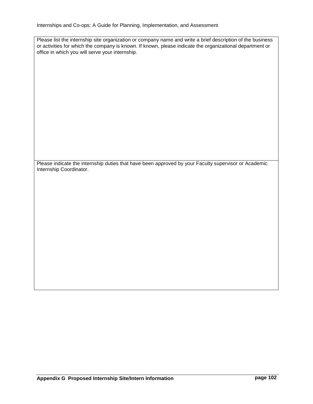Internships and Co-ops: A Guide for Planning, Implementation, and Assessment

Please list the internship site organization or company name and write a brief description of the business or activities for which the company is known. If known, please indicate the organizational department or office in which you will serve your internship.

Please indicate the internship duties that have been approved by your Faculty supervisor or Academic Internship Coordinator.